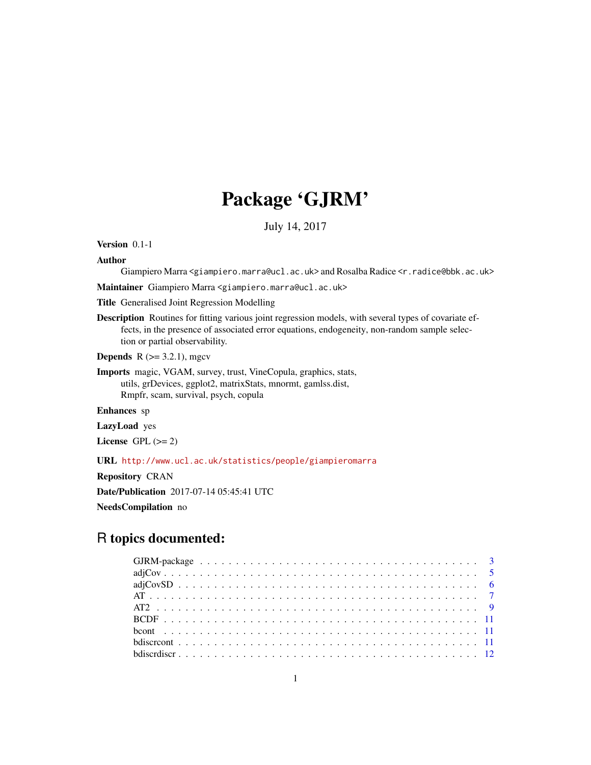# Package 'GJRM'

July 14, 2017

Version 0.1-1

#### Author

Giampiero Marra <giampiero.marra@ucl.ac.uk> and Rosalba Radice <r.radice@bbk.ac.uk>

Maintainer Giampiero Marra <giampiero.marra@ucl.ac.uk>

Title Generalised Joint Regression Modelling

Description Routines for fitting various joint regression models, with several types of covariate effects, in the presence of associated error equations, endogeneity, non-random sample selection or partial observability.

**Depends**  $R$  ( $>= 3.2.1$ ), mgcv

Imports magic, VGAM, survey, trust, VineCopula, graphics, stats, utils, grDevices, ggplot2, matrixStats, mnormt, gamlss.dist, Rmpfr, scam, survival, psych, copula

Enhances sp

LazyLoad yes

License GPL  $(>= 2)$ 

URL <http://www.ucl.ac.uk/statistics/people/giampieromarra>

Repository CRAN

Date/Publication 2017-07-14 05:45:41 UTC

NeedsCompilation no

## R topics documented: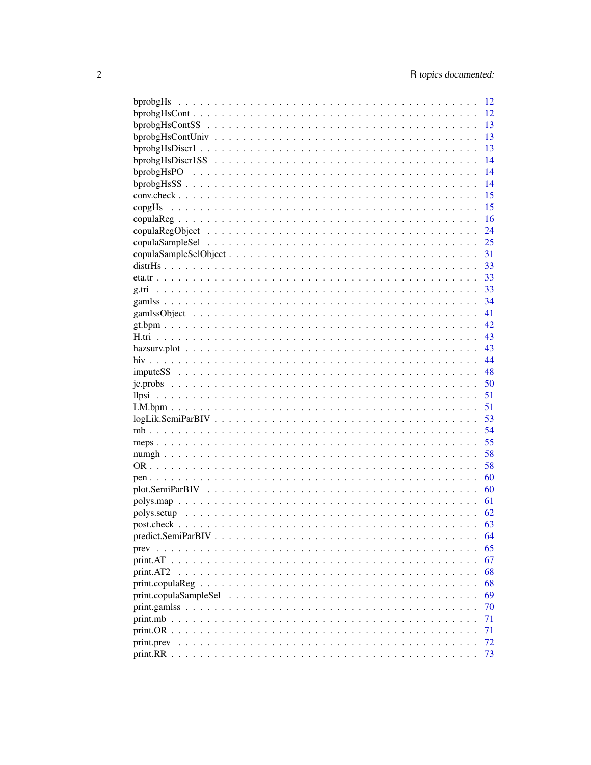|                                                                                                            | - 12            |
|------------------------------------------------------------------------------------------------------------|-----------------|
| $bprob_BHSCont \ldots \ldots \ldots \ldots \ldots \ldots \ldots \ldots \ldots \ldots \ldots \ldots \ldots$ | 12              |
|                                                                                                            | 13              |
|                                                                                                            | 13              |
|                                                                                                            | 13              |
|                                                                                                            | 14              |
|                                                                                                            | $\overline{14}$ |
|                                                                                                            | 14              |
|                                                                                                            | 15              |
| $\text{copgHs}$                                                                                            | 15              |
|                                                                                                            | -16             |
|                                                                                                            | 24              |
|                                                                                                            | 25              |
|                                                                                                            | -31             |
|                                                                                                            | -33             |
|                                                                                                            | -33             |
|                                                                                                            | - 33            |
|                                                                                                            |                 |
|                                                                                                            | 41              |
|                                                                                                            |                 |
|                                                                                                            |                 |
|                                                                                                            |                 |
|                                                                                                            | -44             |
|                                                                                                            |                 |
|                                                                                                            |                 |
|                                                                                                            |                 |
|                                                                                                            |                 |
|                                                                                                            |                 |
|                                                                                                            |                 |
|                                                                                                            |                 |
|                                                                                                            |                 |
|                                                                                                            |                 |
|                                                                                                            |                 |
|                                                                                                            |                 |
|                                                                                                            |                 |
|                                                                                                            |                 |
|                                                                                                            | 63              |
|                                                                                                            | 64              |
|                                                                                                            | 65              |
|                                                                                                            | 67              |
|                                                                                                            | 68              |
|                                                                                                            | 68              |
|                                                                                                            | 69              |
|                                                                                                            | 70              |
|                                                                                                            | 71              |
|                                                                                                            | 71              |
|                                                                                                            | 72              |
|                                                                                                            | 73              |
|                                                                                                            |                 |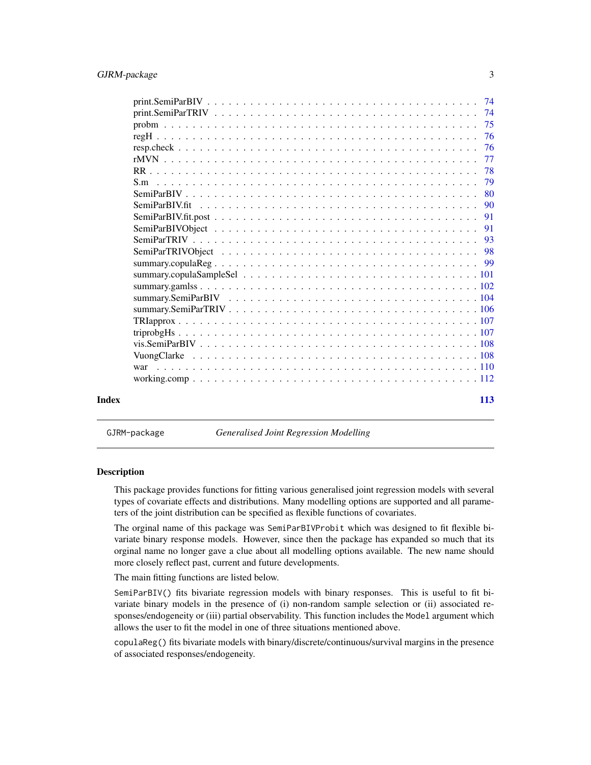<span id="page-2-0"></span>

|       | 77  |  |
|-------|-----|--|
|       | 78  |  |
|       | 79  |  |
|       |     |  |
|       |     |  |
|       |     |  |
|       |     |  |
|       |     |  |
|       |     |  |
|       |     |  |
|       |     |  |
|       |     |  |
|       |     |  |
|       |     |  |
|       |     |  |
|       |     |  |
|       |     |  |
|       |     |  |
|       |     |  |
|       |     |  |
| Index | 113 |  |

<span id="page-2-1"></span>GJRM-package *Generalised Joint Regression Modelling*

#### Description

This package provides functions for fitting various generalised joint regression models with several types of covariate effects and distributions. Many modelling options are supported and all parameters of the joint distribution can be specified as flexible functions of covariates.

The orginal name of this package was SemiParBIVProbit which was designed to fit flexible bivariate binary response models. However, since then the package has expanded so much that its orginal name no longer gave a clue about all modelling options available. The new name should more closely reflect past, current and future developments.

The main fitting functions are listed below.

SemiParBIV() fits bivariate regression models with binary responses. This is useful to fit bivariate binary models in the presence of (i) non-random sample selection or (ii) associated responses/endogeneity or (iii) partial observability. This function includes the Model argument which allows the user to fit the model in one of three situations mentioned above.

copulaReg() fits bivariate models with binary/discrete/continuous/survival margins in the presence of associated responses/endogeneity.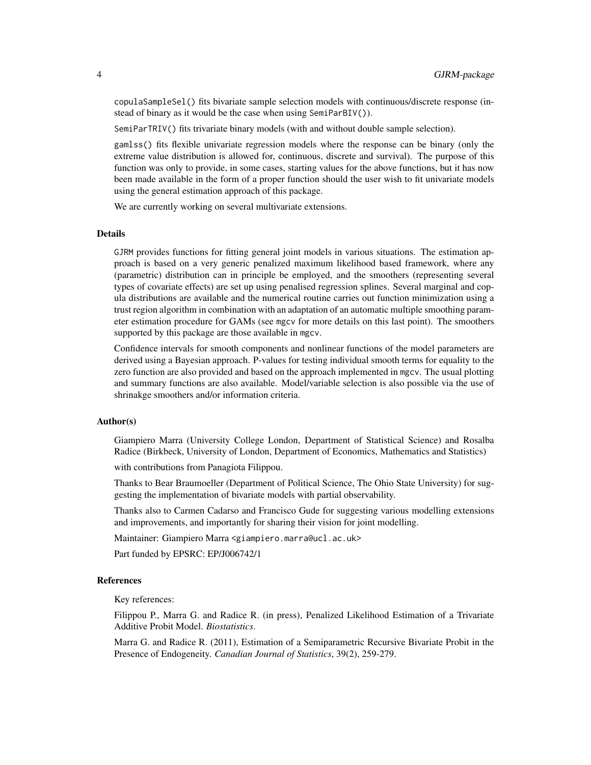copulaSampleSel() fits bivariate sample selection models with continuous/discrete response (instead of binary as it would be the case when using SemiParBIV()).

SemiParTRIV() fits trivariate binary models (with and without double sample selection).

gamlss() fits flexible univariate regression models where the response can be binary (only the extreme value distribution is allowed for, continuous, discrete and survival). The purpose of this function was only to provide, in some cases, starting values for the above functions, but it has now been made available in the form of a proper function should the user wish to fit univariate models using the general estimation approach of this package.

We are currently working on several multivariate extensions.

#### Details

GJRM provides functions for fitting general joint models in various situations. The estimation approach is based on a very generic penalized maximum likelihood based framework, where any (parametric) distribution can in principle be employed, and the smoothers (representing several types of covariate effects) are set up using penalised regression splines. Several marginal and copula distributions are available and the numerical routine carries out function minimization using a trust region algorithm in combination with an adaptation of an automatic multiple smoothing parameter estimation procedure for GAMs (see mgcv for more details on this last point). The smoothers supported by this package are those available in mgcv.

Confidence intervals for smooth components and nonlinear functions of the model parameters are derived using a Bayesian approach. P-values for testing individual smooth terms for equality to the zero function are also provided and based on the approach implemented in mgcv. The usual plotting and summary functions are also available. Model/variable selection is also possible via the use of shrinakge smoothers and/or information criteria.

#### Author(s)

Giampiero Marra (University College London, Department of Statistical Science) and Rosalba Radice (Birkbeck, University of London, Department of Economics, Mathematics and Statistics)

with contributions from Panagiota Filippou.

Thanks to Bear Braumoeller (Department of Political Science, The Ohio State University) for suggesting the implementation of bivariate models with partial observability.

Thanks also to Carmen Cadarso and Francisco Gude for suggesting various modelling extensions and improvements, and importantly for sharing their vision for joint modelling.

Maintainer: Giampiero Marra <giampiero.marra@ucl.ac.uk>

Part funded by EPSRC: EP/J006742/1

#### References

Key references:

Filippou P., Marra G. and Radice R. (in press), Penalized Likelihood Estimation of a Trivariate Additive Probit Model. *Biostatistics*.

Marra G. and Radice R. (2011), Estimation of a Semiparametric Recursive Bivariate Probit in the Presence of Endogeneity. *Canadian Journal of Statistics*, 39(2), 259-279.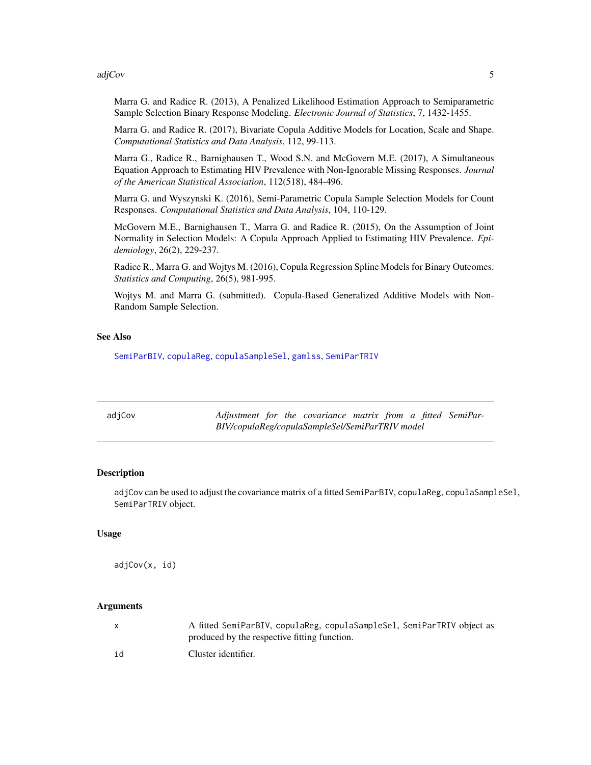#### <span id="page-4-0"></span>adjCov 5

Marra G. and Radice R. (2013), A Penalized Likelihood Estimation Approach to Semiparametric Sample Selection Binary Response Modeling. *Electronic Journal of Statistics*, 7, 1432-1455.

Marra G. and Radice R. (2017), Bivariate Copula Additive Models for Location, Scale and Shape. *Computational Statistics and Data Analysis*, 112, 99-113.

Marra G., Radice R., Barnighausen T., Wood S.N. and McGovern M.E. (2017), A Simultaneous Equation Approach to Estimating HIV Prevalence with Non-Ignorable Missing Responses. *Journal of the American Statistical Association*, 112(518), 484-496.

Marra G. and Wyszynski K. (2016), Semi-Parametric Copula Sample Selection Models for Count Responses. *Computational Statistics and Data Analysis*, 104, 110-129.

McGovern M.E., Barnighausen T., Marra G. and Radice R. (2015), On the Assumption of Joint Normality in Selection Models: A Copula Approach Applied to Estimating HIV Prevalence. *Epidemiology*, 26(2), 229-237.

Radice R., Marra G. and Wojtys M. (2016), Copula Regression Spline Models for Binary Outcomes. *Statistics and Computing*, 26(5), 981-995.

Wojtys M. and Marra G. (submitted). Copula-Based Generalized Additive Models with Non-Random Sample Selection.

#### See Also

[SemiParBIV](#page-79-1), [copulaReg](#page-15-1), [copulaSampleSel](#page-24-1), [gamlss](#page-33-1), [SemiParTRIV](#page-92-1)

<span id="page-4-1"></span>

| adjCov | Adjustment for the covariance matrix from a fitted SemiPar- |  |  |  |  |
|--------|-------------------------------------------------------------|--|--|--|--|
|        | BIV/copulaReg/copulaSampleSel/SemiParTRIV model             |  |  |  |  |

### Description

adjCov can be used to adjust the covariance matrix of a fitted SemiParBIV, copulaReg, copulaSampleSel, SemiParTRIV object.

#### Usage

adjCov(x, id)

#### Arguments

|    | A fitted SemiParBIV, copulaReg, copulaSampleSel, SemiParTRIV object as |
|----|------------------------------------------------------------------------|
|    | produced by the respective fitting function.                           |
| id | Cluster identifier.                                                    |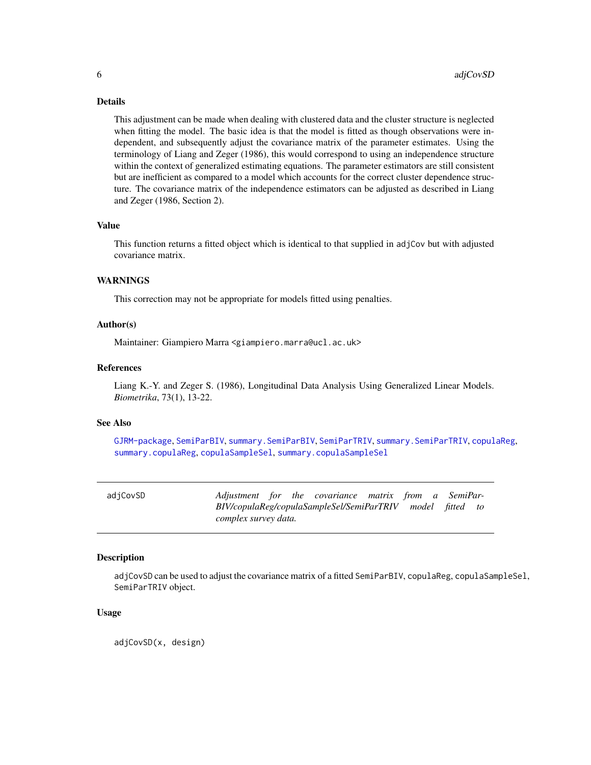#### <span id="page-5-0"></span>Details

This adjustment can be made when dealing with clustered data and the cluster structure is neglected when fitting the model. The basic idea is that the model is fitted as though observations were independent, and subsequently adjust the covariance matrix of the parameter estimates. Using the terminology of Liang and Zeger (1986), this would correspond to using an independence structure within the context of generalized estimating equations. The parameter estimators are still consistent but are inefficient as compared to a model which accounts for the correct cluster dependence structure. The covariance matrix of the independence estimators can be adjusted as described in Liang and Zeger (1986, Section 2).

#### Value

This function returns a fitted object which is identical to that supplied in adjCov but with adjusted covariance matrix.

### WARNINGS

This correction may not be appropriate for models fitted using penalties.

#### Author(s)

Maintainer: Giampiero Marra <giampiero.marra@ucl.ac.uk>

#### References

Liang K.-Y. and Zeger S. (1986), Longitudinal Data Analysis Using Generalized Linear Models. *Biometrika*, 73(1), 13-22.

#### See Also

[GJRM-package](#page-2-1), [SemiParBIV](#page-79-1), [summary.SemiParBIV](#page-103-1), [SemiParTRIV](#page-92-1), [summary.SemiParTRIV](#page-105-1), [copulaReg](#page-15-1), [summary.copulaReg](#page-98-1), [copulaSampleSel](#page-24-1), [summary.copulaSampleSel](#page-100-1)

| adjCovSD |                      |  | Adjustment for the covariance matrix from a SemiPar-      |  |  |  |
|----------|----------------------|--|-----------------------------------------------------------|--|--|--|
|          |                      |  | BIV/copulaReg/copulaSampleSel/SemiParTRIV model fitted to |  |  |  |
|          | complex survey data. |  |                                                           |  |  |  |

### Description

adjCovSD can be used to adjust the covariance matrix of a fitted SemiParBIV, copulaReg, copulaSampleSel, SemiParTRIV object.

#### Usage

adjCovSD(x, design)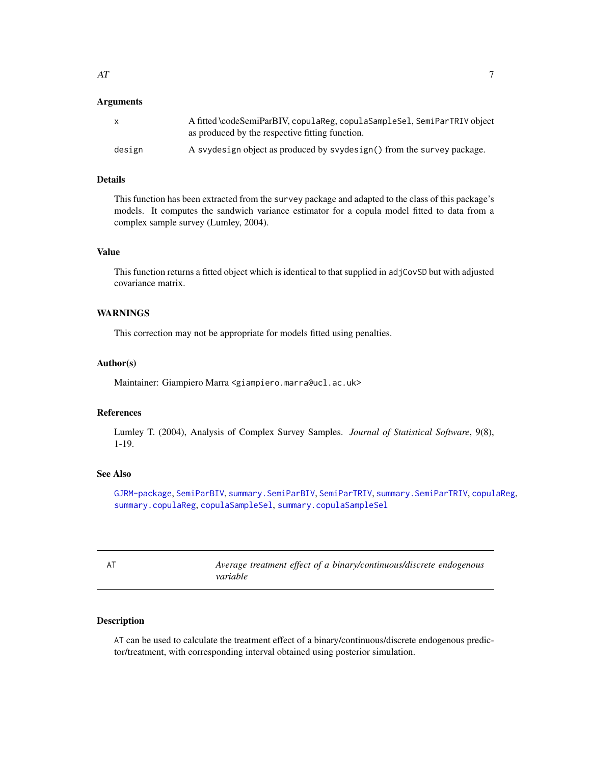#### <span id="page-6-0"></span>Arguments

|        | A fitted \codeSemiParBIV, copulaReg, copulaSampleSel, SemiParTRIV object<br>as produced by the respective fitting function. |
|--------|-----------------------------------------------------------------------------------------------------------------------------|
| design | A syydesign object as produced by syydesign() from the survey package.                                                      |

#### Details

This function has been extracted from the survey package and adapted to the class of this package's models. It computes the sandwich variance estimator for a copula model fitted to data from a complex sample survey (Lumley, 2004).

#### Value

This function returns a fitted object which is identical to that supplied in adjCovSD but with adjusted covariance matrix.

### WARNINGS

This correction may not be appropriate for models fitted using penalties.

### Author(s)

Maintainer: Giampiero Marra <giampiero.marra@ucl.ac.uk>

#### References

Lumley T. (2004), Analysis of Complex Survey Samples. *Journal of Statistical Software*, 9(8), 1-19.

### See Also

[GJRM-package](#page-2-1), [SemiParBIV](#page-79-1), [summary.SemiParBIV](#page-103-1), [SemiParTRIV](#page-92-1), [summary.SemiParTRIV](#page-105-1), [copulaReg](#page-15-1), [summary.copulaReg](#page-98-1), [copulaSampleSel](#page-24-1), [summary.copulaSampleSel](#page-100-1)

| ÷ |  |
|---|--|
| ٠ |  |

AT *Average treatment effect of a binary/continuous/discrete endogenous variable*

### Description

AT can be used to calculate the treatment effect of a binary/continuous/discrete endogenous predictor/treatment, with corresponding interval obtained using posterior simulation.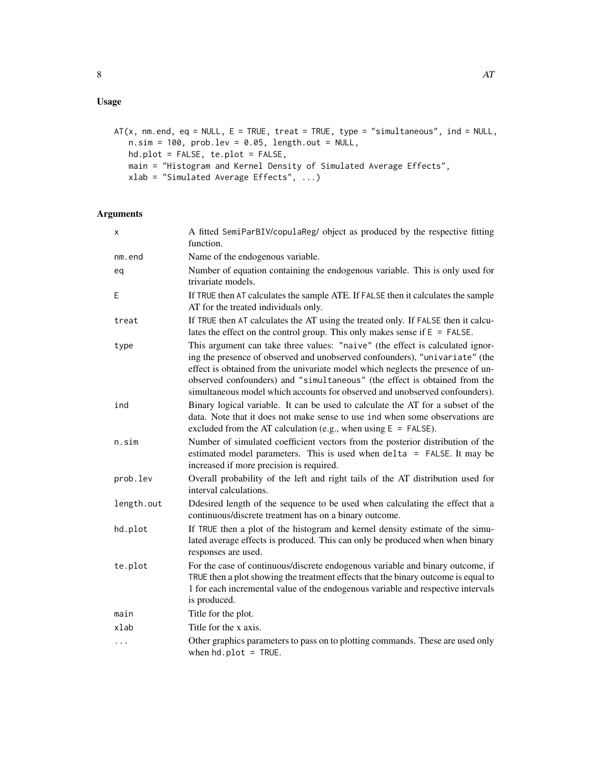### Usage

```
AT(x, nm.end, eq = NULL, E = TRUE, treat = TRUE, type = "simultaneous", ind = NULL,n.sim = 100, prob.lev = 0.05, length.out = NULL,
   hd.plot = FALSE, te.plot = FALSE,
   main = "Histogram and Kernel Density of Simulated Average Effects",
   xlab = "Simulated Average Effects", ...)
```
### Arguments

| X          | A fitted SemiParBIV/copulaReg/ object as produced by the respective fitting<br>function.                                                                                                                                                                                                                                                                                                                    |
|------------|-------------------------------------------------------------------------------------------------------------------------------------------------------------------------------------------------------------------------------------------------------------------------------------------------------------------------------------------------------------------------------------------------------------|
| nm.end     | Name of the endogenous variable.                                                                                                                                                                                                                                                                                                                                                                            |
| eq         | Number of equation containing the endogenous variable. This is only used for<br>trivariate models.                                                                                                                                                                                                                                                                                                          |
| Ε          | If TRUE then AT calculates the sample ATE. If FALSE then it calculates the sample<br>AT for the treated individuals only.                                                                                                                                                                                                                                                                                   |
| treat      | If TRUE then AT calculates the AT using the treated only. If FALSE then it calcu-<br>lates the effect on the control group. This only makes sense if $E = FALSE$ .                                                                                                                                                                                                                                          |
| type       | This argument can take three values: "naive" (the effect is calculated ignor-<br>ing the presence of observed and unobserved confounders), "univariate" (the<br>effect is obtained from the univariate model which neglects the presence of un-<br>observed confounders) and "simultaneous" (the effect is obtained from the<br>simultaneous model which accounts for observed and unobserved confounders). |
| ind        | Binary logical variable. It can be used to calculate the AT for a subset of the<br>data. Note that it does not make sense to use ind when some observations are<br>excluded from the AT calculation (e.g., when using $E = FALSE$ ).                                                                                                                                                                        |
| n.sim      | Number of simulated coefficient vectors from the posterior distribution of the<br>estimated model parameters. This is used when delta = FALSE. It may be<br>increased if more precision is required.                                                                                                                                                                                                        |
| prob.lev   | Overall probability of the left and right tails of the AT distribution used for<br>interval calculations.                                                                                                                                                                                                                                                                                                   |
| length.out | Ddesired length of the sequence to be used when calculating the effect that a<br>continuous/discrete treatment has on a binary outcome.                                                                                                                                                                                                                                                                     |
| hd.plot    | If TRUE then a plot of the histogram and kernel density estimate of the simu-<br>lated average effects is produced. This can only be produced when when binary<br>responses are used.                                                                                                                                                                                                                       |
| te.plot    | For the case of continuous/discrete endogenous variable and binary outcome, if<br>TRUE then a plot showing the treatment effects that the binary outcome is equal to<br>1 for each incremental value of the endogenous variable and respective intervals<br>is produced.                                                                                                                                    |
| main       | Title for the plot.                                                                                                                                                                                                                                                                                                                                                                                         |
| xlab       | Title for the x axis.                                                                                                                                                                                                                                                                                                                                                                                       |
| $\ddotsc$  | Other graphics parameters to pass on to plotting commands. These are used only<br>when $hd.plot = TRUE$ .                                                                                                                                                                                                                                                                                                   |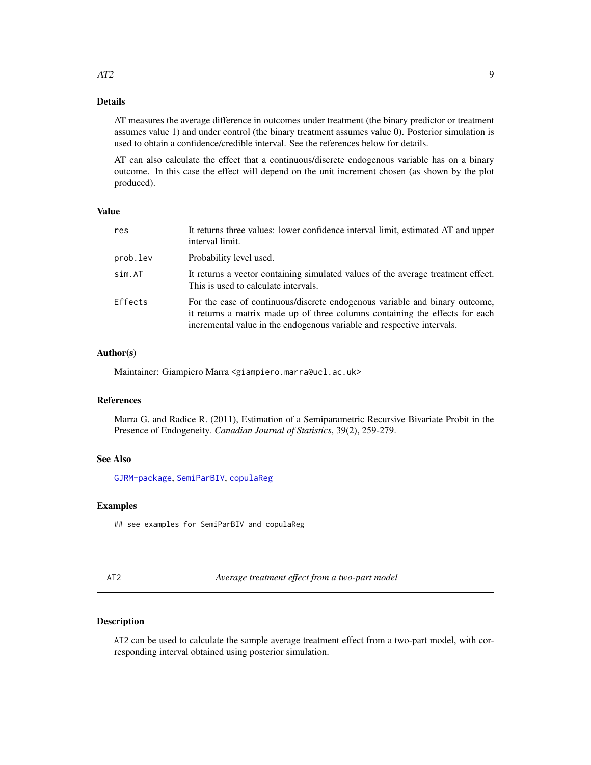### Details

AT measures the average difference in outcomes under treatment (the binary predictor or treatment assumes value 1) and under control (the binary treatment assumes value 0). Posterior simulation is used to obtain a confidence/credible interval. See the references below for details.

AT can also calculate the effect that a continuous/discrete endogenous variable has on a binary outcome. In this case the effect will depend on the unit increment chosen (as shown by the plot produced).

#### Value

| res      | It returns three values: lower confidence interval limit, estimated AT and upper<br>interval limit.                                                                                                                                   |
|----------|---------------------------------------------------------------------------------------------------------------------------------------------------------------------------------------------------------------------------------------|
| prob.lev | Probability level used.                                                                                                                                                                                                               |
| sim.AT   | It returns a vector containing simulated values of the average treatment effect.<br>This is used to calculate intervals.                                                                                                              |
| Effects  | For the case of continuous/discrete endogenous variable and binary outcome,<br>it returns a matrix made up of three columns containing the effects for each<br>incremental value in the endogenous variable and respective intervals. |

### Author(s)

Maintainer: Giampiero Marra <giampiero.marra@ucl.ac.uk>

#### References

Marra G. and Radice R. (2011), Estimation of a Semiparametric Recursive Bivariate Probit in the Presence of Endogeneity. *Canadian Journal of Statistics*, 39(2), 259-279.

#### See Also

[GJRM-package](#page-2-1), [SemiParBIV](#page-79-1), [copulaReg](#page-15-1)

#### Examples

## see examples for SemiParBIV and copulaReg

AT2 *Average treatment effect from a two-part model*

### Description

AT2 can be used to calculate the sample average treatment effect from a two-part model, with corresponding interval obtained using posterior simulation.

#### <span id="page-8-0"></span>AT2 9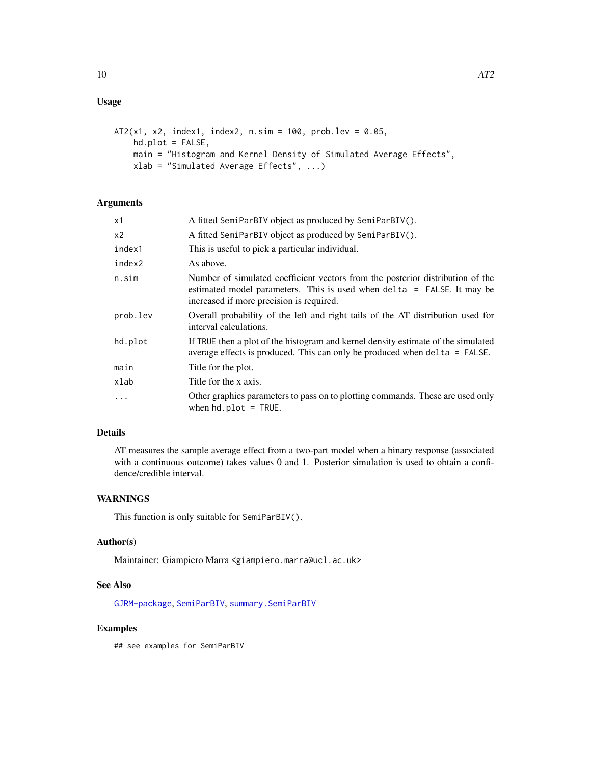### Usage

```
AT2(x1, x2, index1, index2, n.sim = 100, prob.lev = 0.05,
   hd.plot = FALSE,
   main = "Histogram and Kernel Density of Simulated Average Effects",
   xlab = "Simulated Average Effects", ...)
```
### Arguments

| x1             | A fitted SemiParBIV object as produced by SemiParBIV().                                                                                                                                                 |
|----------------|---------------------------------------------------------------------------------------------------------------------------------------------------------------------------------------------------------|
| x <sub>2</sub> | A fitted SemiParBIV object as produced by SemiParBIV().                                                                                                                                                 |
| index1         | This is useful to pick a particular individual.                                                                                                                                                         |
| index2         | As above.                                                                                                                                                                                               |
| n.sim          | Number of simulated coefficient vectors from the posterior distribution of the<br>estimated model parameters. This is used when delta = $FALSE$ . It may be<br>increased if more precision is required. |
| prob.lev       | Overall probability of the left and right tails of the AT distribution used for<br>interval calculations.                                                                                               |
| hd.plot        | If TRUE then a plot of the histogram and kernel density estimate of the simulated<br>average effects is produced. This can only be produced when $delta = FALSE$ .                                      |
| main           | Title for the plot.                                                                                                                                                                                     |
| xlab           | Title for the x axis.                                                                                                                                                                                   |
| $\ddots$       | Other graphics parameters to pass on to plotting commands. These are used only<br>when $hd.plot = TRUE$ .                                                                                               |

### Details

AT measures the sample average effect from a two-part model when a binary response (associated with a continuous outcome) takes values 0 and 1. Posterior simulation is used to obtain a confidence/credible interval.

### WARNINGS

This function is only suitable for SemiParBIV().

#### Author(s)

Maintainer: Giampiero Marra <giampiero.marra@ucl.ac.uk>

### See Also

[GJRM-package](#page-2-1), [SemiParBIV](#page-79-1), [summary.SemiParBIV](#page-103-1)

### Examples

## see examples for SemiParBIV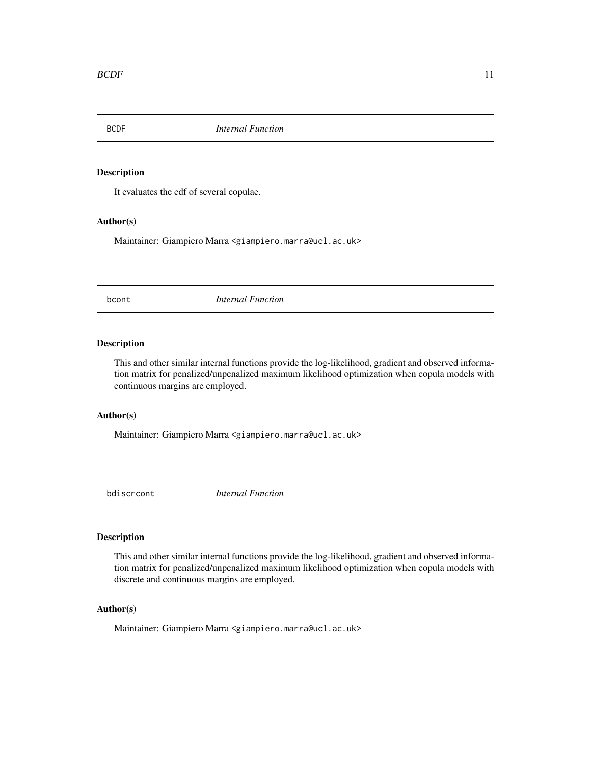<span id="page-10-0"></span>

It evaluates the cdf of several copulae.

#### Author(s)

Maintainer: Giampiero Marra <giampiero.marra@ucl.ac.uk>

bcont *Internal Function*

#### Description

This and other similar internal functions provide the log-likelihood, gradient and observed information matrix for penalized/unpenalized maximum likelihood optimization when copula models with continuous margins are employed.

#### Author(s)

Maintainer: Giampiero Marra <giampiero.marra@ucl.ac.uk>

bdiscrcont *Internal Function*

### Description

This and other similar internal functions provide the log-likelihood, gradient and observed information matrix for penalized/unpenalized maximum likelihood optimization when copula models with discrete and continuous margins are employed.

#### Author(s)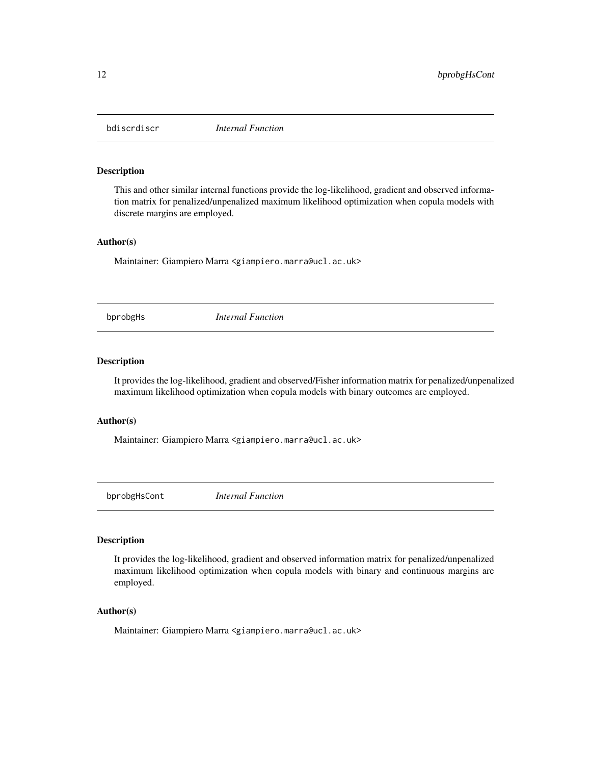<span id="page-11-0"></span>

This and other similar internal functions provide the log-likelihood, gradient and observed information matrix for penalized/unpenalized maximum likelihood optimization when copula models with discrete margins are employed.

#### Author(s)

Maintainer: Giampiero Marra <giampiero.marra@ucl.ac.uk>

bprobgHs *Internal Function*

### Description

It provides the log-likelihood, gradient and observed/Fisher information matrix for penalized/unpenalized maximum likelihood optimization when copula models with binary outcomes are employed.

#### Author(s)

Maintainer: Giampiero Marra <giampiero.marra@ucl.ac.uk>

bprobgHsCont *Internal Function*

#### Description

It provides the log-likelihood, gradient and observed information matrix for penalized/unpenalized maximum likelihood optimization when copula models with binary and continuous margins are employed.

#### Author(s)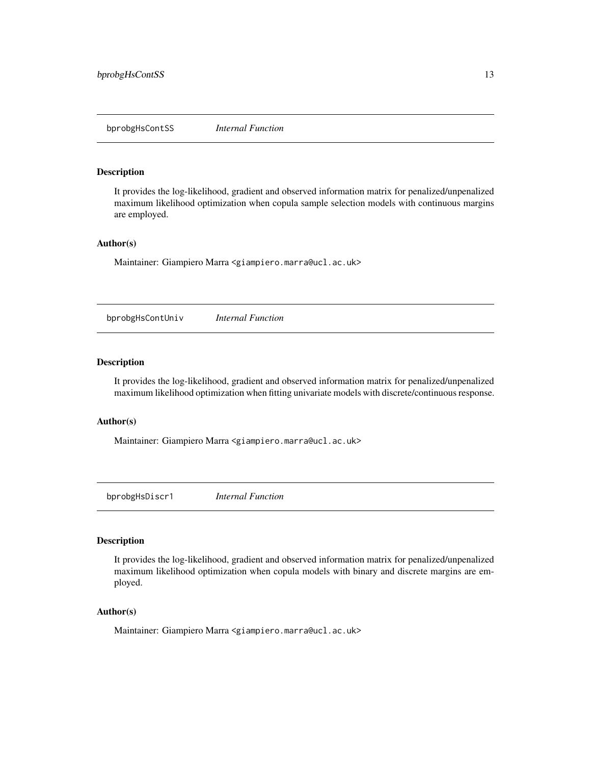<span id="page-12-0"></span>It provides the log-likelihood, gradient and observed information matrix for penalized/unpenalized maximum likelihood optimization when copula sample selection models with continuous margins are employed.

### Author(s)

Maintainer: Giampiero Marra <giampiero.marra@ucl.ac.uk>

bprobgHsContUniv *Internal Function*

### Description

It provides the log-likelihood, gradient and observed information matrix for penalized/unpenalized maximum likelihood optimization when fitting univariate models with discrete/continuous response.

#### Author(s)

Maintainer: Giampiero Marra <giampiero.marra@ucl.ac.uk>

bprobgHsDiscr1 *Internal Function*

#### Description

It provides the log-likelihood, gradient and observed information matrix for penalized/unpenalized maximum likelihood optimization when copula models with binary and discrete margins are employed.

#### Author(s)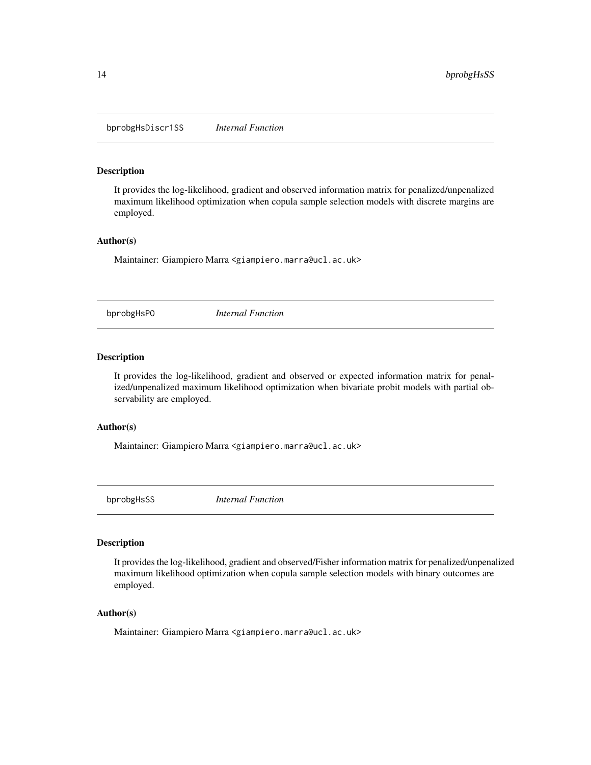<span id="page-13-0"></span>bprobgHsDiscr1SS *Internal Function*

#### Description

It provides the log-likelihood, gradient and observed information matrix for penalized/unpenalized maximum likelihood optimization when copula sample selection models with discrete margins are employed.

#### Author(s)

Maintainer: Giampiero Marra <giampiero.marra@ucl.ac.uk>

bprobgHsPO *Internal Function*

### Description

It provides the log-likelihood, gradient and observed or expected information matrix for penalized/unpenalized maximum likelihood optimization when bivariate probit models with partial observability are employed.

#### Author(s)

Maintainer: Giampiero Marra <giampiero.marra@ucl.ac.uk>

bprobgHsSS *Internal Function*

#### Description

It provides the log-likelihood, gradient and observed/Fisher information matrix for penalized/unpenalized maximum likelihood optimization when copula sample selection models with binary outcomes are employed.

#### Author(s)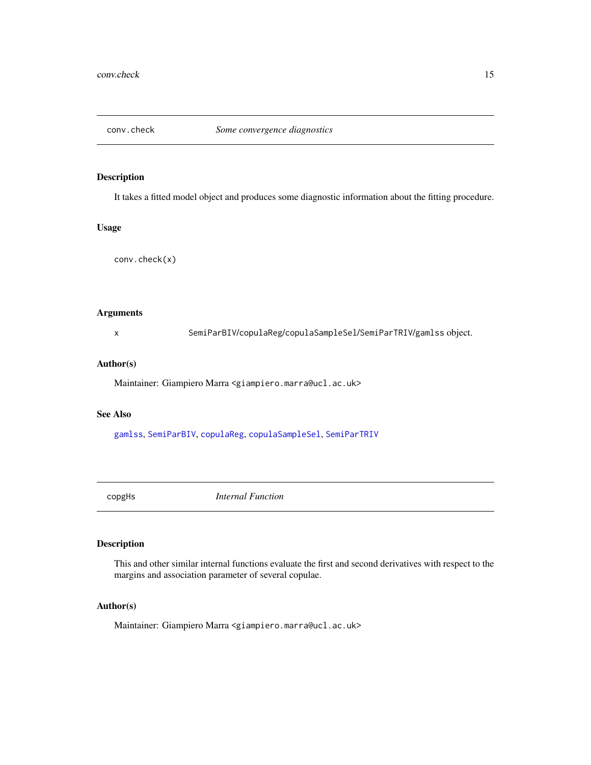<span id="page-14-1"></span><span id="page-14-0"></span>

It takes a fitted model object and produces some diagnostic information about the fitting procedure.

### Usage

conv.check(x)

### Arguments

x SemiParBIV/copulaReg/copulaSampleSel/SemiParTRIV/gamlss object.

#### Author(s)

Maintainer: Giampiero Marra <giampiero.marra@ucl.ac.uk>

### See Also

[gamlss](#page-33-1), [SemiParBIV](#page-79-1), [copulaReg](#page-15-1), [copulaSampleSel](#page-24-1), [SemiParTRIV](#page-92-1)

copgHs *Internal Function*

### Description

This and other similar internal functions evaluate the first and second derivatives with respect to the margins and association parameter of several copulae.

### Author(s)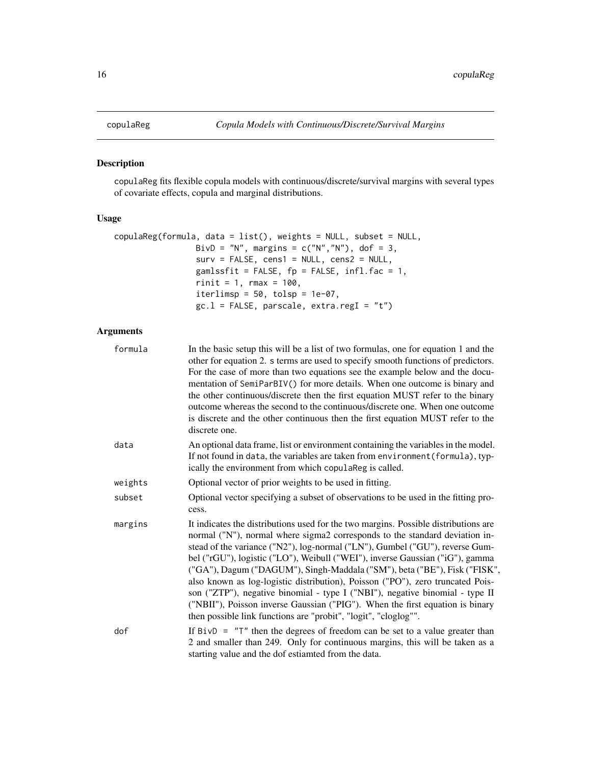<span id="page-15-1"></span><span id="page-15-0"></span>

copulaReg fits flexible copula models with continuous/discrete/survival margins with several types of covariate effects, copula and marginal distributions.

### Usage

```
copulaReg(formula, data = list(), weights = NULL, subset = NULL,
                 BivD = "N", margins = c("N", "N"), dof = 3,
                 surv = FALSE, cens1 = NULL, cens2 = NULL,
                 gamlssfit = FALSE, fp = FALSE, infl.fac = 1,
                 rint = 1, \text{ rmax} = 100,iterlimsp = 50, tolsp = 1e-07,
                 gc.l = FALSE, parsecale, extra.read = "t")
```
### Arguments

| formula | In the basic setup this will be a list of two formulas, one for equation 1 and the<br>other for equation 2. s terms are used to specify smooth functions of predictors.<br>For the case of more than two equations see the example below and the docu-<br>mentation of SemiParBIV() for more details. When one outcome is binary and<br>the other continuous/discrete then the first equation MUST refer to the binary<br>outcome whereas the second to the continuous/discrete one. When one outcome<br>is discrete and the other continuous then the first equation MUST refer to the<br>discrete one.                                                                                                                               |
|---------|----------------------------------------------------------------------------------------------------------------------------------------------------------------------------------------------------------------------------------------------------------------------------------------------------------------------------------------------------------------------------------------------------------------------------------------------------------------------------------------------------------------------------------------------------------------------------------------------------------------------------------------------------------------------------------------------------------------------------------------|
| data    | An optional data frame, list or environment containing the variables in the model.<br>If not found in data, the variables are taken from environment (formula), typ-<br>ically the environment from which copulaReg is called.                                                                                                                                                                                                                                                                                                                                                                                                                                                                                                         |
| weights | Optional vector of prior weights to be used in fitting.                                                                                                                                                                                                                                                                                                                                                                                                                                                                                                                                                                                                                                                                                |
| subset  | Optional vector specifying a subset of observations to be used in the fitting pro-<br>cess.                                                                                                                                                                                                                                                                                                                                                                                                                                                                                                                                                                                                                                            |
| margins | It indicates the distributions used for the two margins. Possible distributions are<br>normal ("N"), normal where sigma2 corresponds to the standard deviation in-<br>stead of the variance ("N2"), log-normal ("LN"), Gumbel ("GU"), reverse Gum-<br>bel ("rGU"), logistic ("LO"), Weibull ("WEI"), inverse Gaussian ("iG"), gamma<br>("GA"), Dagum ("DAGUM"), Singh-Maddala ("SM"), beta ("BE"), Fisk ("FISK",<br>also known as log-logistic distribution), Poisson ("PO"), zero truncated Pois-<br>son ("ZTP"), negative binomial - type I ("NBI"), negative binomial - type II<br>("NBII"), Poisson inverse Gaussian ("PIG"). When the first equation is binary<br>then possible link functions are "probit", "logit", "cloglog"". |
| dof     | If $BivD = "T"$ then the degrees of freedom can be set to a value greater than<br>2 and smaller than 249. Only for continuous margins, this will be taken as a<br>starting value and the dof estiamted from the data.                                                                                                                                                                                                                                                                                                                                                                                                                                                                                                                  |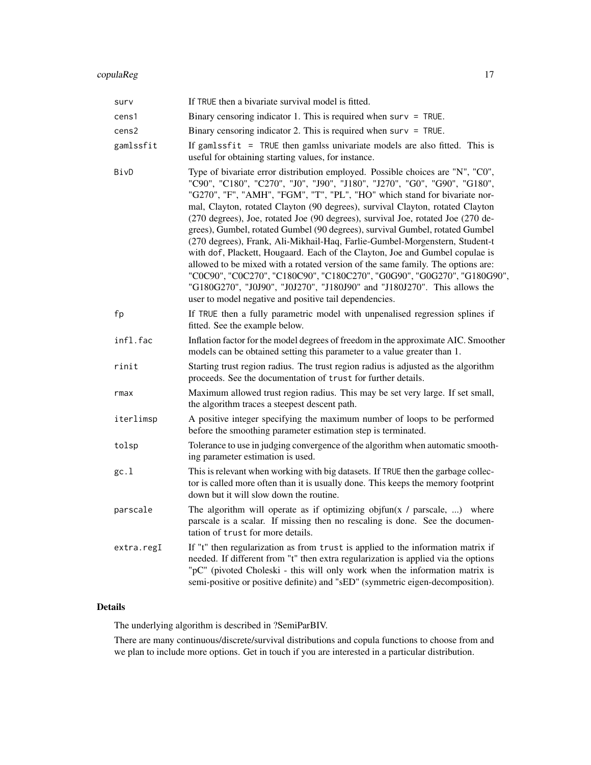| surv       | If TRUE then a bivariate survival model is fitted.                                                                                                                                                                                                                                                                                                                                                                                                                                                                                                                                                                                                                                                                                                                                                                                                                                                                                                              |
|------------|-----------------------------------------------------------------------------------------------------------------------------------------------------------------------------------------------------------------------------------------------------------------------------------------------------------------------------------------------------------------------------------------------------------------------------------------------------------------------------------------------------------------------------------------------------------------------------------------------------------------------------------------------------------------------------------------------------------------------------------------------------------------------------------------------------------------------------------------------------------------------------------------------------------------------------------------------------------------|
| cens1      | Binary censoring indicator 1. This is required when surv = $TRUE$ .                                                                                                                                                                                                                                                                                                                                                                                                                                                                                                                                                                                                                                                                                                                                                                                                                                                                                             |
| cens2      | Binary censoring indicator 2. This is required when surv $=$ TRUE.                                                                                                                                                                                                                                                                                                                                                                                                                                                                                                                                                                                                                                                                                                                                                                                                                                                                                              |
| gamlssfit  | If gamlssfit = $TRUE$ then gamlss univariate models are also fitted. This is<br>useful for obtaining starting values, for instance.                                                                                                                                                                                                                                                                                                                                                                                                                                                                                                                                                                                                                                                                                                                                                                                                                             |
| BivD       | Type of bivariate error distribution employed. Possible choices are "N", "C0",<br>"C90", "C180", "C270", "J0", "J90", "J180", "J270", "G0", "G90", "G180",<br>"G270", "F", "AMH", "FGM", "T", "PL", "HO" which stand for bivariate nor-<br>mal, Clayton, rotated Clayton (90 degrees), survival Clayton, rotated Clayton<br>(270 degrees), Joe, rotated Joe (90 degrees), survival Joe, rotated Joe (270 de-<br>grees), Gumbel, rotated Gumbel (90 degrees), survival Gumbel, rotated Gumbel<br>(270 degrees), Frank, Ali-Mikhail-Haq, Farlie-Gumbel-Morgenstern, Student-t<br>with dof, Plackett, Hougaard. Each of the Clayton, Joe and Gumbel copulae is<br>allowed to be mixed with a rotated version of the same family. The options are:<br>"C0C90", "C0C270", "C180C90", "C180C270", "G0G90", "G0G270", "G180G90",<br>"G180G270", "J0J90", "J0J270", "J180J90" and "J180J270". This allows the<br>user to model negative and positive tail dependencies. |
| fp         | If TRUE then a fully parametric model with unpenalised regression splines if<br>fitted. See the example below.                                                                                                                                                                                                                                                                                                                                                                                                                                                                                                                                                                                                                                                                                                                                                                                                                                                  |
| infl.fac   | Inflation factor for the model degrees of freedom in the approximate AIC. Smoother<br>models can be obtained setting this parameter to a value greater than 1.                                                                                                                                                                                                                                                                                                                                                                                                                                                                                                                                                                                                                                                                                                                                                                                                  |
| rinit      | Starting trust region radius. The trust region radius is adjusted as the algorithm<br>proceeds. See the documentation of trust for further details.                                                                                                                                                                                                                                                                                                                                                                                                                                                                                                                                                                                                                                                                                                                                                                                                             |
| rmax       | Maximum allowed trust region radius. This may be set very large. If set small,<br>the algorithm traces a steepest descent path.                                                                                                                                                                                                                                                                                                                                                                                                                                                                                                                                                                                                                                                                                                                                                                                                                                 |
| iterlimsp  | A positive integer specifying the maximum number of loops to be performed<br>before the smoothing parameter estimation step is terminated.                                                                                                                                                                                                                                                                                                                                                                                                                                                                                                                                                                                                                                                                                                                                                                                                                      |
| tolsp      | Tolerance to use in judging convergence of the algorithm when automatic smooth-<br>ing parameter estimation is used.                                                                                                                                                                                                                                                                                                                                                                                                                                                                                                                                                                                                                                                                                                                                                                                                                                            |
| gc.1       | This is relevant when working with big datasets. If TRUE then the garbage collec-<br>tor is called more often than it is usually done. This keeps the memory footprint<br>down but it will slow down the routine.                                                                                                                                                                                                                                                                                                                                                                                                                                                                                                                                                                                                                                                                                                                                               |
| parscale   | The algorithm will operate as if optimizing objfun( $x /$ parscale, ) where<br>parscale is a scalar. If missing then no rescaling is done. See the documen-<br>tation of trust for more details.                                                                                                                                                                                                                                                                                                                                                                                                                                                                                                                                                                                                                                                                                                                                                                |
| extra.regI | If "t" then regularization as from trust is applied to the information matrix if<br>needed. If different from "t" then extra regularization is applied via the options<br>"pC" (pivoted Choleski - this will only work when the information matrix is<br>semi-positive or positive definite) and "sED" (symmetric eigen-decomposition).                                                                                                                                                                                                                                                                                                                                                                                                                                                                                                                                                                                                                         |

### Details

The underlying algorithm is described in ?SemiParBIV.

There are many continuous/discrete/survival distributions and copula functions to choose from and we plan to include more options. Get in touch if you are interested in a particular distribution.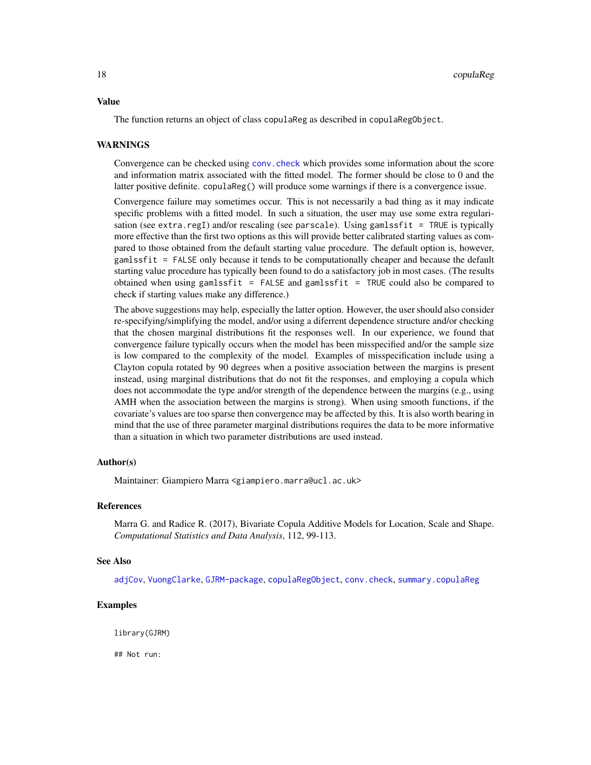#### Value

The function returns an object of class copulaReg as described in copulaRegObject.

#### WARNINGS

Convergence can be checked using [conv.check](#page-14-1) which provides some information about the score and information matrix associated with the fitted model. The former should be close to 0 and the latter positive definite. copulaReg() will produce some warnings if there is a convergence issue.

Convergence failure may sometimes occur. This is not necessarily a bad thing as it may indicate specific problems with a fitted model. In such a situation, the user may use some extra regularisation (see extra.regI) and/or rescaling (see parscale). Using gamlssfit = TRUE is typically more effective than the first two options as this will provide better calibrated starting values as compared to those obtained from the default starting value procedure. The default option is, however, gamlssfit = FALSE only because it tends to be computationally cheaper and because the default starting value procedure has typically been found to do a satisfactory job in most cases. (The results obtained when using gamlssfit =  $FALSE$  and gamlssfit =  $TRUE$  could also be compared to check if starting values make any difference.)

The above suggestions may help, especially the latter option. However, the user should also consider re-specifying/simplifying the model, and/or using a diferrent dependence structure and/or checking that the chosen marginal distributions fit the responses well. In our experience, we found that convergence failure typically occurs when the model has been misspecified and/or the sample size is low compared to the complexity of the model. Examples of misspecification include using a Clayton copula rotated by 90 degrees when a positive association between the margins is present instead, using marginal distributions that do not fit the responses, and employing a copula which does not accommodate the type and/or strength of the dependence between the margins (e.g., using AMH when the association between the margins is strong). When using smooth functions, if the covariate's values are too sparse then convergence may be affected by this. It is also worth bearing in mind that the use of three parameter marginal distributions requires the data to be more informative than a situation in which two parameter distributions are used instead.

#### Author(s)

Maintainer: Giampiero Marra <giampiero.marra@ucl.ac.uk>

#### References

Marra G. and Radice R. (2017), Bivariate Copula Additive Models for Location, Scale and Shape. *Computational Statistics and Data Analysis*, 112, 99-113.

#### See Also

[adjCov](#page-4-1), [VuongClarke](#page-107-1), [GJRM-package](#page-2-1), [copulaRegObject](#page-23-1), [conv.check](#page-14-1), [summary.copulaReg](#page-98-1)

#### Examples

library(GJRM)

## Not run: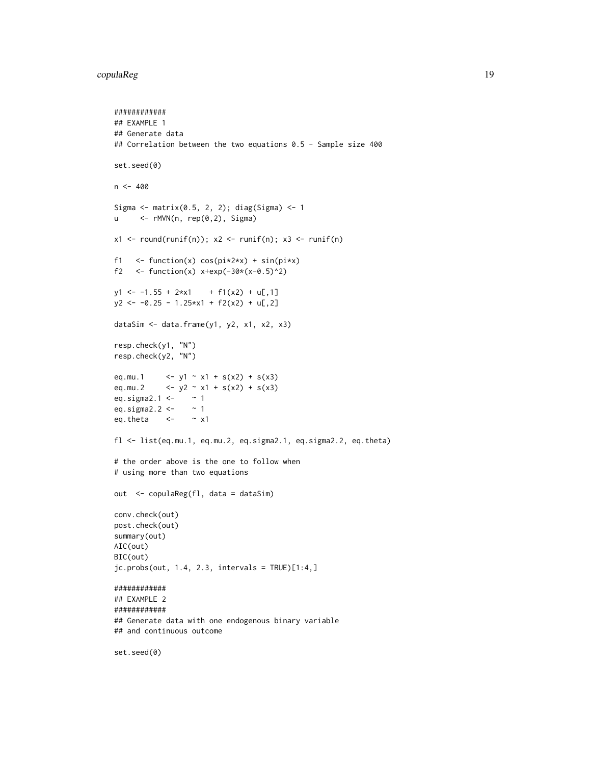### copulaReg 19

```
############
## EXAMPLE 1
## Generate data
## Correlation between the two equations 0.5 - Sample size 400
set.seed(0)
n < -400Sigma <- matrix(0.5, 2, 2); diag(Sigma) <- 1
u \leq rMVN(n, rep(0,2), Sigma)
x1 \leftarrow \text{round}(\text{runif(n)}; x2 \leftarrow \text{runif(n)}; x3 \leftarrow \text{runif(n)}f1 \leftarrow function(x) cos(pi*2*x) + sin(pi*x)
f2 <- function(x) x+exp(-30*(x-0.5)^2)y1 \leftarrow -1.55 + 2*x1 + f1(x2) + u[, 1]y2 \leftarrow -0.25 - 1.25*x1 + f2(x2) + u[,2]dataSim \leq data.frame(y1, y2, x1, x2, x3)
resp.check(y1, "N")
resp.check(y2, "N")
eq.mu.1 \le y1 \sim x1 + s(x2) + s(x3)
eq.mu.2 \langle -y_2 \rangle \sim x_1 + s(x_2) + s(x_3)eq.sigma2.1 <- \sim 1<br>eq.sigma2.2 <- \sim 1
eq.sigma2.2 <-
eq.theta \leftarrow \sim x1
fl <- list(eq.mu.1, eq.mu.2, eq.sigma2.1, eq.sigma2.2, eq.theta)
# the order above is the one to follow when
# using more than two equations
out <- copulaReg(fl, data = dataSim)
conv.check(out)
post.check(out)
summary(out)
AIC(out)
BIC(out)
jc.probs(out, 1.4, 2.3, intervals = TRUE)[1:4,]
############
## EXAMPLE 2
############
## Generate data with one endogenous binary variable
## and continuous outcome
```
set.seed(0)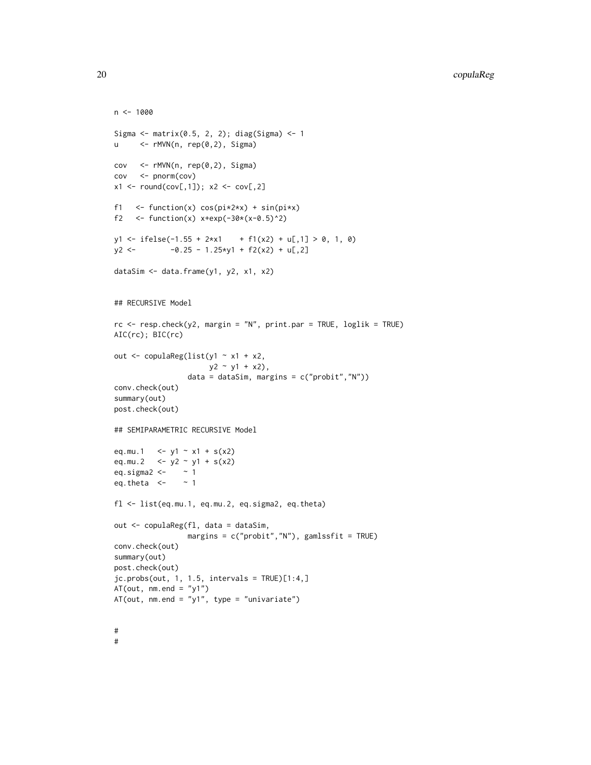```
n < - 1000Sigma <- matrix(0.5, 2, 2); diag(Sigma) <- 1
u \leq rMVN(n, rep(0,2), Sigma)
cov \leq -rMVN(n, rep(0,2), Signa)cov <- pnorm(cov)
x1 \le - round(cov[,1]); x2 \le - cov[,2]
f1 \le function(x) cos(pix2*x) + sin(pix)f2 <- function(x) x+exp(-30*(x-0.5)^2)y1 \leftarrow ifelse(-1.55 + 2*x1 + f1(x2) + u[,1] > 0, 1, 0)
y2 \leftarrow -0.25 - 1.25 \times y1 + f2(x2) + u[, 2]dataSim <- data.frame(y1, y2, x1, x2)
## RECURSIVE Model
rc \leq resp.check(y2, margin = "N", print.par = TRUE, loglik = TRUE)
AIC(rc); BIC(rc)
out <- copulaReg(list(y1 ~ x1 + x2,
                      y2 \sim y1 + x2,
                 data = dataSim, margins = c("probit", "N"))conv.check(out)
summary(out)
post.check(out)
## SEMIPARAMETRIC RECURSIVE Model
eq.mu.1 <- y1 ~ x1 + s(x2)
eq.mu.2 \le -y^2 - y^1 + s(x^2)eq.sigma2 \leftarrow ~ 1
eq.theta \leftarrow ~ 1
fl <- list(eq.mu.1, eq.mu.2, eq.sigma2, eq.theta)
out <- copulaReg(fl, data = dataSim,
                 margins = c("probit","N"), gamlssfit = TRUE)
conv.check(out)
summary(out)
post.check(out)
jc.probs(out, 1, 1.5, intervals = TRUE)[1:4,]AT(out, nm.end = "y1")AT(out, nm.end = "y1", type = "univariate")#
```
#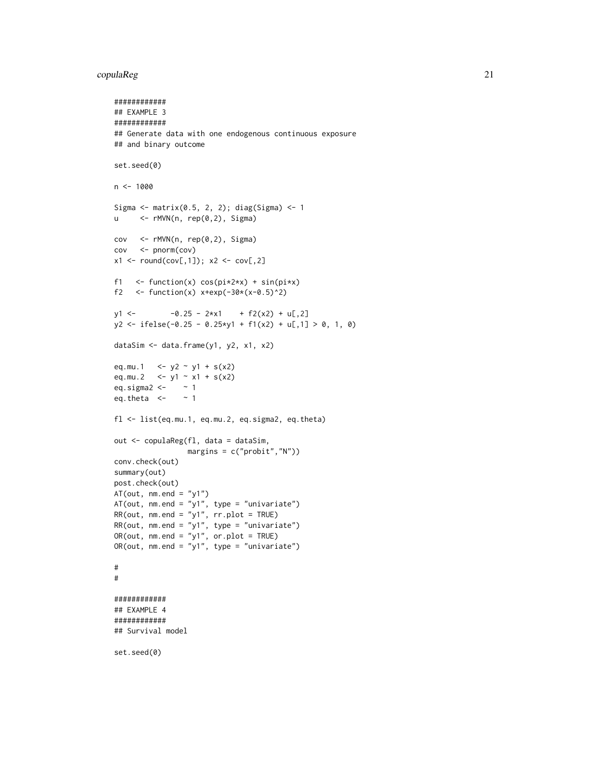#### copulaReg 21

```
############
## EXAMPLE 3
############
## Generate data with one endogenous continuous exposure
## and binary outcome
set.seed(0)
n < - 1000Sigma <- matrix(0.5, 2, 2); diag(Sigma) <- 1
u <- rMVN(n, rep(0,2), Sigma)
cov <- rMVN(n, rep(0,2), Sigma)
cov <- pnorm(cov)
x1 \leftarrow \text{round}(cov[, 1]); x2 \leftarrow cov[, 2]f1 \le function(x) cos(pix2*x) + sin(pix)f2 <- function(x) x+exp(-30*(x-0.5)^2)y1 \leftarrow -0.25 - 2*x1 + f2(x2) + u[, 2]y2 \le - ifelse(-0.25 - 0.25*y1 + f1(x2) + u[,1] > 0, 1, 0)
dataSim <- data.frame(y1, y2, x1, x2)
eq.mu.1 <- y2 ~ y1 + s(x2)
eq.mu.2 \le- y1 ~ x1 + s(x2)
eq.sigma2 \leftarrow \sim 1
eq.theta \leftarrow \sim 1
fl <- list(eq.mu.1, eq.mu.2, eq.sigma2, eq.theta)
out <- copulaReg(fl, data = dataSim,
                 margins = c("probit","N"))
conv.check(out)
summary(out)
post.check(out)
AT(out, nm.end = "y1")AT(out, nm.end = "y1", type = "univariate")
RR(out, nm.end = "y1", rr.plot = TRUE)
RR(out, nm.end = "y1", type = "univariate")
OR(out, nm.end = "y1", or.plot = TRUE)OR(out, nm.end = "y1", type = "univariate")
#
#
############
## EXAMPLE 4
############
## Survival model
set.seed(0)
```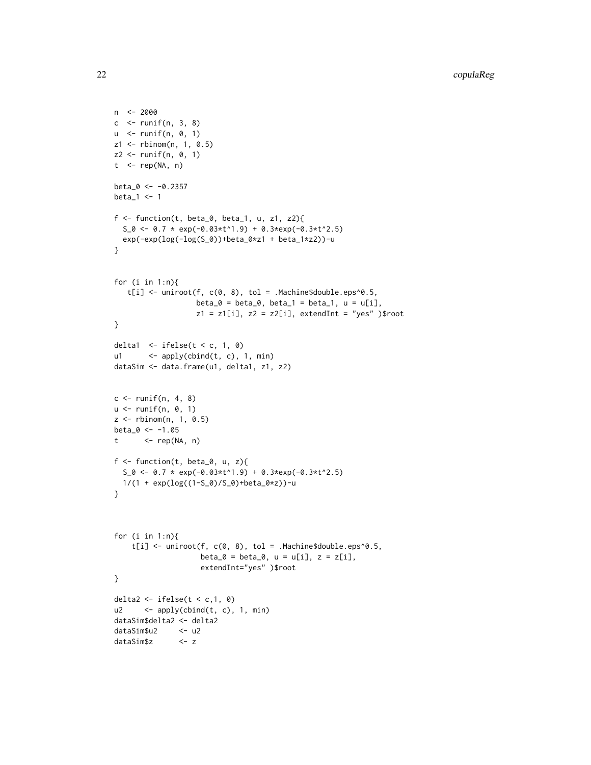```
n <- 2000
c \le - runif(n, 3, 8)
u \le- runif(n, 0, 1)
z1 <- rbinom(n, 1, 0.5)
z2 \le runif(n, 0, 1)
t < - rep(NA, n)beta_0 < -0.2357beta-1 <- 1
f \leftarrow function(t, beta_0, beta_1, u, z1, z2){
  S_0 \leftarrow 0.7 * exp(-0.03*t^1.9) + 0.3*exp(-0.3*t^2.5)exp(-exp(log(-log(S_0))+beta_0*z1 + beta_1*z2))-u
}
for (i in 1:n){
   t[i] <- uniroot(f, c(0, 8), tol = .Machine$double.eps^0.5,
                   beta_0 = beta_0, beta_1 = beta_1, u = u[i],
                   z1 = z1[i], z2 = z2[i], extendInt = "yes" )$root
}
delta1 \le ifelse(t \le c, 1, 0)
u1 <- apply(cbind(t, c), 1, min)
dataSim <- data.frame(u1, delta1, z1, z2)
c \leftarrow runif(n, 4, 8)u <- runif(n, 0, 1)
z <- rbinom(n, 1, 0.5)
beta_0 < -1.05t \leq - rep(NA, n)f <- function(t, beta_0, u, z){
  S_0 \leftarrow 0.7 * exp(-0.03*t^1.9) + 0.3*exp(-0.3*t^2.5)1/(1 + exp(log((1-S_0)/S_0)+beta_0*z))-u
}
for (i in 1:n){
    t[i] <- uniroot(f, c(0, 8), tol = .Machine$double.eps^0.5,
                    beta_0 = beta_0, u = u[i], z = z[i],extendInt="yes" )$root
}
delta2 <- ifelse(t < c, 1, 0)
u2 <- apply(cbind(t, c), 1, min)
dataSim$delta2 <- delta2
dataSim$u2 <- u2
dataSim$z <- z
```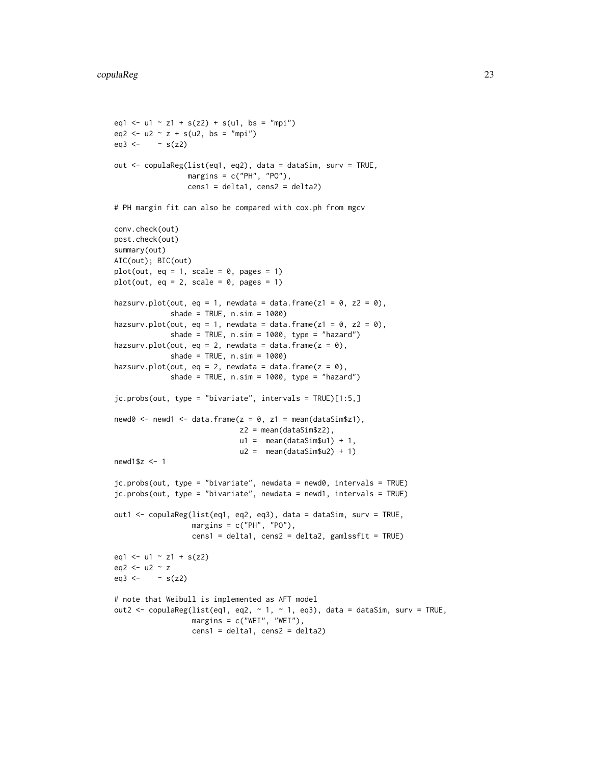```
eq1 <- u1 ~ z1 + s(z2) + s(u1, bs = "mpi")
eq2 \le -u2 \sim z + s(u2, bs = "mpi")eq3 <- \sim s(z2)
out <- copulaReg(list(eq1, eq2), data = dataSim, surv = TRUE,
                  margins = c("PH", "PO"),
                  cens1 = delta1, cens2 = delta2)
# PH margin fit can also be compared with cox.ph from mgcv
conv.check(out)
post.check(out)
summary(out)
AIC(out); BIC(out)
plot(out, eq = 1, scale = 0, pages = 1)
plot(out, eq = 2, scale = 0, pages = 1)
hazsurv.plot(out, eq = 1, newdata = data.frame(z1 = 0, z2 = 0),
              shade = TRUE, n.sim = 1000)
hazsurv.plot(out, eq = 1, newdata = data.frame(z1 = 0, z2 = 0),
              shade = TRUE, n.sim = 1000, type = "hazard")
hazsurv.plot(out, eq = 2, newdata = data.frame(z = 0),
              shade = TRUE, n.sim = 1000)
hazsurv.plot(out, eq = 2, newdata = data.frame(z = 0),
              shade = TRUE, n \sin = 1000, type = "hazard")
jc.probs(out, type = "bivariate", intervals = TRUE)[1:5,]
newd0 \le - \text{newd1} \le - \text{data}. frame(z = 0, z1 = \text{mean}(\text{dataSim$z1}),z2 = \text{mean}(\text{dataSim$z2}),u1 = \text{mean}(dataSim$u1) + 1,u2 = \text{mean}(dataSim$u2) + 1)newd1$z <- 1
jc.probs(out, type = "bivariate", newdata = newd0, intervals = TRUE)
jc.probs(out, type = "bivariate", newdata = newd1, intervals = TRUE)
out1 <- copulaReg(list(eq1, eq2, eq3), data = dataSim, surv = TRUE,
                   margins = c("PH", "PO"),
                   cens1 = delta1, cens2 = delta2, gamlssfit = TRUE)
eq1 <- u1 \sim z1 + s(z2)
eq2 \le u2 \approx z
eq3 <- \sim s(z2)
# note that Weibull is implemented as AFT model
out2 <- copulaReg(list(eq1, eq2, \sim 1, \sim 1, eq3), data = dataSim, surv = TRUE,
                   margins = c("WEI", "WEI"),
                   cens1 = delta1, cens2 = delta2)
```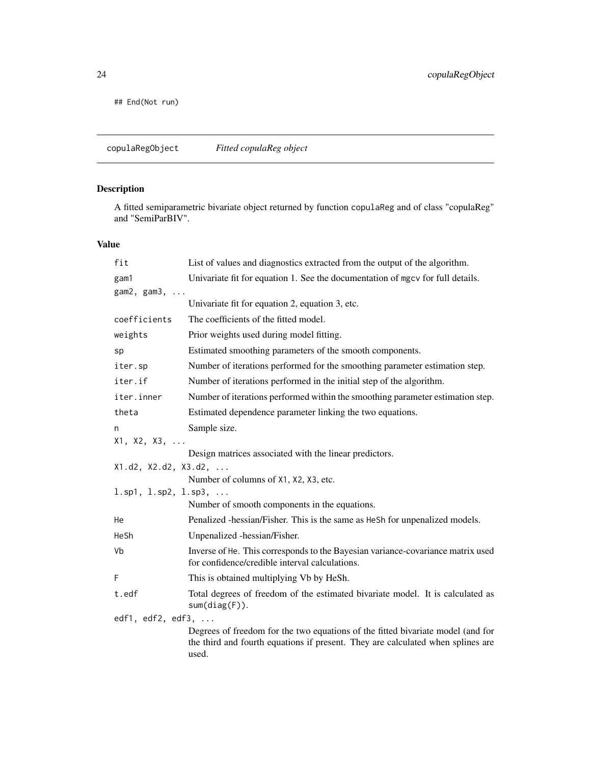<span id="page-23-0"></span>## End(Not run)

<span id="page-23-1"></span>copulaRegObject *Fitted copulaReg object*

## Description

A fitted semiparametric bivariate object returned by function copulaReg and of class "copulaReg" and "SemiParBIV".

### Value

| fit                                          | List of values and diagnostics extracted from the output of the algorithm.                                                                                                  |
|----------------------------------------------|-----------------------------------------------------------------------------------------------------------------------------------------------------------------------------|
| gam1                                         | Univariate fit for equation 1. See the documentation of mgcv for full details.                                                                                              |
| $gamma,$ gam $3,$                            |                                                                                                                                                                             |
|                                              | Univariate fit for equation 2, equation 3, etc.                                                                                                                             |
| coefficients                                 | The coefficients of the fitted model.                                                                                                                                       |
| weights                                      | Prior weights used during model fitting.                                                                                                                                    |
| sp                                           | Estimated smoothing parameters of the smooth components.                                                                                                                    |
| iter.sp                                      | Number of iterations performed for the smoothing parameter estimation step.                                                                                                 |
| iter.if                                      | Number of iterations performed in the initial step of the algorithm.                                                                                                        |
| iter.inner                                   | Number of iterations performed within the smoothing parameter estimation step.                                                                                              |
| theta                                        | Estimated dependence parameter linking the two equations.                                                                                                                   |
| n                                            | Sample size.                                                                                                                                                                |
| X1, X2, X3,                                  |                                                                                                                                                                             |
|                                              | Design matrices associated with the linear predictors.                                                                                                                      |
| X1.d2, X2.d2, X3.d2,                         |                                                                                                                                                                             |
|                                              | Number of columns of X1, X2, X3, etc.                                                                                                                                       |
| $1.\text{sp1}, 1.\text{sp2}, 1.\text{sp3}, $ |                                                                                                                                                                             |
|                                              | Number of smooth components in the equations.                                                                                                                               |
| He                                           | Penalized -hessian/Fisher. This is the same as HeSh for unpenalized models.                                                                                                 |
| HeSh                                         | Unpenalized -hessian/Fisher.                                                                                                                                                |
| Vb                                           | Inverse of He. This corresponds to the Bayesian variance-covariance matrix used<br>for confidence/credible interval calculations.                                           |
| F                                            | This is obtained multiplying Vb by HeSh.                                                                                                                                    |
| t.edf                                        | Total degrees of freedom of the estimated bivariate model. It is calculated as<br>sum(diag(F)).                                                                             |
| edf1, edf2, edf3, $\ldots$                   |                                                                                                                                                                             |
|                                              | Degrees of freedom for the two equations of the fitted bivariate model (and for<br>the third and fourth equations if present. They are calculated when splines are<br>used. |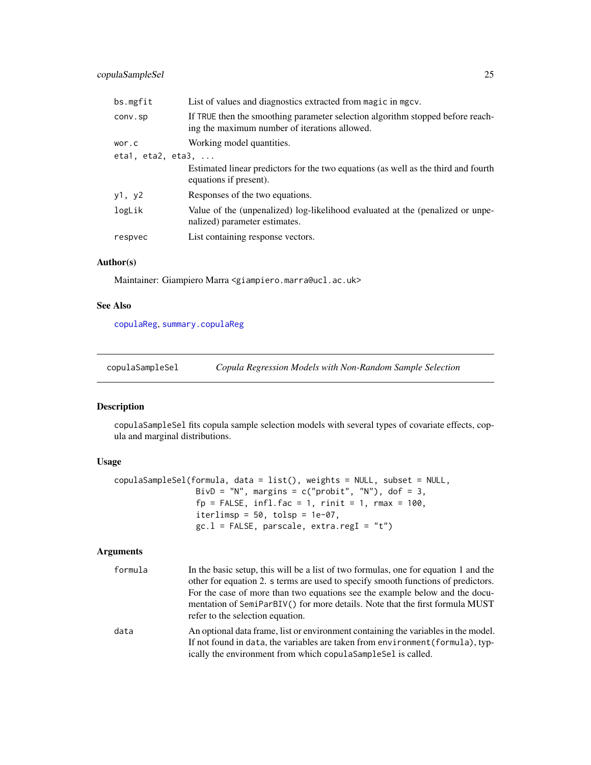### <span id="page-24-0"></span>copulaSampleSel 25

| bs.mgfit                         | List of values and diagnostics extracted from magic in mgcv.                                                                    |
|----------------------------------|---------------------------------------------------------------------------------------------------------------------------------|
| conv.sp                          | If TRUE then the smoothing parameter selection algorithm stopped before reach-<br>ing the maximum number of iterations allowed. |
| wor.c                            | Working model quantities.                                                                                                       |
| etal, $eta2$ , $eta3$ , $\ldots$ |                                                                                                                                 |
|                                  | Estimated linear predictors for the two equations (as well as the third and fourth<br>equations if present).                    |
| y1, y2                           | Responses of the two equations.                                                                                                 |
| logLik                           | Value of the (unpenalized) log-likelihood evaluated at the (penalized or unpe-<br>nalized) parameter estimates.                 |
| respvec                          | List containing response vectors.                                                                                               |

### Author(s)

Maintainer: Giampiero Marra <giampiero.marra@ucl.ac.uk>

#### See Also

[copulaReg](#page-15-1), [summary.copulaReg](#page-98-1)

<span id="page-24-1"></span>copulaSampleSel *Copula Regression Models with Non-Random Sample Selection*

### Description

copulaSampleSel fits copula sample selection models with several types of covariate effects, copula and marginal distributions.

### Usage

```
copulaSampleSel(formula, data = list(), weights = NULL, subset = NULL,
                BivD = "N", margins = c("probit", "N"), dof = 3,
                 fp = FALSE, infl.fac = 1, rinit = 1, rmax = 100,iterlimsp = 50, tolsp = 1e-07,
                 gc.l = FALSE, parsecale, extra.read = "t")
```
### Arguments

| formula | In the basic setup, this will be a list of two formulas, one for equation 1 and the |
|---------|-------------------------------------------------------------------------------------|
|         | other for equation 2. s terms are used to specify smooth functions of predictors.   |
|         | For the case of more than two equations see the example below and the docu-         |
|         | mentation of SemiParBIV() for more details. Note that the first formula MUST        |
|         | refer to the selection equation.                                                    |
| data    | An optional data frame, list or environment containing the variables in the model.  |
|         | If not found in data, the variables are taken from environment (formula), typ-      |
|         | ically the environment from which copula Sample Sel is called.                      |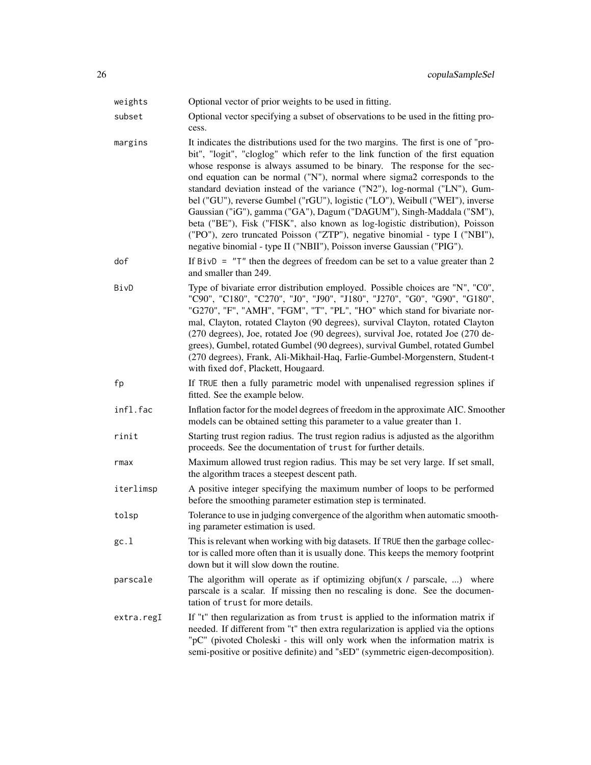| weights    | Optional vector of prior weights to be used in fitting.                                                                                                                                                                                                                                                                                                                                                                                                                                                                                                                                                                                                                                                                                                                                                         |
|------------|-----------------------------------------------------------------------------------------------------------------------------------------------------------------------------------------------------------------------------------------------------------------------------------------------------------------------------------------------------------------------------------------------------------------------------------------------------------------------------------------------------------------------------------------------------------------------------------------------------------------------------------------------------------------------------------------------------------------------------------------------------------------------------------------------------------------|
| subset     | Optional vector specifying a subset of observations to be used in the fitting pro-<br>cess.                                                                                                                                                                                                                                                                                                                                                                                                                                                                                                                                                                                                                                                                                                                     |
| margins    | It indicates the distributions used for the two margins. The first is one of "pro-<br>bit", "logit", "cloglog" which refer to the link function of the first equation<br>whose response is always assumed to be binary. The response for the sec-<br>ond equation can be normal ("N"), normal where sigma2 corresponds to the<br>standard deviation instead of the variance ("N2"), log-normal ("LN"), Gum-<br>bel ("GU"), reverse Gumbel ("rGU"), logistic ("LO"), Weibull ("WEI"), inverse<br>Gaussian ("iG"), gamma ("GA"), Dagum ("DAGUM"), Singh-Maddala ("SM"),<br>beta ("BE"), Fisk ("FISK", also known as log-logistic distribution), Poisson<br>("PO"), zero truncated Poisson ("ZTP"), negative binomial - type I ("NBI"),<br>negative binomial - type II ("NBII"), Poisson inverse Gaussian ("PIG"). |
| dof        | If $BivD = "T"$ then the degrees of freedom can be set to a value greater than 2<br>and smaller than 249.                                                                                                                                                                                                                                                                                                                                                                                                                                                                                                                                                                                                                                                                                                       |
| BivD       | Type of bivariate error distribution employed. Possible choices are "N", "C0",<br>"C90", "C180", "C270", "J0", "J90", "J180", "J270", "G0", "G90", "G180",<br>"G270", "F", "AMH", "FGM", "T", "PL", "HO" which stand for bivariate nor-<br>mal, Clayton, rotated Clayton (90 degrees), survival Clayton, rotated Clayton<br>(270 degrees), Joe, rotated Joe (90 degrees), survival Joe, rotated Joe (270 de-<br>grees), Gumbel, rotated Gumbel (90 degrees), survival Gumbel, rotated Gumbel<br>(270 degrees), Frank, Ali-Mikhail-Haq, Farlie-Gumbel-Morgenstern, Student-t<br>with fixed dof, Plackett, Hougaard.                                                                                                                                                                                              |
| fp         | If TRUE then a fully parametric model with unpenalised regression splines if<br>fitted. See the example below.                                                                                                                                                                                                                                                                                                                                                                                                                                                                                                                                                                                                                                                                                                  |
| infl.fac   | Inflation factor for the model degrees of freedom in the approximate AIC. Smoother<br>models can be obtained setting this parameter to a value greater than 1.                                                                                                                                                                                                                                                                                                                                                                                                                                                                                                                                                                                                                                                  |
| rinit      | Starting trust region radius. The trust region radius is adjusted as the algorithm<br>proceeds. See the documentation of trust for further details.                                                                                                                                                                                                                                                                                                                                                                                                                                                                                                                                                                                                                                                             |
| rmax       | Maximum allowed trust region radius. This may be set very large. If set small,<br>the algorithm traces a steepest descent path.                                                                                                                                                                                                                                                                                                                                                                                                                                                                                                                                                                                                                                                                                 |
| iterlimsp  | A positive integer specifying the maximum number of loops to be performed<br>before the smoothing parameter estimation step is terminated.                                                                                                                                                                                                                                                                                                                                                                                                                                                                                                                                                                                                                                                                      |
| tolsp      | Tolerance to use in judging convergence of the algorithm when automatic smooth-<br>ing parameter estimation is used.                                                                                                                                                                                                                                                                                                                                                                                                                                                                                                                                                                                                                                                                                            |
| gc.1       | This is relevant when working with big datasets. If TRUE then the garbage collec-<br>tor is called more often than it is usually done. This keeps the memory footprint<br>down but it will slow down the routine.                                                                                                                                                                                                                                                                                                                                                                                                                                                                                                                                                                                               |
| parscale   | The algorithm will operate as if optimizing objfun( $x /$ parscale, ) where<br>parscale is a scalar. If missing then no rescaling is done. See the documen-<br>tation of trust for more details.                                                                                                                                                                                                                                                                                                                                                                                                                                                                                                                                                                                                                |
| extra.regI | If "t" then regularization as from trust is applied to the information matrix if<br>needed. If different from "t" then extra regularization is applied via the options<br>"pC" (pivoted Choleski - this will only work when the information matrix is<br>semi-positive or positive definite) and "sED" (symmetric eigen-decomposition).                                                                                                                                                                                                                                                                                                                                                                                                                                                                         |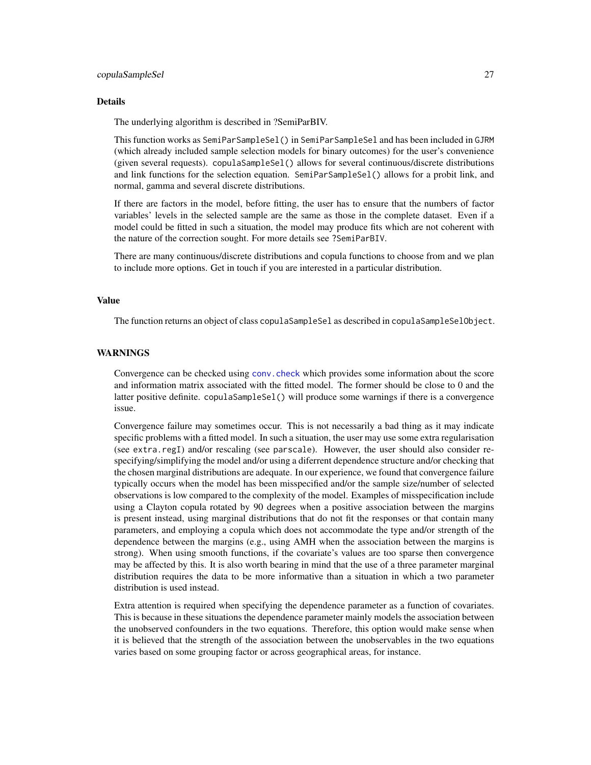#### Details

The underlying algorithm is described in ?SemiParBIV.

This function works as SemiParSampleSel() in SemiParSampleSel and has been included in GJRM (which already included sample selection models for binary outcomes) for the user's convenience (given several requests). copulaSampleSel() allows for several continuous/discrete distributions and link functions for the selection equation. SemiParSampleSel() allows for a probit link, and normal, gamma and several discrete distributions.

If there are factors in the model, before fitting, the user has to ensure that the numbers of factor variables' levels in the selected sample are the same as those in the complete dataset. Even if a model could be fitted in such a situation, the model may produce fits which are not coherent with the nature of the correction sought. For more details see ?SemiParBIV.

There are many continuous/discrete distributions and copula functions to choose from and we plan to include more options. Get in touch if you are interested in a particular distribution.

#### Value

The function returns an object of class copulaSampleSel as described in copulaSampleSelObject.

#### WARNINGS

Convergence can be checked using conv. check which provides some information about the score and information matrix associated with the fitted model. The former should be close to 0 and the latter positive definite. copulaSampleSel() will produce some warnings if there is a convergence issue.

Convergence failure may sometimes occur. This is not necessarily a bad thing as it may indicate specific problems with a fitted model. In such a situation, the user may use some extra regularisation (see extra.regI) and/or rescaling (see parscale). However, the user should also consider respecifying/simplifying the model and/or using a diferrent dependence structure and/or checking that the chosen marginal distributions are adequate. In our experience, we found that convergence failure typically occurs when the model has been misspecified and/or the sample size/number of selected observations is low compared to the complexity of the model. Examples of misspecification include using a Clayton copula rotated by 90 degrees when a positive association between the margins is present instead, using marginal distributions that do not fit the responses or that contain many parameters, and employing a copula which does not accommodate the type and/or strength of the dependence between the margins (e.g., using AMH when the association between the margins is strong). When using smooth functions, if the covariate's values are too sparse then convergence may be affected by this. It is also worth bearing in mind that the use of a three parameter marginal distribution requires the data to be more informative than a situation in which a two parameter distribution is used instead.

Extra attention is required when specifying the dependence parameter as a function of covariates. This is because in these situations the dependence parameter mainly models the association between the unobserved confounders in the two equations. Therefore, this option would make sense when it is believed that the strength of the association between the unobservables in the two equations varies based on some grouping factor or across geographical areas, for instance.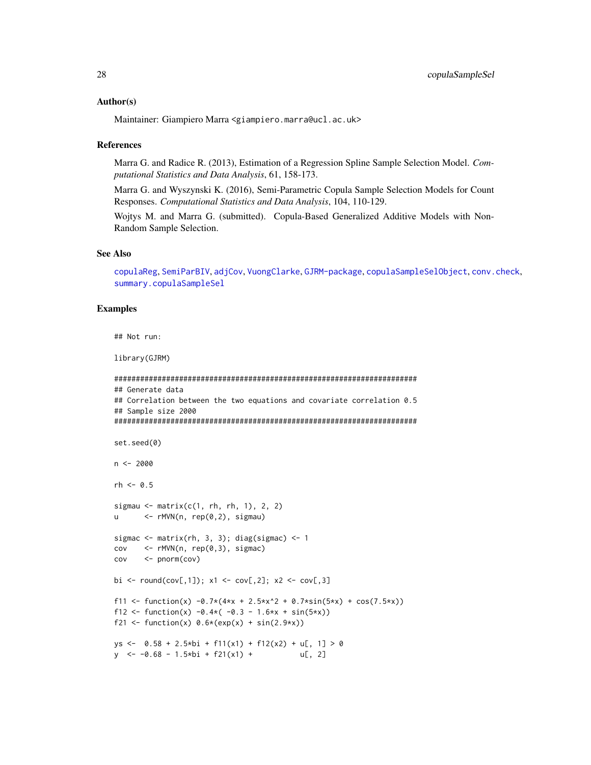#### Author(s)

Maintainer: Giampiero Marra <giampiero.marra@ucl.ac.uk>

#### References

Marra G. and Radice R. (2013), Estimation of a Regression Spline Sample Selection Model. *Computational Statistics and Data Analysis*, 61, 158-173.

Marra G. and Wyszynski K. (2016), Semi-Parametric Copula Sample Selection Models for Count Responses. *Computational Statistics and Data Analysis*, 104, 110-129.

Wojtys M. and Marra G. (submitted). Copula-Based Generalized Additive Models with Non-Random Sample Selection.

### See Also

[copulaReg](#page-15-1), [SemiParBIV](#page-79-1), [adjCov](#page-4-1), [VuongClarke](#page-107-1), [GJRM-package](#page-2-1), [copulaSampleSelObject](#page-30-1), [conv.check](#page-14-1), [summary.copulaSampleSel](#page-100-1)

#### Examples

## Not run:

library(GJRM)

```
######################################################################
## Generate data
## Correlation between the two equations and covariate correlation 0.5
## Sample size 2000
######################################################################
set.seed(0)
n < -2000rh < -0.5sigmau \leq matrix(c(1, rh, rh, 1), 2, 2)
u <- rMVN(n, rep(0,2), sigmau)
sigmac \leq matrix(rh, 3, 3); diag(sigmac) \leq 1
cov \le rMVN(n, rep(0,3), sigma)cov <- pnorm(cov)
bi <- round(cov[,1]); x1 <- cov[,2]; x2 <- cov[,3]
f11 <- function(x) -0.7*(4*x + 2.5*x^2 + 0.7*sin(5*x) + cos(7.5*x))f12 <- function(x) -0.4*(-0.3 - 1.6*x + sin(5*x))f21 <- function(x) 0.6*(exp(x) + sin(2.9*x))ys <- 0.58 + 2.5*bi + f11(x1) + f12(x2) + u[, 1] > 0y \le -0.68 - 1.5 * bi + f21(x1) + u[, 2]
```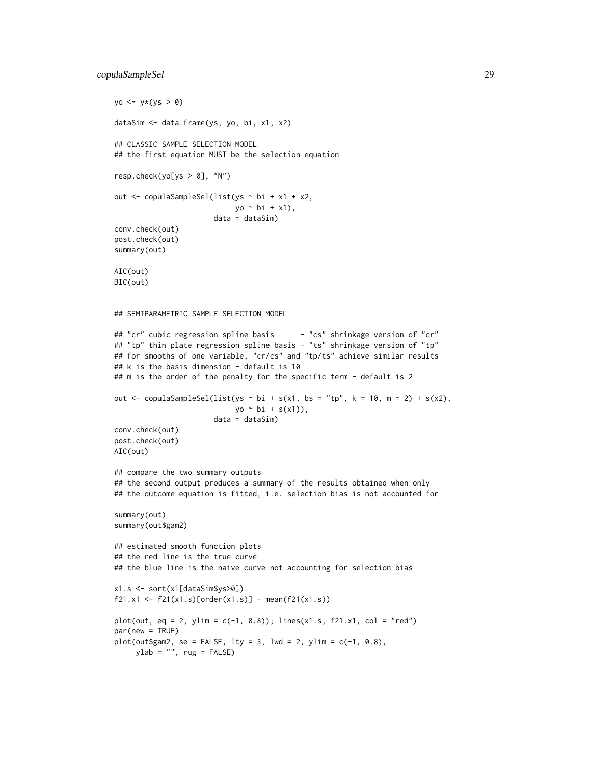### copulaSampleSel 29

```
yo \leftarrow y*(ys > 0)dataSim <- data.frame(ys, yo, bi, x1, x2)
## CLASSIC SAMPLE SELECTION MODEL
## the first equation MUST be the selection equation
resp.check(yo[ys > 0], "N")
out <- copulaSampleSel(list(ys ~ bi + x1 + x2,
                            yo ~ bi + x1),
                       data = dataSim)
conv.check(out)
post.check(out)
summary(out)
AIC(out)
BIC(out)
## SEMIPARAMETRIC SAMPLE SELECTION MODEL
## "cr" cubic regression spline basis - "cs" shrinkage version of "cr"
## "tp" thin plate regression spline basis - "ts" shrinkage version of "tp"
## for smooths of one variable, "cr/cs" and "tp/ts" achieve similar results
## k is the basis dimension - default is 10
## m is the order of the penalty for the specific term - default is 2
out \le copulaSampleSel(list(ys \sim bi + s(x1, bs = "tp", k = 10, m = 2) + s(x2),
                            yo ~ bi + s(x1)),
                       data = dataSim)
conv.check(out)
post.check(out)
AIC(out)
## compare the two summary outputs
## the second output produces a summary of the results obtained when only
## the outcome equation is fitted, i.e. selection bias is not accounted for
summary(out)
summary(out$gam2)
## estimated smooth function plots
## the red line is the true curve
## the blue line is the naive curve not accounting for selection bias
x1.s <- sort(x1[dataSim$ys>0])
f21.x1 <- f21(x1.s)[order(x1.s)] - mean(f21(x1.s))
plot(out, eq = 2, ylim = c(-1, 0.8)); lines(x1.s, f21.x1, col = "red")
par(new = TRUE)plot(outspam2, se = FALSE, lty = 3, lwd = 2, ylim = c(-1, 0.8),ylab = "", rug = FALSE)
```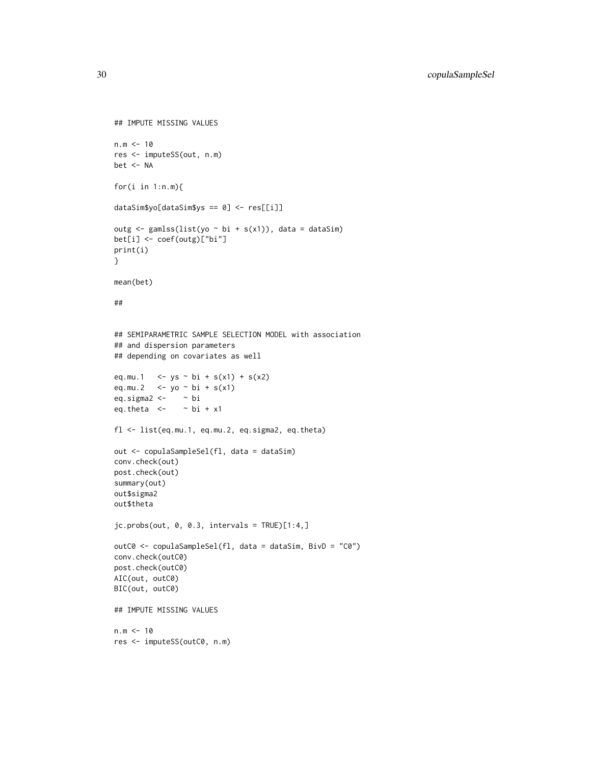```
## IMPUTE MISSING VALUES
n.m < -10res <- imputeSS(out, n.m)
bet <- NA
for(i in 1:n.m){
dataSim$yo[dataSim$ys == 0] <- res[[i]]
outg \leq gamlss(list(yo \sim bi + s(x1)), data = dataSim)
bet[i] <- coef(outg)["bi"]
print(i)
}
mean(bet)
##
## SEMIPARAMETRIC SAMPLE SELECTION MODEL with association
## and dispersion parameters
## depending on covariates as well
eq.mu.1 <- ys ~ bi + s(x1) + s(x2)
eq.mu.2 \le yo \sim bi + s(x1)
eq.sigma2 <- ~ bi
eq.theta \leftarrow \sim bi + x1
fl <- list(eq.mu.1, eq.mu.2, eq.sigma2, eq.theta)
out <- copulaSampleSel(fl, data = dataSim)
conv.check(out)
post.check(out)
summary(out)
out$sigma2
out$theta
jc.probs(out, 0, 0.3, intervals = TRUE)[1:4,]outC0 <- copulaSampleSel(fl, data = dataSim, BivD = "C0")
conv.check(outC0)
post.check(outC0)
AIC(out, outC0)
BIC(out, outC0)
## IMPUTE MISSING VALUES
n.m < -10res <- imputeSS(outC0, n.m)
```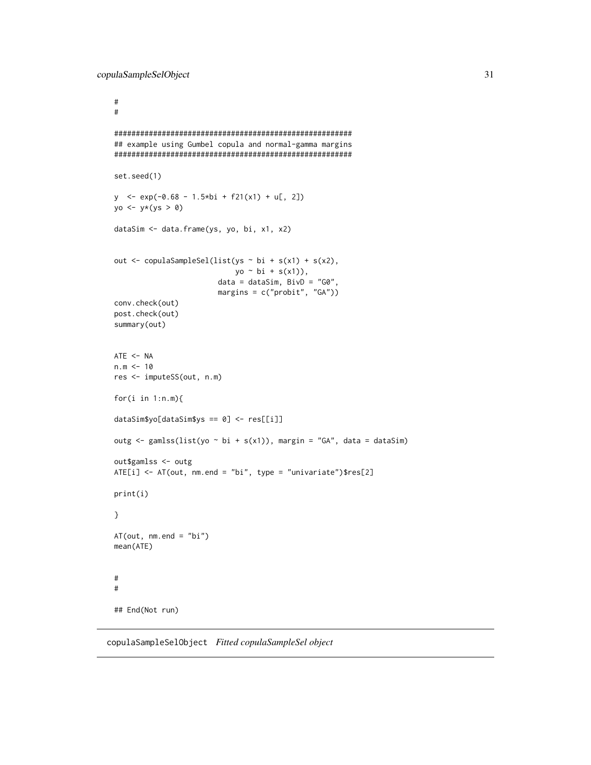```
#
#
#######################################################
## example using Gumbel copula and normal-gamma margins
#######################################################
set.seed(1)
y \le - \exp(-0.68 - 1.5 \cdot \pi) + f21(x1) + u[, 2])yo \leftarrow y * (ys > 0)dataSim <- data.frame(ys, yo, bi, x1, x2)
out <- copulaSampleSel(list(ys ~ bi + s(x1) + s(x2),
                             yo ~ bi + s(x1)),
                         data = dataSim, BivD = "G0",
                         margins = c("probit", "GA"))
conv.check(out)
post.check(out)
summary(out)
ATE < - NAn.m < -10res <- imputeSS(out, n.m)
for(i in 1:n.m){
dataSim$yo[dataSim$ys == 0] <- res[[i]]
outg \leq gamlss(list(yo \sim bi + s(x1)), margin = "GA", data = dataSim)
out$gamlss <- outg
ATE[i] <- AT(out, nm.end = "bi", type = "univariate")$res[2]
print(i)
}
AT(out, nm.end = "bi")
mean(ATE)
#
#
## End(Not run)
```
<span id="page-30-1"></span>copulaSampleSelObject *Fitted copulaSampleSel object*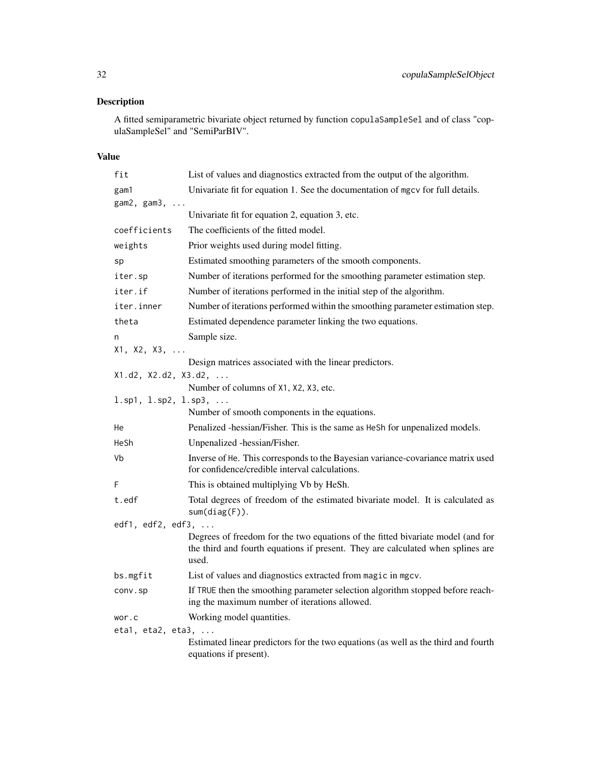A fitted semiparametric bivariate object returned by function copulaSampleSel and of class "copulaSampleSel" and "SemiParBIV".

### Value

| fit                                          | List of values and diagnostics extracted from the output of the algorithm.                                                                                                  |
|----------------------------------------------|-----------------------------------------------------------------------------------------------------------------------------------------------------------------------------|
| gam1                                         | Univariate fit for equation 1. See the documentation of mgcv for full details.                                                                                              |
| gam2, gam3,                                  |                                                                                                                                                                             |
|                                              | Univariate fit for equation 2, equation 3, etc.                                                                                                                             |
| coefficients                                 | The coefficients of the fitted model.                                                                                                                                       |
| weights                                      | Prior weights used during model fitting.                                                                                                                                    |
| sp                                           | Estimated smoothing parameters of the smooth components.                                                                                                                    |
| iter.sp                                      | Number of iterations performed for the smoothing parameter estimation step.                                                                                                 |
| iter.if                                      | Number of iterations performed in the initial step of the algorithm.                                                                                                        |
| iter.inner                                   | Number of iterations performed within the smoothing parameter estimation step.                                                                                              |
| theta                                        | Estimated dependence parameter linking the two equations.                                                                                                                   |
| n                                            | Sample size.                                                                                                                                                                |
| X1, X2, X3,                                  |                                                                                                                                                                             |
|                                              | Design matrices associated with the linear predictors.                                                                                                                      |
| X1.d2, X2.d2, X3.d2,                         |                                                                                                                                                                             |
| $1.\text{sp1}, 1.\text{sp2}, 1.\text{sp3}, $ | Number of columns of X1, X2, X3, etc.                                                                                                                                       |
|                                              | Number of smooth components in the equations.                                                                                                                               |
| He                                           | Penalized -hessian/Fisher. This is the same as HeSh for unpenalized models.                                                                                                 |
| HeSh                                         | Unpenalized -hessian/Fisher.                                                                                                                                                |
| ٧b                                           | Inverse of He. This corresponds to the Bayesian variance-covariance matrix used<br>for confidence/credible interval calculations.                                           |
| F                                            | This is obtained multiplying Vb by HeSh.                                                                                                                                    |
| t.edf                                        | Total degrees of freedom of the estimated bivariate model. It is calculated as<br>sum(diag(F)).                                                                             |
| edf1, edf2, edf3,                            |                                                                                                                                                                             |
|                                              | Degrees of freedom for the two equations of the fitted bivariate model (and for<br>the third and fourth equations if present. They are calculated when splines are<br>used. |
| bs.mgfit                                     | List of values and diagnostics extracted from magic in mgcv.                                                                                                                |
| conv.sp                                      | If TRUE then the smoothing parameter selection algorithm stopped before reach-<br>ing the maximum number of iterations allowed.                                             |
| wor.c                                        | Working model quantities.                                                                                                                                                   |
| $eta1$ , $eta2$ , $eta3$ , $\ldots$          |                                                                                                                                                                             |
|                                              | Estimated linear predictors for the two equations (as well as the third and fourth<br>equations if present).                                                                |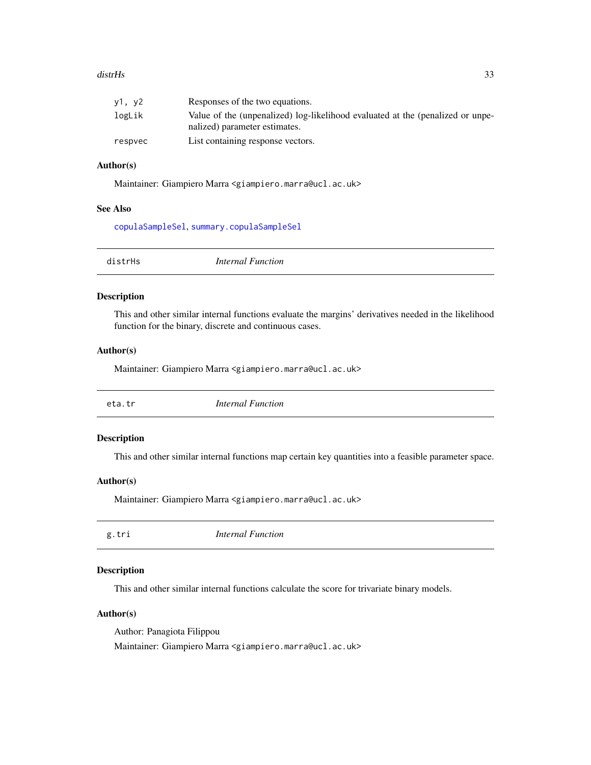#### <span id="page-32-0"></span>distrHs 33

| v1. v2  | Responses of the two equations.                                                                                 |
|---------|-----------------------------------------------------------------------------------------------------------------|
| logLik  | Value of the (unpenalized) log-likelihood evaluated at the (penalized or unpe-<br>nalized) parameter estimates. |
|         |                                                                                                                 |
| respvec | List containing response vectors.                                                                               |

#### Author(s)

Maintainer: Giampiero Marra <giampiero.marra@ucl.ac.uk>

#### See Also

[copulaSampleSel](#page-24-1), [summary.copulaSampleSel](#page-100-1)

|  | distrHs | <i>Internal Function</i> |  |
|--|---------|--------------------------|--|
|--|---------|--------------------------|--|

### Description

This and other similar internal functions evaluate the margins' derivatives needed in the likelihood function for the binary, discrete and continuous cases.

#### Author(s)

Maintainer: Giampiero Marra <giampiero.marra@ucl.ac.uk>

| eta.tr | <i>Internal Function</i> |  |
|--------|--------------------------|--|
|        |                          |  |

### Description

This and other similar internal functions map certain key quantities into a feasible parameter space.

### Author(s)

Maintainer: Giampiero Marra <giampiero.marra@ucl.ac.uk>

| g.tri | <i>Internal Function</i> |  |
|-------|--------------------------|--|
|       |                          |  |

#### Description

This and other similar internal functions calculate the score for trivariate binary models.

### Author(s)

Author: Panagiota Filippou Maintainer: Giampiero Marra <giampiero.marra@ucl.ac.uk>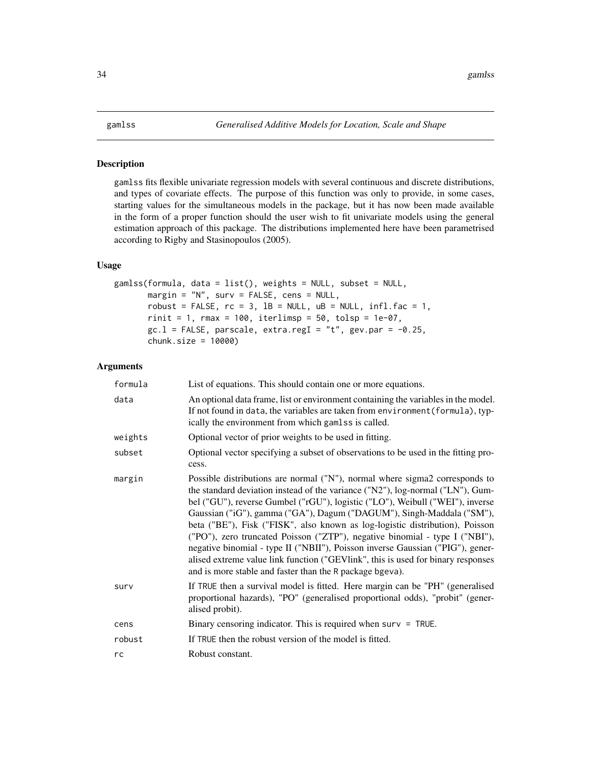<span id="page-33-1"></span><span id="page-33-0"></span>gamlss fits flexible univariate regression models with several continuous and discrete distributions, and types of covariate effects. The purpose of this function was only to provide, in some cases, starting values for the simultaneous models in the package, but it has now been made available in the form of a proper function should the user wish to fit univariate models using the general estimation approach of this package. The distributions implemented here have been parametrised according to Rigby and Stasinopoulos (2005).

### Usage

```
gamlss(formula, data = list(), weights = NULL, subset = NULL,
       margin = ''N'', surv = FALSE, cens = NULL,
       robust = FALSE, rc = 3, lB = NULL, uB = NULL, infl.fac = 1,
       rint = 1, rmax = 100, iterlimsp = 50, tolsp = 1e-07,
       gc.l = FALSE, parsecale, extra.read = "t", gev.par = -0.25,chunk.size = 10000)
```
#### Arguments

| formula | List of equations. This should contain one or more equations.                                                                                                                                                                                                                                                                                                                                                                                                                                                                                                                                                                                                                                                            |
|---------|--------------------------------------------------------------------------------------------------------------------------------------------------------------------------------------------------------------------------------------------------------------------------------------------------------------------------------------------------------------------------------------------------------------------------------------------------------------------------------------------------------------------------------------------------------------------------------------------------------------------------------------------------------------------------------------------------------------------------|
| data    | An optional data frame, list or environment containing the variables in the model.<br>If not found in data, the variables are taken from environment (formula), typ-<br>ically the environment from which gamlss is called.                                                                                                                                                                                                                                                                                                                                                                                                                                                                                              |
| weights | Optional vector of prior weights to be used in fitting.                                                                                                                                                                                                                                                                                                                                                                                                                                                                                                                                                                                                                                                                  |
| subset  | Optional vector specifying a subset of observations to be used in the fitting pro-<br>cess.                                                                                                                                                                                                                                                                                                                                                                                                                                                                                                                                                                                                                              |
| margin  | Possible distributions are normal ("N"), normal where sigma2 corresponds to<br>the standard deviation instead of the variance ("N2"), log-normal ("LN"), Gum-<br>bel ("GU"), reverse Gumbel ("rGU"), logistic ("LO"), Weibull ("WEI"), inverse<br>Gaussian ("iG"), gamma ("GA"), Dagum ("DAGUM"), Singh-Maddala ("SM"),<br>beta ("BE"), Fisk ("FISK", also known as log-logistic distribution), Poisson<br>("PO"), zero truncated Poisson ("ZTP"), negative binomial - type I ("NBI"),<br>negative binomial - type II ("NBII"), Poisson inverse Gaussian ("PIG"), gener-<br>alised extreme value link function ("GEVlink", this is used for binary responses<br>and is more stable and faster than the R package bgeva). |
| surv    | If TRUE then a survival model is fitted. Here margin can be "PH" (generalised<br>proportional hazards), "PO" (generalised proportional odds), "probit" (gener-<br>alised probit).                                                                                                                                                                                                                                                                                                                                                                                                                                                                                                                                        |
| cens    | Binary censoring indicator. This is required when surv $=$ TRUE.                                                                                                                                                                                                                                                                                                                                                                                                                                                                                                                                                                                                                                                         |
| robust  | If TRUE then the robust version of the model is fitted.                                                                                                                                                                                                                                                                                                                                                                                                                                                                                                                                                                                                                                                                  |
| rc      | Robust constant.                                                                                                                                                                                                                                                                                                                                                                                                                                                                                                                                                                                                                                                                                                         |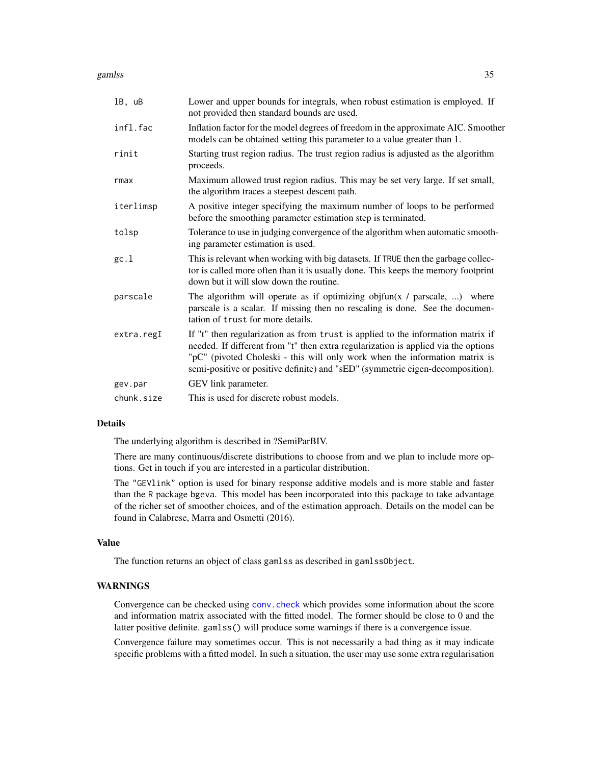gamlss 35

| 1B, uB     | Lower and upper bounds for integrals, when robust estimation is employed. If<br>not provided then standard bounds are used.                                                                                                                                                                                                             |
|------------|-----------------------------------------------------------------------------------------------------------------------------------------------------------------------------------------------------------------------------------------------------------------------------------------------------------------------------------------|
| infl.fac   | Inflation factor for the model degrees of freedom in the approximate AIC. Smoother<br>models can be obtained setting this parameter to a value greater than 1.                                                                                                                                                                          |
| rinit      | Starting trust region radius. The trust region radius is adjusted as the algorithm<br>proceeds.                                                                                                                                                                                                                                         |
| rmax       | Maximum allowed trust region radius. This may be set very large. If set small,<br>the algorithm traces a steepest descent path.                                                                                                                                                                                                         |
| iterlimsp  | A positive integer specifying the maximum number of loops to be performed<br>before the smoothing parameter estimation step is terminated.                                                                                                                                                                                              |
| tolsp      | Tolerance to use in judging convergence of the algorithm when automatic smooth-<br>ing parameter estimation is used.                                                                                                                                                                                                                    |
| gc.1       | This is relevant when working with big datasets. If TRUE then the garbage collec-<br>tor is called more often than it is usually done. This keeps the memory footprint<br>down but it will slow down the routine.                                                                                                                       |
| parscale   | The algorithm will operate as if optimizing objfun( $x /$ parscale, ) where<br>parscale is a scalar. If missing then no rescaling is done. See the documen-<br>tation of trust for more details.                                                                                                                                        |
| extra.regI | If "t" then regularization as from trust is applied to the information matrix if<br>needed. If different from "t" then extra regularization is applied via the options<br>"pC" (pivoted Choleski - this will only work when the information matrix is<br>semi-positive or positive definite) and "sED" (symmetric eigen-decomposition). |
| gev.par    | GEV link parameter.                                                                                                                                                                                                                                                                                                                     |
| chunk.size | This is used for discrete robust models.                                                                                                                                                                                                                                                                                                |

#### Details

The underlying algorithm is described in ?SemiParBIV.

There are many continuous/discrete distributions to choose from and we plan to include more options. Get in touch if you are interested in a particular distribution.

The "GEVlink" option is used for binary response additive models and is more stable and faster than the R package bgeva. This model has been incorporated into this package to take advantage of the richer set of smoother choices, and of the estimation approach. Details on the model can be found in Calabrese, Marra and Osmetti (2016).

#### Value

The function returns an object of class gamlss as described in gamlssObject.

#### WARNINGS

Convergence can be checked using [conv.check](#page-14-1) which provides some information about the score and information matrix associated with the fitted model. The former should be close to 0 and the latter positive definite. gamlss() will produce some warnings if there is a convergence issue.

Convergence failure may sometimes occur. This is not necessarily a bad thing as it may indicate specific problems with a fitted model. In such a situation, the user may use some extra regularisation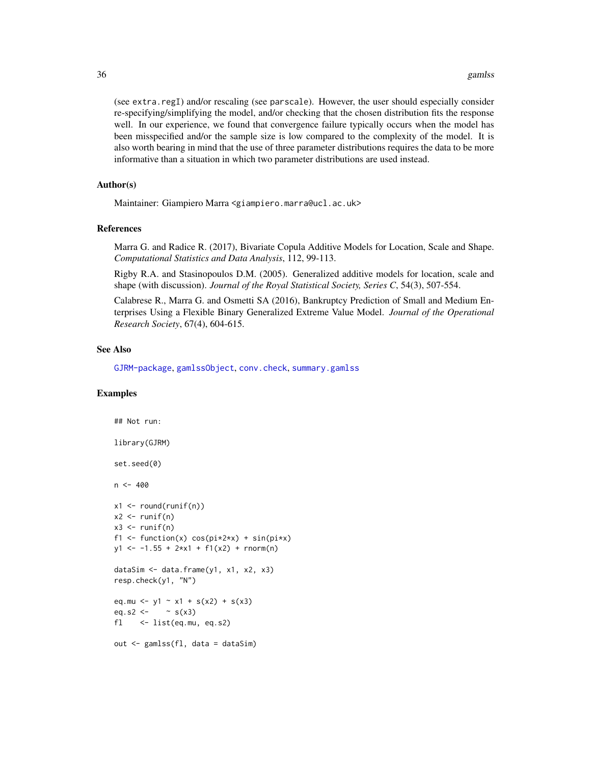(see extra.regI) and/or rescaling (see parscale). However, the user should especially consider re-specifying/simplifying the model, and/or checking that the chosen distribution fits the response well. In our experience, we found that convergence failure typically occurs when the model has been misspecified and/or the sample size is low compared to the complexity of the model. It is also worth bearing in mind that the use of three parameter distributions requires the data to be more informative than a situation in which two parameter distributions are used instead.

#### Author(s)

Maintainer: Giampiero Marra <giampiero.marra@ucl.ac.uk>

#### References

Marra G. and Radice R. (2017), Bivariate Copula Additive Models for Location, Scale and Shape. *Computational Statistics and Data Analysis*, 112, 99-113.

Rigby R.A. and Stasinopoulos D.M. (2005). Generalized additive models for location, scale and shape (with discussion). *Journal of the Royal Statistical Society, Series C*, 54(3), 507-554.

Calabrese R., Marra G. and Osmetti SA (2016), Bankruptcy Prediction of Small and Medium Enterprises Using a Flexible Binary Generalized Extreme Value Model. *Journal of the Operational Research Society*, 67(4), 604-615.

#### See Also

[GJRM-package](#page-2-1), [gamlssObject](#page-40-1), [conv.check](#page-14-1), [summary.gamlss](#page-101-1)

#### Examples

```
## Not run:
library(GJRM)
set.seed(0)
n < -400x1 \leftarrow round(runif(n))
x2 \leftarrow runif(n)x3 \leftarrow runif(n)f1 <- function(x) cos(pix2*x) + sin(pix)y1 \le -1.55 + 2*x1 + f1(x2) + rnorm(n)dataSim <- data.frame(y1, x1, x2, x3)
resp.check(y1, "N")
eq.mu <- y1 ~ x1 + s(x2) + s(x3)
eq.s2 <- \sim s(x3)
fl <- list(eq.mu, eq.s2)
out <- gamlss(fl, data = dataSim)
```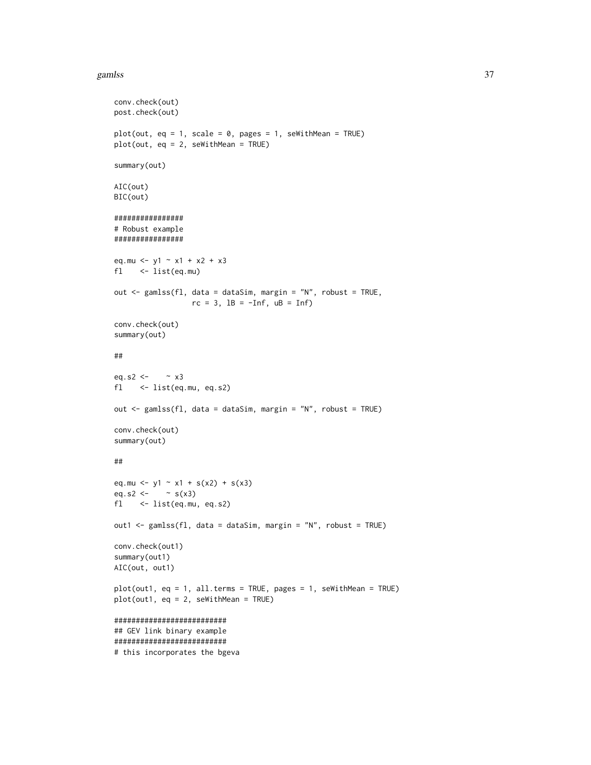#### gamlss 37

```
conv.check(out)
post.check(out)
plot(out, eq = 1, scale = 0, pages = 1, seWithMean = TRUE)plot(out, eq = 2, seWithMean = TRUE)
summary(out)
AIC(out)
BIC(out)
################
# Robust example
################
eq.mu <- y1 - x1 + x2 + x3fl <- list(eq.mu)
out <- gamlss(fl, data = dataSim, margin = "N", robust = TRUE,
                 rc = 3, 1B = -Inf, uB = Inf)
conv.check(out)
summary(out)
##
eq.s2 <- \sim x3fl <- list(eq.mu, eq.s2)
out <- gamlss(fl, data = dataSim, margin = "N", robust = TRUE)
conv.check(out)
summary(out)
##
eq.mu <- y1 - x1 + s(x2) + s(x3)eq.s2 <- \sim s(x3)
fl <- list(eq.mu, eq.s2)
out1 <- gamlss(fl, data = dataSim, margin = "N", robust = TRUE)
conv.check(out1)
summary(out1)
AIC(out, out1)
plot(out1, eq = 1, all.terms = TRUE, pages = 1, seWithMean = TRUE)
plot(out1, eq = 2, seWithMean = TRUE)
##########################
## GEV link binary example
##########################
# this incorporates the bgeva
```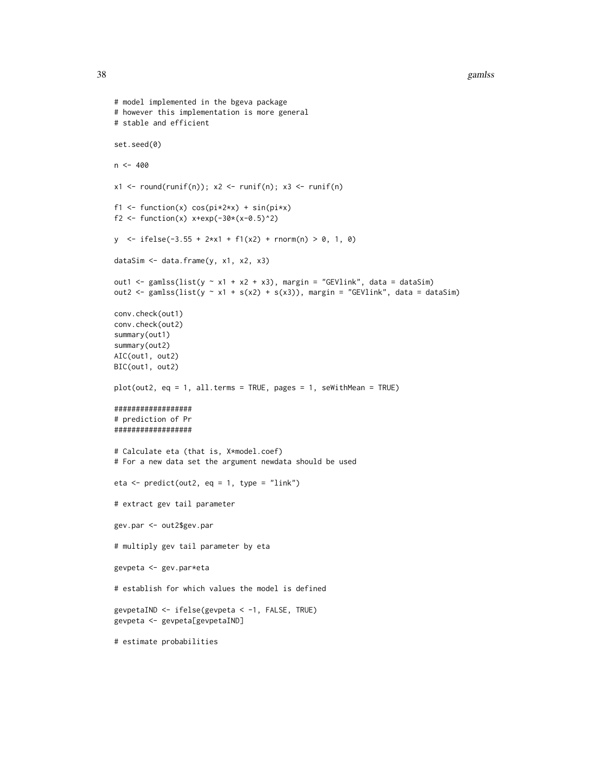```
# model implemented in the bgeva package
# however this implementation is more general
# stable and efficient
set.seed(0)
n < -400x1 \leftarrow \text{round}(\text{runif(n)}; x2 \leftarrow \text{runif(n)}; x3 \leftarrow \text{runif(n)}f1 <- function(x) cos(pix2*x) + sin(pixx)f2 <- function(x) x+exp(-30*(x-0.5)^2)y <- ifelse(-3.55 + 2*x1 + f1(x2) + rnorm(n) > 0, 1, 0)
dataSim <- data.frame(y, x1, x2, x3)
out1 <- gamlss(list(y \sim x1 + x2 + x3), margin = "GEVlink", data = dataSim)
out2 <- gamlss(list(y \sim x1 + s(x2) + s(x3)), margin = "GEVlink", data = dataSim)
conv.check(out1)
conv.check(out2)
summary(out1)
summary(out2)
AIC(out1, out2)
BIC(out1, out2)
plot(out2, eq = 1, all.terms = TRUE, pages = 1, seWithMean = TRUE)
##################
# prediction of Pr
##################
# Calculate eta (that is, X*model.coef)
# For a new data set the argument newdata should be used
eta <- predict(out2, eq = 1, type = "link")
# extract gev tail parameter
gev.par <- out2$gev.par
# multiply gev tail parameter by eta
gevpeta <- gev.par*eta
# establish for which values the model is defined
gevpetaIND <- ifelse(gevpeta < -1, FALSE, TRUE)
gevpeta <- gevpeta[gevpetaIND]
# estimate probabilities
```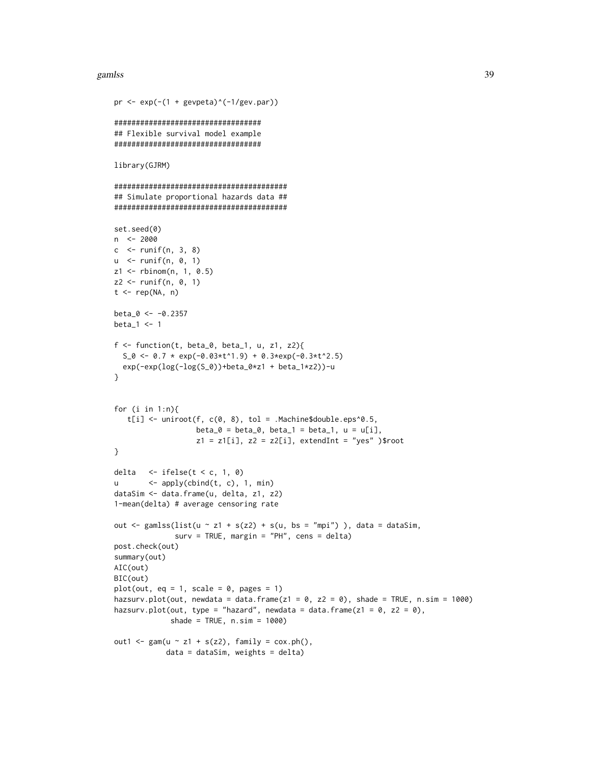#### gamlss 39

```
pr \leq -\exp(-(1 + \text{gevpeta})^(-1/\text{gev.par}))##################################
## Flexible survival model example
##################################
library(GJRM)
########################################
## Simulate proportional hazards data ##
########################################
set.seed(0)
n <- 2000
c \le - runif(n, 3, 8)
u <- runif(n, 0, 1)
z1 <- rbinom(n, 1, 0.5)
z2 \le runif(n, 0, 1)
t \leq - rep(NA, n)beta_0 <- -0.2357
beta-1 <- 1
f \leftarrow function(t, beta_0, beta_1, u, z1, z2){
  S_0 \leftarrow 0.7 * exp(-0.03*t^1.9) + 0.3*exp(-0.3*t^2.5)exp(-exp(log(-log(S_0))+beta_0*z1 + beta_1*z2))-u
}
for (i in 1:n){
   t[i] <- uniroot(f, c(0, 8), tol = .Machine$double.eps^0.5,
                   beta_0 = beta_0, beta_1 = beta_1, u = u[i],
                   z1 = z1[i], z2 = z2[i], extendInt = "yes" )$root
}
delta \le ifelse(t \le c, 1, 0)
u <- apply(cbind(t, c), 1, min)
dataSim <- data.frame(u, delta, z1, z2)
1-mean(delta) # average censoring rate
out \leq gamlss(list(u \sim z1 + s(z2) + s(u, bs = "mpi")), data = dataSim,
              surv = TRUE, margin = "PH", cens = delta)
post.check(out)
summary(out)
AIC(out)
BIC(out)
plot(out, eq = 1, scale = 0, pages = 1)
hazsurv.plot(out, newdata = data.frame(z1 = 0, z2 = 0), shade = TRUE, n.sim = 1000)
hazsurv.plot(out, type = "hazard", newdata = data.frame(z1 = 0, z2 = 0),
             shade = TRUE, n.sim = 1000)
out1 <- gam(u \sim z1 + s(z2), family = cos.php(),
            data = dataSim, weights = delta)
```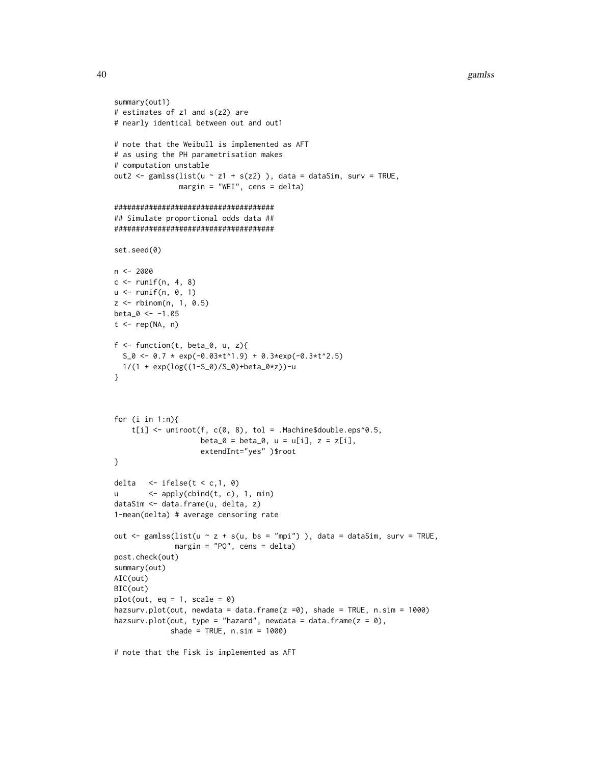40 gamlss

```
summary(out1)
# estimates of z1 and s(z2) are
# nearly identical between out and out1
# note that the Weibull is implemented as AFT
# as using the PH parametrisation makes
# computation unstable
out2 <- gamlss(list(u \sim z1 + s(z2) ), data = dataSim, surv = TRUE,
               margin = "WEI", cens = delta)
#####################################
## Simulate proportional odds data ##
#####################################
set.seed(0)
n < -2000c \le runif(n, 4, 8)
u <- runif(n, 0, 1)
z \le rbinom(n, 1, 0.5)
beta_0 < -1.05t < - rep(NA, n)f <- function(t, beta_0, u, z){
  S_0 \leftarrow 0.7 * exp(-0.03*t^1.9) + 0.3*exp(-0.3*t^2.5)1/(1 + exp(log((1-S_0)/S_0)+beta_0*z))-u
}
for (i in 1:n){
    t[i] <- uniroot(f, c(\emptyset, \emptyset), tol = .Machine$double.eps^0.5,
                    beta_0 = beta_0, u = u[i], z = z[i],extendInt="yes" )$root
}
delta \langle - ifelse(t \langle c, 1, 0 \rangleu <- apply(cbind(t, c), 1, min)
dataSim <- data.frame(u, delta, z)
1-mean(delta) # average censoring rate
out \leq gamlss(list(u \sim z + s(u, bs = "mpi") ), data = dataSim, surv = TRUE,
              margin = "PO", cens = delta)
post.check(out)
summary(out)
AIC(out)
BIC(out)
plot(out, eq = 1, scale = \theta)
hazsurv.plot(out, newdata = data.frame(z =0), shade = TRUE, n.sim = 1000)
hazsurv.plot(out, type = "hazard", newdata = data.frame(z = 0),
             shade = TRUE, n.sim = 1000)
```
# note that the Fisk is implemented as AFT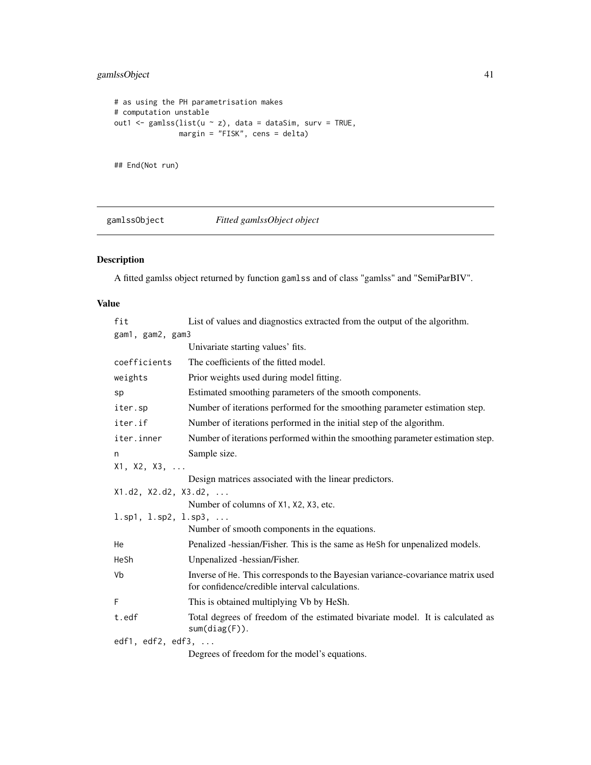# gamlssObject 41

```
# as using the PH parametrisation makes
# computation unstable
out1 <- gamlss(list(u ~ z), data = dataSim, surv = TRUE,
              margin = "FISK", cens = delta)
## End(Not run)
```
# gamlssObject *Fitted gamlssObject object*

# Description

A fitted gamlss object returned by function gamlss and of class "gamlss" and "SemiParBIV".

### Value

| fit                                          | List of values and diagnostics extracted from the output of the algorithm.                                                        |  |
|----------------------------------------------|-----------------------------------------------------------------------------------------------------------------------------------|--|
| gam1, gam2, gam3                             |                                                                                                                                   |  |
|                                              | Univariate starting values' fits.                                                                                                 |  |
| coefficients                                 | The coefficients of the fitted model.                                                                                             |  |
| weights                                      | Prior weights used during model fitting.                                                                                          |  |
| sp                                           | Estimated smoothing parameters of the smooth components.                                                                          |  |
| iter.sp                                      | Number of iterations performed for the smoothing parameter estimation step.                                                       |  |
| iter.if                                      | Number of iterations performed in the initial step of the algorithm.                                                              |  |
| iter.inner                                   | Number of iterations performed within the smoothing parameter estimation step.                                                    |  |
| n                                            | Sample size.                                                                                                                      |  |
| X1, X2, X3,                                  |                                                                                                                                   |  |
|                                              | Design matrices associated with the linear predictors.                                                                            |  |
| X1.d2, X2.d2, X3.d2,                         |                                                                                                                                   |  |
|                                              | Number of columns of X1, X2, X3, etc.                                                                                             |  |
| $1.\text{sp1}, 1.\text{sp2}, 1.\text{sp3}, $ |                                                                                                                                   |  |
|                                              | Number of smooth components in the equations.                                                                                     |  |
| He                                           | Penalized -hessian/Fisher. This is the same as HeSh for unpenalized models.                                                       |  |
| HeSh                                         | Unpenalized -hessian/Fisher.                                                                                                      |  |
| <b>Vb</b>                                    | Inverse of He. This corresponds to the Bayesian variance-covariance matrix used<br>for confidence/credible interval calculations. |  |
| F                                            | This is obtained multiplying Vb by HeSh.                                                                                          |  |
| t.edf                                        | Total degrees of freedom of the estimated bivariate model. It is calculated as<br>sum(diag(F)).                                   |  |
| edf1, $edf2$ , $edf3$ , $\ldots$             |                                                                                                                                   |  |
|                                              | Degrees of freedom for the model's equations.                                                                                     |  |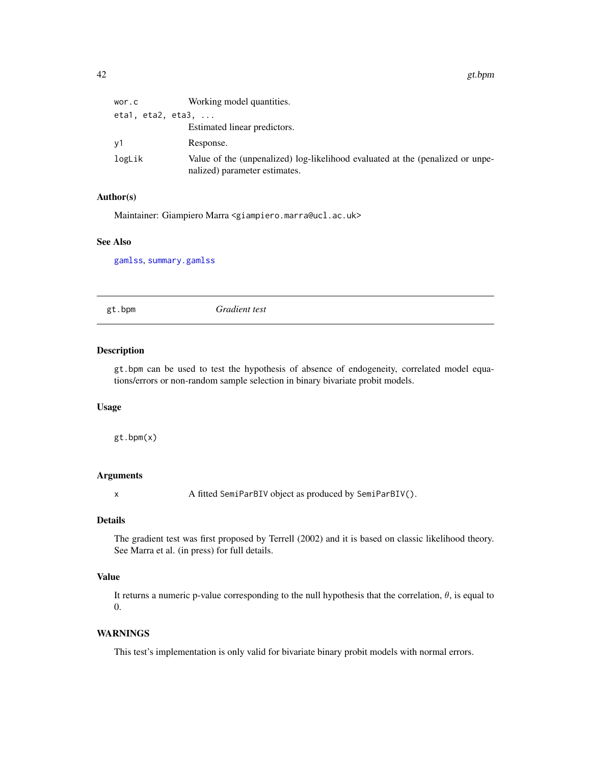42 gt.bpm

| wor.c             | Working model quantities.                                                                                       |
|-------------------|-----------------------------------------------------------------------------------------------------------------|
| eta1, eta2, eta3, |                                                                                                                 |
|                   | Estimated linear predictors.                                                                                    |
| v1                | Response.                                                                                                       |
| logLik            | Value of the (unpenalized) log-likelihood evaluated at the (penalized or unpe-<br>nalized) parameter estimates. |

# Author(s)

Maintainer: Giampiero Marra <giampiero.marra@ucl.ac.uk>

#### See Also

[gamlss](#page-33-0), [summary.gamlss](#page-101-0)

gt.bpm *Gradient test*

# Description

gt.bpm can be used to test the hypothesis of absence of endogeneity, correlated model equations/errors or non-random sample selection in binary bivariate probit models.

### Usage

gt.bpm(x)

# Arguments

x A fitted SemiParBIV object as produced by SemiParBIV().

# Details

The gradient test was first proposed by Terrell (2002) and it is based on classic likelihood theory. See Marra et al. (in press) for full details.

# Value

It returns a numeric p-value corresponding to the null hypothesis that the correlation,  $\theta$ , is equal to 0.

# WARNINGS

This test's implementation is only valid for bivariate binary probit models with normal errors.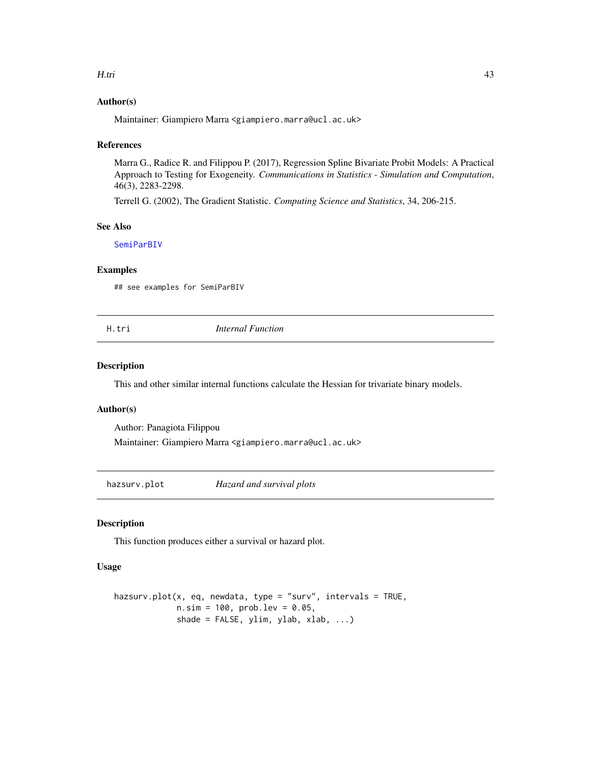#### H.tri 43

### Author(s)

Maintainer: Giampiero Marra <giampiero.marra@ucl.ac.uk>

#### References

Marra G., Radice R. and Filippou P. (2017), Regression Spline Bivariate Probit Models: A Practical Approach to Testing for Exogeneity. *Communications in Statistics - Simulation and Computation*, 46(3), 2283-2298.

Terrell G. (2002), The Gradient Statistic. *Computing Science and Statistics*, 34, 206-215.

#### See Also

[SemiParBIV](#page-79-0)

### Examples

## see examples for SemiParBIV

H.tri *Internal Function*

### Description

This and other similar internal functions calculate the Hessian for trivariate binary models.

#### Author(s)

Author: Panagiota Filippou

Maintainer: Giampiero Marra <giampiero.marra@ucl.ac.uk>

hazsurv.plot *Hazard and survival plots*

### Description

This function produces either a survival or hazard plot.

### Usage

```
hazsurv.plot(x, eq, newdata, type = "surv", intervals = TRUE,
             n.sim = 100, prob.lev = 0.05,
             shade = FALSE, ylim, ylab, xlab, \dots)
```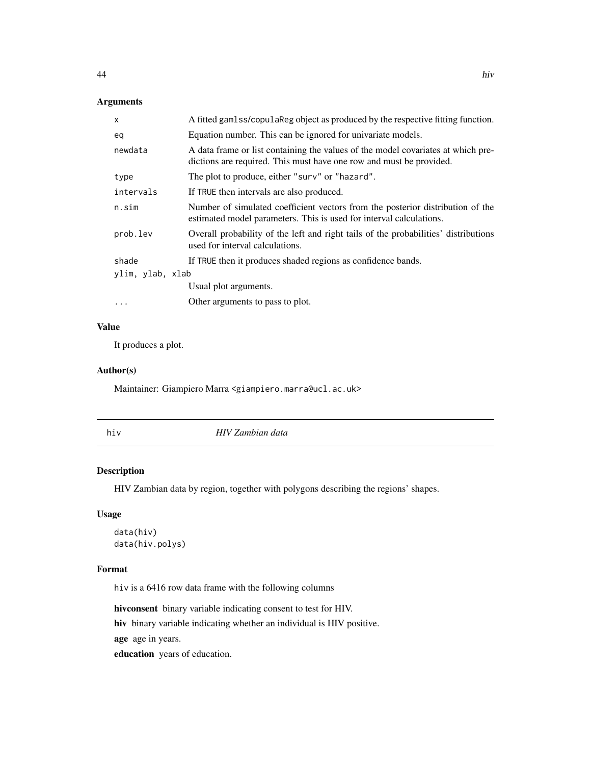# Arguments

| A fitted gamlss/copularing object as produced by the respective fitting function.                                                                       |  |  |
|---------------------------------------------------------------------------------------------------------------------------------------------------------|--|--|
| Equation number. This can be ignored for univariate models.                                                                                             |  |  |
| A data frame or list containing the values of the model covariates at which pre-<br>dictions are required. This must have one row and must be provided. |  |  |
| The plot to produce, either "surv" or "hazard".                                                                                                         |  |  |
| If TRUE then intervals are also produced.                                                                                                               |  |  |
| Number of simulated coefficient vectors from the posterior distribution of the<br>estimated model parameters. This is used for interval calculations.   |  |  |
| Overall probability of the left and right tails of the probabilities' distributions<br>used for interval calculations.                                  |  |  |
| If TRUE then it produces shaded regions as confidence bands.                                                                                            |  |  |
| ylim, ylab, xlab                                                                                                                                        |  |  |
| Usual plot arguments.                                                                                                                                   |  |  |
| Other arguments to pass to plot.                                                                                                                        |  |  |
|                                                                                                                                                         |  |  |

## Value

It produces a plot.

# Author(s)

Maintainer: Giampiero Marra <giampiero.marra@ucl.ac.uk>

hiv *HIV Zambian data*

# Description

HIV Zambian data by region, together with polygons describing the regions' shapes.

# Usage

```
data(hiv)
data(hiv.polys)
```
### Format

hiv is a 6416 row data frame with the following columns

hivconsent binary variable indicating consent to test for HIV.

hiv binary variable indicating whether an individual is HIV positive.

age age in years.

education years of education.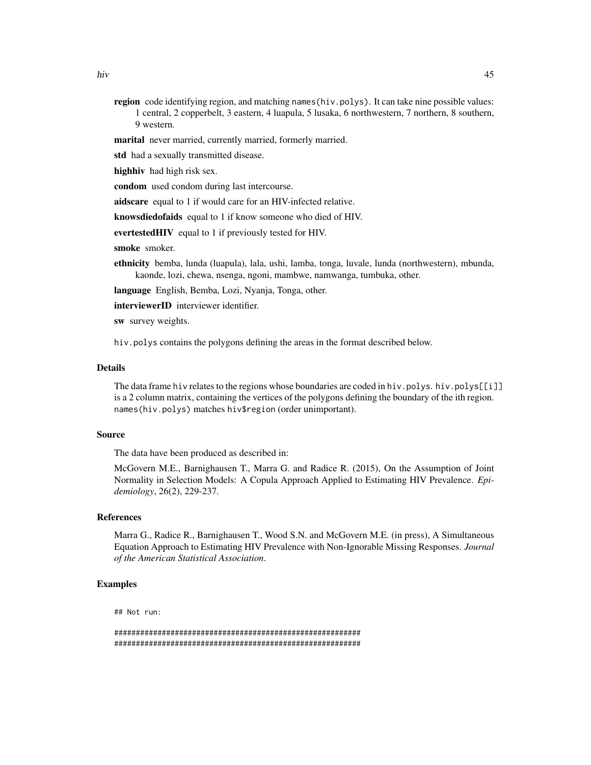region code identifying region, and matching names (hiv.polys). It can take nine possible values: 1 central, 2 copperbelt, 3 eastern, 4 luapula, 5 lusaka, 6 northwestern, 7 northern, 8 southern, 9 western.

marital never married, currently married, formerly married.

std had a sexually transmitted disease.

highhiv had high risk sex.

condom used condom during last intercourse.

aidscare equal to 1 if would care for an HIV-infected relative.

knowsdiedofaids equal to 1 if know someone who died of HIV.

evertestedHIV equal to 1 if previously tested for HIV.

smoke smoker.

ethnicity bemba, lunda (luapula), lala, ushi, lamba, tonga, luvale, lunda (northwestern), mbunda, kaonde, lozi, chewa, nsenga, ngoni, mambwe, namwanga, tumbuka, other.

language English, Bemba, Lozi, Nyanja, Tonga, other.

interviewerID interviewer identifier.

sw survey weights.

hiv.polys contains the polygons defining the areas in the format described below.

### Details

The data frame hiv relates to the regions whose boundaries are coded in hiv.polys. hiv.polys[[i]] is a 2 column matrix, containing the vertices of the polygons defining the boundary of the ith region. names(hiv.polys) matches hiv\$region (order unimportant).

### Source

The data have been produced as described in:

McGovern M.E., Barnighausen T., Marra G. and Radice R. (2015), On the Assumption of Joint Normality in Selection Models: A Copula Approach Applied to Estimating HIV Prevalence. *Epidemiology*, 26(2), 229-237.

#### References

Marra G., Radice R., Barnighausen T., Wood S.N. and McGovern M.E. (in press), A Simultaneous Equation Approach to Estimating HIV Prevalence with Non-Ignorable Missing Responses. *Journal of the American Statistical Association*.

### Examples

## Not run:

######################################################### #########################################################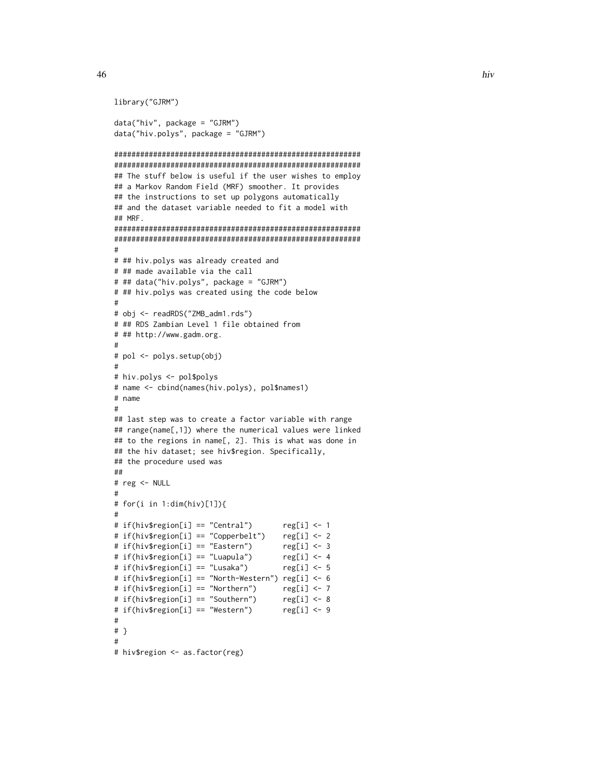```
library("GJRM")
data("hiv", package = "GJRM")
data("hiv.polys", package = "GJRM")
#########################################################
#########################################################
## The stuff below is useful if the user wishes to employ
## a Markov Random Field (MRF) smoother. It provides
## the instructions to set up polygons automatically
## and the dataset variable needed to fit a model with
## MRF.
#########################################################
#########################################################
#
# ## hiv.polys was already created and
# ## made available via the call
# ## data("hiv.polys", package = "GJRM")
# ## hiv.polys was created using the code below
#
# obj <- readRDS("ZMB_adm1.rds")
# ## RDS Zambian Level 1 file obtained from
# ## http://www.gadm.org.
#
# pol <- polys.setup(obj)
#
# hiv.polys <- pol$polys
# name <- cbind(names(hiv.polys), pol$names1)
# name
#
## last step was to create a factor variable with range
## range(name[,1]) where the numerical values were linked
## to the regions in name[, 2]. This is what was done in
## the hiv dataset; see hiv$region. Specifically,
## the procedure used was
##
# reg <- NULL
#
# for(i in 1:dim(hiv)[1]){
#
# if(hiv$region[i] == "Central") reg[i] < -1# if(hiv$region[i] == "Copperbelt") reg[i] <- 2
# if(hiv$region[i] == "Eastern") reg[i] < -3# if(hiv$region[i] == "Luapula") reg[i] < -4# if(hiv$region[i] == "Lusaka") reg[i] < -5# if(hiv$region[i] == "North-Western") reg[i] <- 6
# if(hiv$region[i] == "Northern") reg[i] \leftarrow 7# if(hiv$region[i] == "Southern") reg[i] < -8# if(hiv$region[i] == "Western") reg[i] < -9#
# }
#
# hiv$region <- as.factor(reg)
```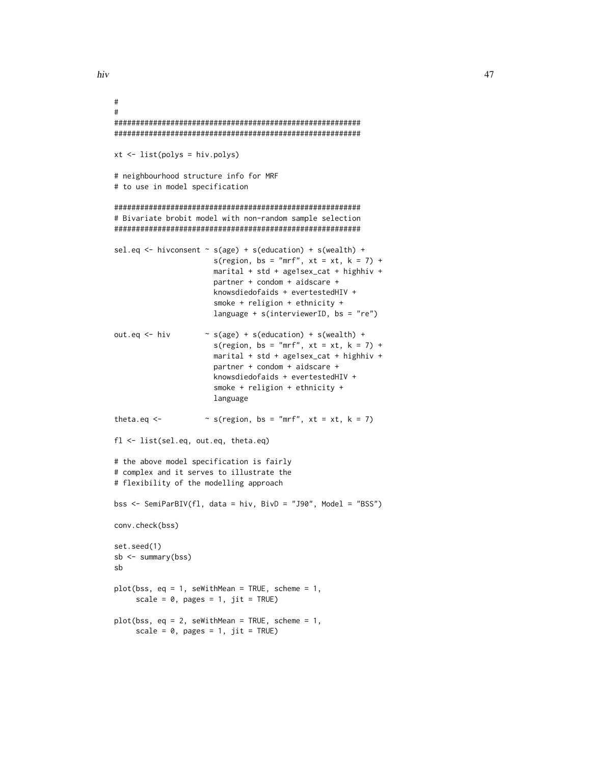```
#
#
#########################################################
#########################################################
xt <- list(polys = hiv.polys)
# neighbourhood structure info for MRF
# to use in model specification
#########################################################
# Bivariate brobit model with non-random sample selection
#########################################################
sel.eq <- hivconsent \sim s(age) + s(education) + s(wealth) +
                       s(region, bs = "mrf", xt = xt, k = 7) +
                       marital + std + age1sex_cat + highhiv +
                       partner + condom + aidscare +
                       knowsdiedofaids + evertestedHIV +
                       smoke + religion + ethnicity +
                       language + s(interviewerID, bs = "re")
out.eq <- hiv \sim s(age) + s(eduction) + s(wealth) +s(region, bs = "mrf", xt = xt, k = 7) +
                       marital + std + age1sex_cat + highhiv +
                       partner + condom + aidscare +
                       knowsdiedofaids + evertestedHIV +
                       smoke + religion + ethnicity +
                       language
theta.eq <- \sim s(region, bs = "mrf", xt = xt, k = 7)
fl <- list(sel.eq, out.eq, theta.eq)
# the above model specification is fairly
# complex and it serves to illustrate the
# flexibility of the modelling approach
bss <- SemiParBIV(fl, data = hiv, BivD = "J90", Model = "BSS")
conv.check(bss)
set.seed(1)
sb <- summary(bss)
sb
plot(bss, eq = 1, seWithMean = TRUE, scheme = 1,scale = 0, pages = 1, jit = TRUE)
plot(bss, eq = 2, seWithMean = TRUE, scheme = 1,scale = 0, pages = 1, jit = TRUE)
```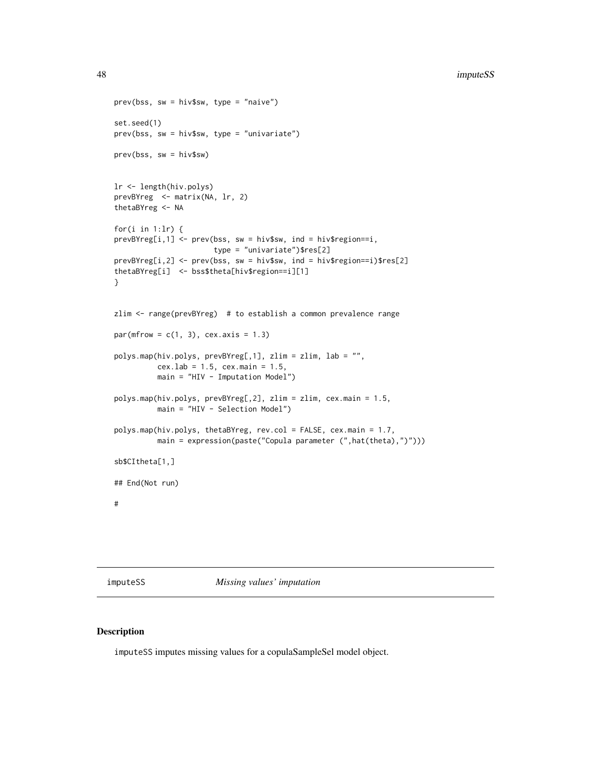```
48 imputeSS
```

```
prev(bss, sw = hiv$sw, type = "naive")
set.seed(1)
prev(bss, sw = hiv$sw, type = "univariate")
prev(bss, sw = hiv$sw)
lr <- length(hiv.polys)
prevBYreg <- matrix(NA, lr, 2)
thetaBYreg <- NA
for(i in 1:lr) {
prevBYreg[i,1] <- prev(bss, sw = hiv$sw, ind = hiv$region==i,
                       type = "univariate")$res[2]
prevBYreg[i,2] <- prev(bss, sw = hiv$sw, ind = hiv$region==i)$res[2]
thetaBYreg[i] <- bss$theta[hiv$region==i][1]
}
zlim <- range(prevBYreg) # to establish a common prevalence range
par(mfrow = c(1, 3), cex. axis = 1.3)polys.map(hiv.polys, prevBYreg[,1], zlim = zlim, lab = "",
          cex.lab = 1.5, cex.main = 1.5,
         main = "HIV - Imputation Model")
polys.map(hiv.polys, prevBYreg[,2], zlim = zlim, cex.main = 1.5,
         main = "HIV - Selection Model")
polys.map(hiv.polys, thetaBYreg, rev.col = FALSE, cex.main = 1.7,
         main = expression(paste("Copula parameter (",hat(theta),")")))
sb$CItheta[1,]
## End(Not run)
#
```
imputeSS *Missing values' imputation*

# Description

imputeSS imputes missing values for a copulaSampleSel model object.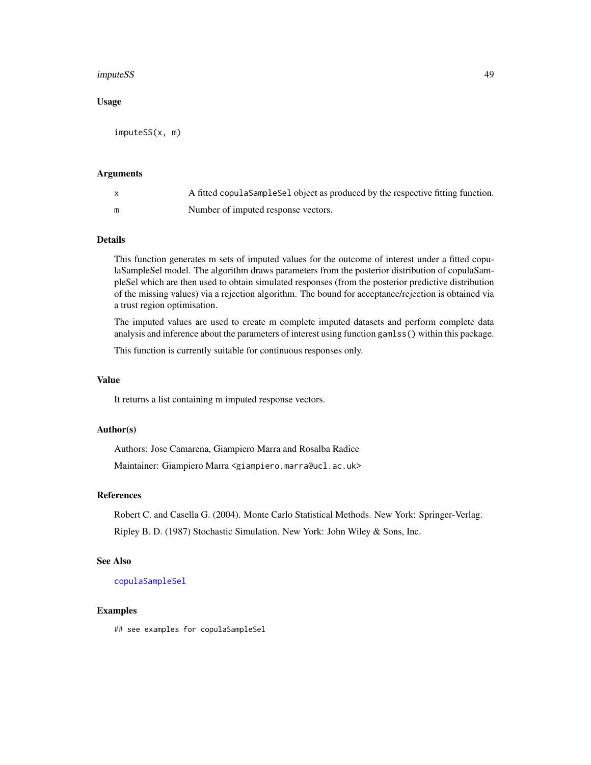#### imputeSS 49

#### Usage

imputeSS(x, m)

#### Arguments

| A fitted copula Sample Sel object as produced by the respective fitting function. |
|-----------------------------------------------------------------------------------|
| Number of imputed response vectors.                                               |

#### Details

This function generates m sets of imputed values for the outcome of interest under a fitted copulaSampleSel model. The algorithm draws parameters from the posterior distribution of copulaSampleSel which are then used to obtain simulated responses (from the posterior predictive distribution of the missing values) via a rejection algorithm. The bound for acceptance/rejection is obtained via a trust region optimisation.

The imputed values are used to create m complete imputed datasets and perform complete data analysis and inference about the parameters of interest using function gamlss() within this package.

This function is currently suitable for continuous responses only.

#### Value

It returns a list containing m imputed response vectors.

# Author(s)

Authors: Jose Camarena, Giampiero Marra and Rosalba Radice Maintainer: Giampiero Marra <giampiero.marra@ucl.ac.uk>

# References

Robert C. and Casella G. (2004). Monte Carlo Statistical Methods. New York: Springer-Verlag. Ripley B. D. (1987) Stochastic Simulation. New York: John Wiley & Sons, Inc.

#### See Also

[copulaSampleSel](#page-24-0)

### Examples

## see examples for copulaSampleSel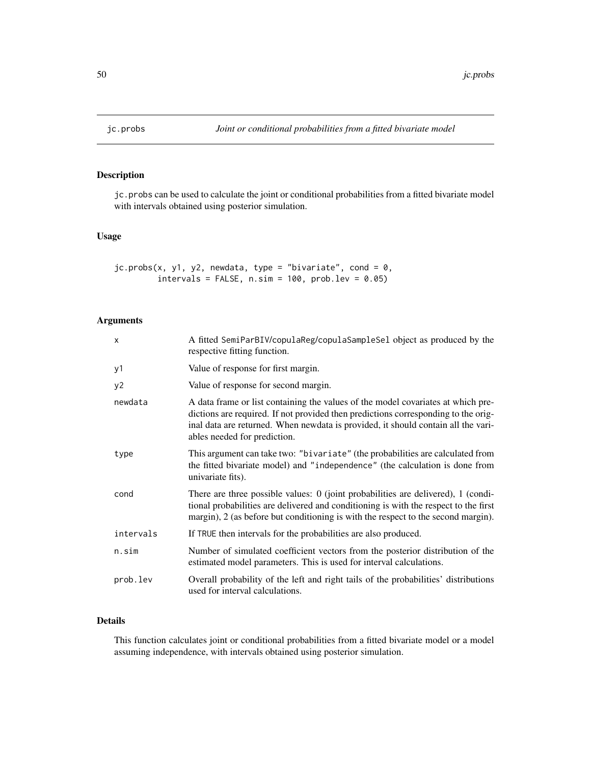# Description

jc.probs can be used to calculate the joint or conditional probabilities from a fitted bivariate model with intervals obtained using posterior simulation.

### Usage

 $jc.probs(x, y1, y2, newdata, type = "bivariate", cond = 0,$  $intervals = FALSE, n.sim = 100, prob.lev = 0.05)$ 

# Arguments

| $\boldsymbol{\mathsf{x}}$ | A fitted SemiParBIV/copulaReg/copulaSampleSel object as produced by the<br>respective fitting function.                                                                                                                                                                                     |
|---------------------------|---------------------------------------------------------------------------------------------------------------------------------------------------------------------------------------------------------------------------------------------------------------------------------------------|
| y1                        | Value of response for first margin.                                                                                                                                                                                                                                                         |
| y2                        | Value of response for second margin.                                                                                                                                                                                                                                                        |
| newdata                   | A data frame or list containing the values of the model covariates at which pre-<br>dictions are required. If not provided then predictions corresponding to the orig-<br>inal data are returned. When newdata is provided, it should contain all the vari-<br>ables needed for prediction. |
| type                      | This argument can take two: "bivariate" (the probabilities are calculated from<br>the fitted bivariate model) and "independence" (the calculation is done from<br>univariate fits).                                                                                                         |
| cond                      | There are three possible values: 0 (joint probabilities are delivered), 1 (condi-<br>tional probabilities are delivered and conditioning is with the respect to the first<br>margin), 2 (as before but conditioning is with the respect to the second margin).                              |
| intervals                 | If TRUE then intervals for the probabilities are also produced.                                                                                                                                                                                                                             |
| n.sim                     | Number of simulated coefficient vectors from the posterior distribution of the<br>estimated model parameters. This is used for interval calculations.                                                                                                                                       |
| prob.lev                  | Overall probability of the left and right tails of the probabilities' distributions<br>used for interval calculations.                                                                                                                                                                      |

## Details

This function calculates joint or conditional probabilities from a fitted bivariate model or a model assuming independence, with intervals obtained using posterior simulation.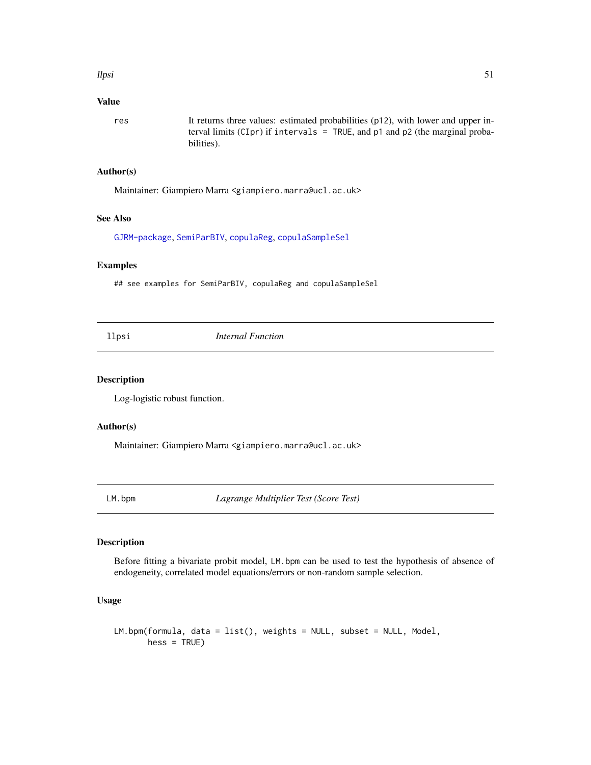#### llpsi 51

### Value

res It returns three values: estimated probabilities (p12), with lower and upper interval limits (CIpr) if intervals = TRUE, and p1 and p2 (the marginal probabilities).

# Author(s)

Maintainer: Giampiero Marra <giampiero.marra@ucl.ac.uk>

# See Also

[GJRM-package](#page-2-0), [SemiParBIV](#page-79-0), [copulaReg](#page-15-0), [copulaSampleSel](#page-24-0)

### Examples

## see examples for SemiParBIV, copulaReg and copulaSampleSel

llpsi *Internal Function*

#### Description

Log-logistic robust function.

### Author(s)

Maintainer: Giampiero Marra <giampiero.marra@ucl.ac.uk>

LM.bpm *Lagrange Multiplier Test (Score Test)*

# Description

Before fitting a bivariate probit model, LM.bpm can be used to test the hypothesis of absence of endogeneity, correlated model equations/errors or non-random sample selection.

# Usage

```
LM.bpm(formula, data = list(), weights = NULL, subset = NULL, Model,
       hess = TRUE)
```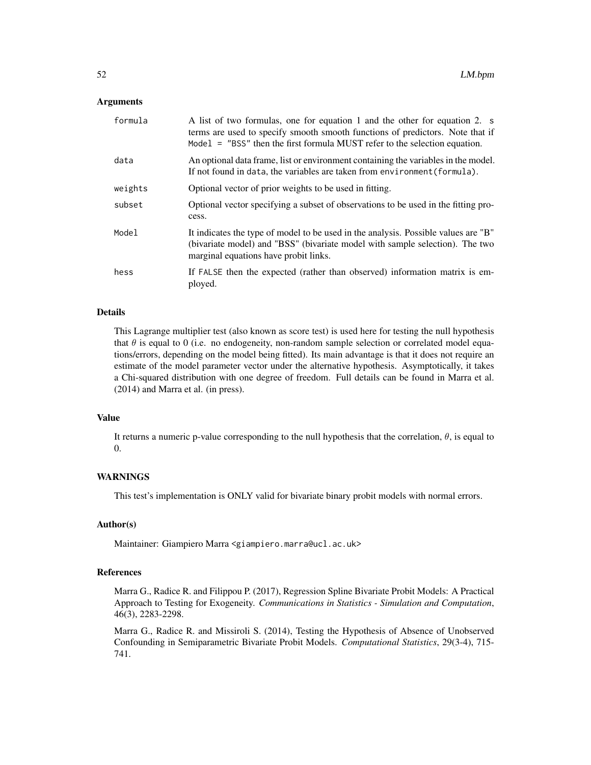#### Arguments

| formula | A list of two formulas, one for equation 1 and the other for equation 2. s<br>terms are used to specify smooth smooth functions of predictors. Note that if<br>Model $=$ "BSS" then the first formula MUST refer to the selection equation. |
|---------|---------------------------------------------------------------------------------------------------------------------------------------------------------------------------------------------------------------------------------------------|
| data    | An optional data frame, list or environment containing the variables in the model.<br>If not found in data, the variables are taken from environment (formula).                                                                             |
| weights | Optional vector of prior weights to be used in fitting.                                                                                                                                                                                     |
| subset  | Optional vector specifying a subset of observations to be used in the fitting pro-<br>cess.                                                                                                                                                 |
| Model   | It indicates the type of model to be used in the analysis. Possible values are "B"<br>(bivariate model) and "BSS" (bivariate model with sample selection). The two<br>marginal equations have probit links.                                 |
| hess    | If FALSE then the expected (rather than observed) information matrix is em-<br>ployed.                                                                                                                                                      |

#### Details

This Lagrange multiplier test (also known as score test) is used here for testing the null hypothesis that  $\theta$  is equal to 0 (i.e. no endogeneity, non-random sample selection or correlated model equations/errors, depending on the model being fitted). Its main advantage is that it does not require an estimate of the model parameter vector under the alternative hypothesis. Asymptotically, it takes a Chi-squared distribution with one degree of freedom. Full details can be found in Marra et al. (2014) and Marra et al. (in press).

#### Value

It returns a numeric p-value corresponding to the null hypothesis that the correlation,  $\theta$ , is equal to 0.

### WARNINGS

This test's implementation is ONLY valid for bivariate binary probit models with normal errors.

### Author(s)

Maintainer: Giampiero Marra <giampiero.marra@ucl.ac.uk>

#### References

Marra G., Radice R. and Filippou P. (2017), Regression Spline Bivariate Probit Models: A Practical Approach to Testing for Exogeneity. *Communications in Statistics - Simulation and Computation*, 46(3), 2283-2298.

Marra G., Radice R. and Missiroli S. (2014), Testing the Hypothesis of Absence of Unobserved Confounding in Semiparametric Bivariate Probit Models. *Computational Statistics*, 29(3-4), 715- 741.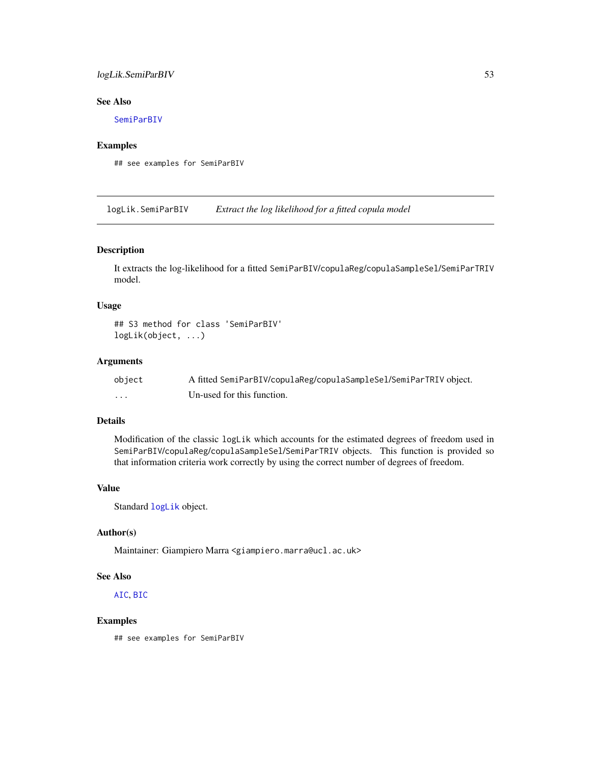# logLik.SemiParBIV 53

## See Also

[SemiParBIV](#page-79-0)

#### Examples

## see examples for SemiParBIV

logLik.SemiParBIV *Extract the log likelihood for a fitted copula model*

## Description

It extracts the log-likelihood for a fitted SemiParBIV/copulaReg/copulaSampleSel/SemiParTRIV model.

#### Usage

## S3 method for class 'SemiParBIV' logLik(object, ...)

#### **Arguments**

| object   | A fitted SemiParBIV/copulaReg/copulaSampleSel/SemiParTRIV object. |
|----------|-------------------------------------------------------------------|
| $\cdots$ | Un-used for this function.                                        |

### Details

Modification of the classic logLik which accounts for the estimated degrees of freedom used in SemiParBIV/copulaReg/copulaSampleSel/SemiParTRIV objects. This function is provided so that information criteria work correctly by using the correct number of degrees of freedom.

## Value

Standard [logLik](#page-0-0) object.

#### Author(s)

Maintainer: Giampiero Marra <giampiero.marra@ucl.ac.uk>

#### See Also

[AIC](#page-0-0), [BIC](#page-0-0)

# Examples

## see examples for SemiParBIV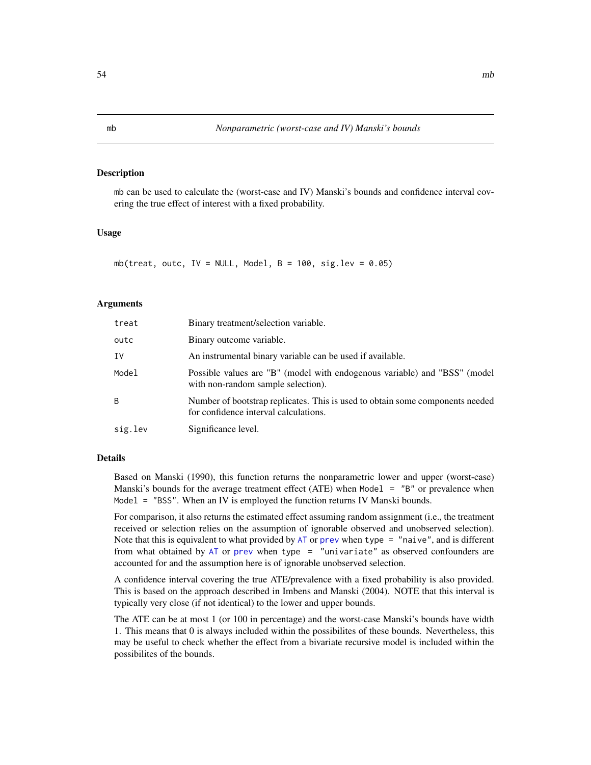# Description

mb can be used to calculate the (worst-case and IV) Manski's bounds and confidence interval covering the true effect of interest with a fixed probability.

### Usage

mb(treat, outc, IV = NULL, Model,  $B = 100$ , sig.lev = 0.05)

#### Arguments

| treat   | Binary treatment/selection variable.                                                                                   |
|---------|------------------------------------------------------------------------------------------------------------------------|
| outc    | Binary outcome variable.                                                                                               |
| ΙV      | An instrumental binary variable can be used if available.                                                              |
| Model   | Possible values are "B" (model with endogenous variable) and "BSS" (model<br>with non-random sample selection).        |
| B       | Number of bootstrap replicates. This is used to obtain some components needed<br>for confidence interval calculations. |
| sig.lev | Significance level.                                                                                                    |

# Details

Based on Manski (1990), this function returns the nonparametric lower and upper (worst-case) Manski's bounds for the average treatment effect (ATE) when Model = "B" or prevalence when Model = "BSS". When an IV is employed the function returns IV Manski bounds.

For comparison, it also returns the estimated effect assuming random assignment (i.e., the treatment received or selection relies on the assumption of ignorable observed and unobserved selection). Note that this is equivalent to what provided by  $AT$  or [prev](#page-64-0) when type = "naive", and is different from what obtained by  $AT$  or [prev](#page-64-0) when type = "univariate" as observed confounders are accounted for and the assumption here is of ignorable unobserved selection.

A confidence interval covering the true ATE/prevalence with a fixed probability is also provided. This is based on the approach described in Imbens and Manski (2004). NOTE that this interval is typically very close (if not identical) to the lower and upper bounds.

The ATE can be at most 1 (or 100 in percentage) and the worst-case Manski's bounds have width 1. This means that 0 is always included within the possibilites of these bounds. Nevertheless, this may be useful to check whether the effect from a bivariate recursive model is included within the possibilites of the bounds.

<span id="page-53-0"></span>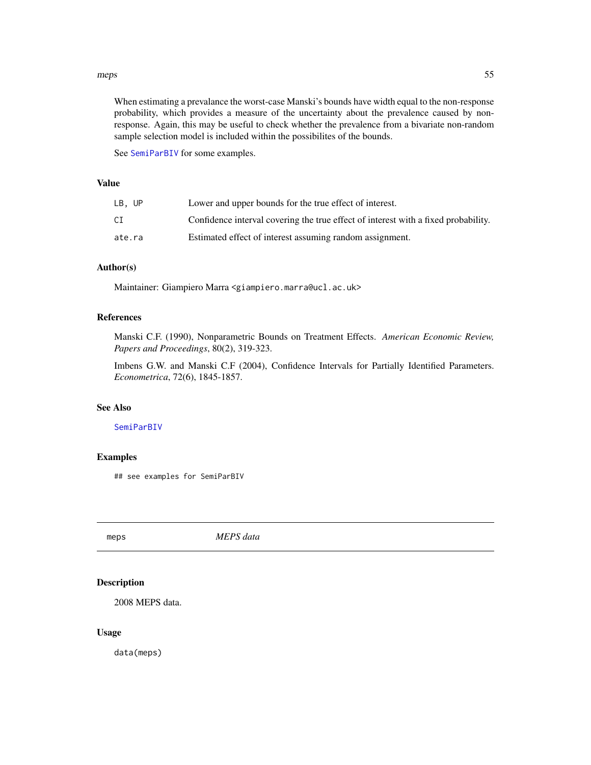#### meps 55

When estimating a prevalance the worst-case Manski's bounds have width equal to the non-response probability, which provides a measure of the uncertainty about the prevalence caused by nonresponse. Again, this may be useful to check whether the prevalence from a bivariate non-random sample selection model is included within the possibilites of the bounds.

See [SemiParBIV](#page-79-0) for some examples.

#### Value

| LB. UP | Lower and upper bounds for the true effect of interest.                            |
|--------|------------------------------------------------------------------------------------|
| СI     | Confidence interval covering the true effect of interest with a fixed probability. |
| ate.ra | Estimated effect of interest assuming random assignment.                           |

#### Author(s)

Maintainer: Giampiero Marra <giampiero.marra@ucl.ac.uk>

# References

Manski C.F. (1990), Nonparametric Bounds on Treatment Effects. *American Economic Review, Papers and Proceedings*, 80(2), 319-323.

Imbens G.W. and Manski C.F (2004), Confidence Intervals for Partially Identified Parameters. *Econometrica*, 72(6), 1845-1857.

### See Also

### [SemiParBIV](#page-79-0)

### Examples

## see examples for SemiParBIV

meps *MEPS data*

# Description

2008 MEPS data.

### Usage

data(meps)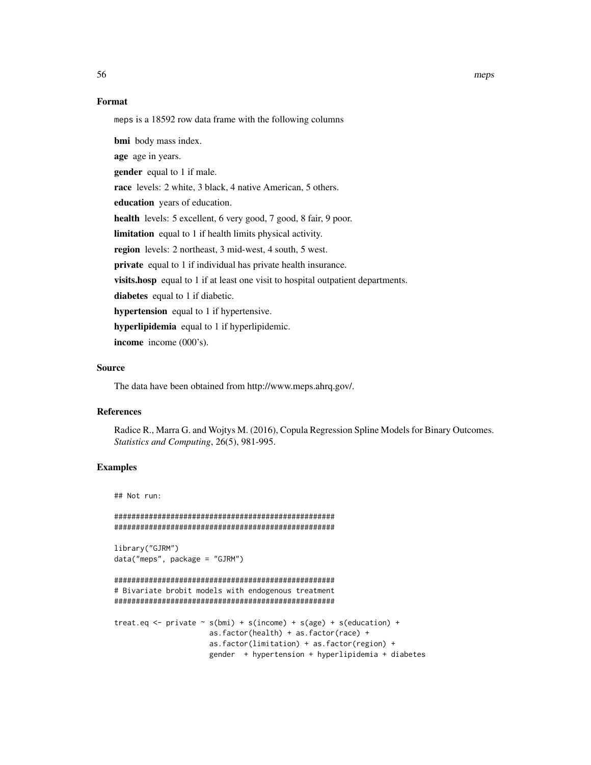### Format

meps is a 18592 row data frame with the following columns

bmi body mass index.

age age in years.

**gender** equal to 1 if male.

race levels: 2 white, 3 black, 4 native American, 5 others.

education years of education.

health levels: 5 excellent, 6 very good, 7 good, 8 fair, 9 poor.

limitation equal to 1 if health limits physical activity.

region levels: 2 northeast, 3 mid-west, 4 south, 5 west.

private equal to 1 if individual has private health insurance.

visits.hosp equal to 1 if at least one visit to hospital outpatient departments.

diabetes equal to 1 if diabetic.

hypertension equal to 1 if hypertensive.

hyperlipidemia equal to 1 if hyperlipidemic.

income income (000's).

# Source

The data have been obtained from http://www.meps.ahrq.gov/.

# References

Radice R., Marra G. and Wojtys M. (2016), Copula Regression Spline Models for Binary Outcomes. *Statistics and Computing*, 26(5), 981-995.

## Examples

```
## Not run:
###################################################
###################################################
library("GJRM")
data("meps", package = "GJRM")
###################################################
# Bivariate brobit models with endogenous treatment
###################################################
treat.eq <- private \sim s(bmi) + s(income) + s(age) + s(education) +
                      as.factor(health) + as.factor(race) +
                      as.factor(limitation) + as.factor(region) +
                      gender + hypertension + hyperlipidemia + diabetes
```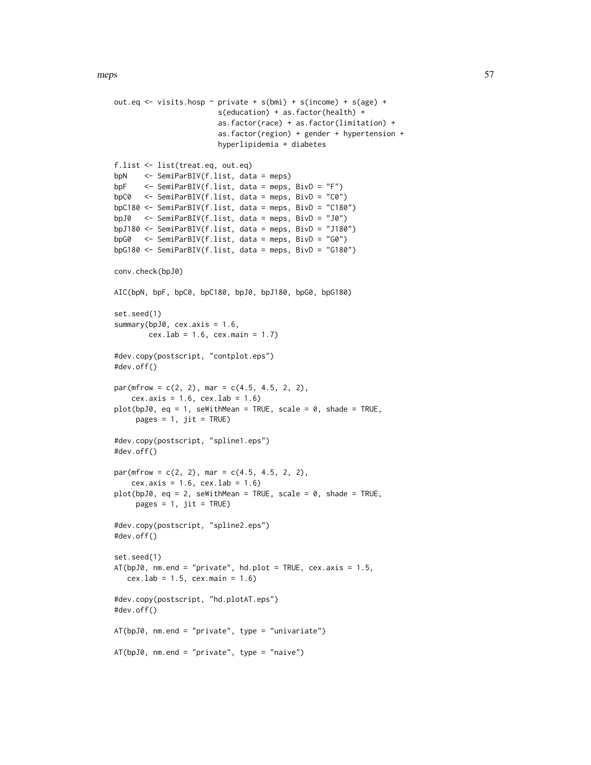```
out.eq \le visits.hosp \sim private + s(bmi) + s(income) + s(age) +
                        s(education) + as.factor(health) +
                        as.factor(race) + as.factor(limitation) +
                        as.factor(region) + gender + hypertension +
                        hyperlipidemia + diabetes
f.list <- list(treat.eq, out.eq)
bpN <- SemiParBIV(f.list, data = meps)
bpF <- SemiParBIV(f.list, data = meps, BivD = "F")
bpC0 <- SemiParBIV(f.list, data = meps, BivD = "C0")
bpC180 <- SemiParBIV(f.list, data = meps, BivD = "C180")
bpJ0 <- SemiParBIV(f.list, data = meps, BivD = "J0")
bpJ180 <- SemiParBIV(f.list, data = meps, BivD = "J180")
bpG0 <- SemiParBIV(f.list, data = meps, BivD = "G0")
bpG180 <- SemiParBIV(f.list, data = meps, BivD = "G180")
conv.check(bpJ0)
AIC(bpN, bpF, bpC0, bpC180, bpJ0, bpJ180, bpG0, bpG180)
set.seed(1)
summary(bpJ0, cex.axis = 1.6,
       cex.lab = 1.6, cex.main = 1.7)
#dev.copy(postscript, "contplot.eps")
#dev.off()
par(mfrow = c(2, 2), mar = c(4.5, 4.5, 2, 2),cex.axis = 1.6, cex.lab = 1.6)
plot(bpJ0, eq = 1, seWithMean = TRUE, scale = 0, shade = TRUE,pages = 1, jit = TRUE)#dev.copy(postscript, "spline1.eps")
#dev.off()
par(mfrow = c(2, 2), mar = c(4.5, 4.5, 2, 2),cex.axis = 1.6, cex.lab = 1.6)
plot(bpJ0, eq = 2, seWithMean = TRUE, scale = 0, shade = TRUE,pages = 1, jit = TRUE)#dev.copy(postscript, "spline2.eps")
#dev.off()
set.seed(1)
AT(bpJ0, nm.end = "private", hd.plot = TRUE, cex.axis = 1.5,
   cex.lab = 1.5, cex.main = 1.6)
#dev.copy(postscript, "hd.plotAT.eps")
#dev.off()
AT(bpJ0, nm.end = "private", type = "univariate")
AT(bpJ0, nm.end = "private", type = "naive")
```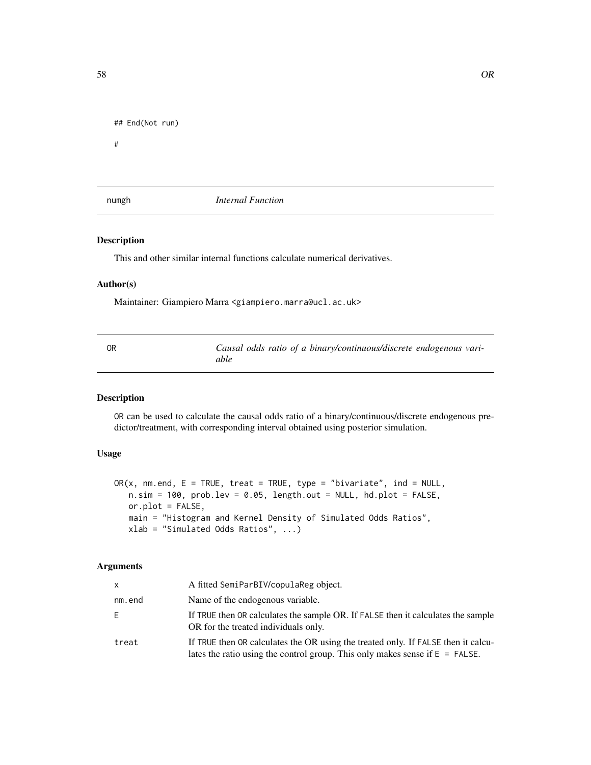```
## End(Not run)
```
#

numgh *Internal Function*

### Description

This and other similar internal functions calculate numerical derivatives.

#### Author(s)

Maintainer: Giampiero Marra <giampiero.marra@ucl.ac.uk>

<span id="page-57-0"></span>OR *Causal odds ratio of a binary/continuous/discrete endogenous variable*

# Description

OR can be used to calculate the causal odds ratio of a binary/continuous/discrete endogenous predictor/treatment, with corresponding interval obtained using posterior simulation.

### Usage

```
OR(x, nm.end, E = TRUE, treat = TRUE, type = "bivariate", ind = NULL,
  n.\sin = 100, prob.lev = 0.05, length.out = NULL, hd.plot = FALSE,
  or.plot = FALSE,
  main = "Histogram and Kernel Density of Simulated Odds Ratios",
  xlab = "Simulated Odds Ratios", ...)
```
#### Arguments

| $\mathsf{x}$ | A fitted SemiParBIV/copulaReg object.                                                                                                                                |
|--------------|----------------------------------------------------------------------------------------------------------------------------------------------------------------------|
| nm.end       | Name of the endogenous variable.                                                                                                                                     |
| E.           | If TRUE then OR calculates the sample OR. If FALSE then it calculates the sample<br>OR for the treated individuals only.                                             |
| treat        | If TRUE then OR calculates the OR using the treated only. If FALSE then it calcu-<br>lates the ratio using the control group. This only makes sense if $E = FALSE$ . |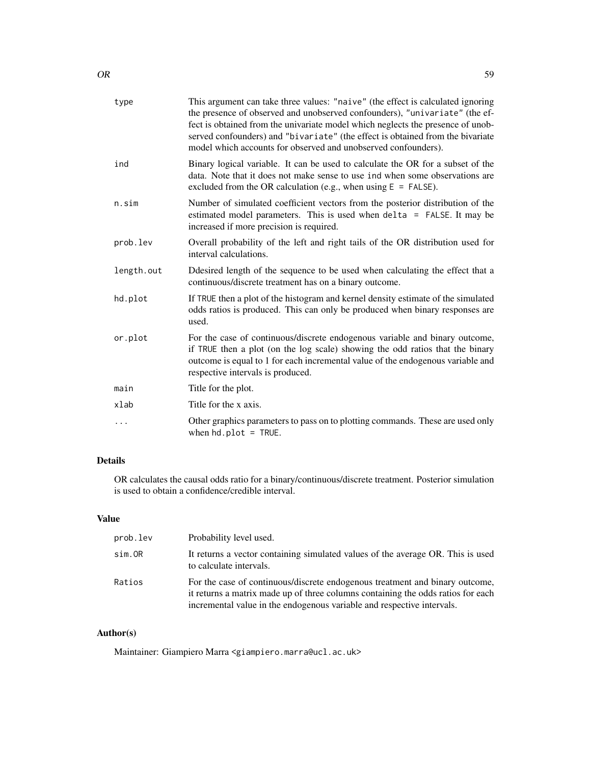| type       | This argument can take three values: "naive" (the effect is calculated ignoring<br>the presence of observed and unobserved confounders), "univariate" (the ef-<br>fect is obtained from the univariate model which neglects the presence of unob-<br>served confounders) and "bivariate" (the effect is obtained from the bivariate<br>model which accounts for observed and unobserved confounders). |
|------------|-------------------------------------------------------------------------------------------------------------------------------------------------------------------------------------------------------------------------------------------------------------------------------------------------------------------------------------------------------------------------------------------------------|
| ind        | Binary logical variable. It can be used to calculate the OR for a subset of the<br>data. Note that it does not make sense to use ind when some observations are<br>excluded from the OR calculation (e.g., when using $E = FALSE$ ).                                                                                                                                                                  |
| n.sim      | Number of simulated coefficient vectors from the posterior distribution of the<br>estimated model parameters. This is used when delta $=$ FALSE. It may be<br>increased if more precision is required.                                                                                                                                                                                                |
| prob.lev   | Overall probability of the left and right tails of the OR distribution used for<br>interval calculations.                                                                                                                                                                                                                                                                                             |
| length.out | Deferred length of the sequence to be used when calculating the effect that a<br>continuous/discrete treatment has on a binary outcome.                                                                                                                                                                                                                                                               |
| hd.plot    | If TRUE then a plot of the histogram and kernel density estimate of the simulated<br>odds ratios is produced. This can only be produced when binary responses are<br>used.                                                                                                                                                                                                                            |
| or.plot    | For the case of continuous/discrete endogenous variable and binary outcome,<br>if TRUE then a plot (on the log scale) showing the odd ratios that the binary<br>outcome is equal to 1 for each incremental value of the endogenous variable and<br>respective intervals is produced.                                                                                                                  |
| main       | Title for the plot.                                                                                                                                                                                                                                                                                                                                                                                   |
| xlab       | Title for the x axis.                                                                                                                                                                                                                                                                                                                                                                                 |
| $\cdots$   | Other graphics parameters to pass on to plotting commands. These are used only<br>when $hd.plot = TRUE$ .                                                                                                                                                                                                                                                                                             |

# Details

OR calculates the causal odds ratio for a binary/continuous/discrete treatment. Posterior simulation is used to obtain a confidence/credible interval.

# Value

| prob.lev | Probability level used.                                                                                                                                                                                                                    |
|----------|--------------------------------------------------------------------------------------------------------------------------------------------------------------------------------------------------------------------------------------------|
| sim.OR   | It returns a vector containing simulated values of the average OR. This is used<br>to calculate intervals.                                                                                                                                 |
| Ratios   | For the case of continuous/discrete endogenous treatment and binary outcome,<br>it returns a matrix made up of three columns containing the odds ratios for each<br>incremental value in the endogenous variable and respective intervals. |

# Author(s)

Maintainer: Giampiero Marra <giampiero.marra@ucl.ac.uk>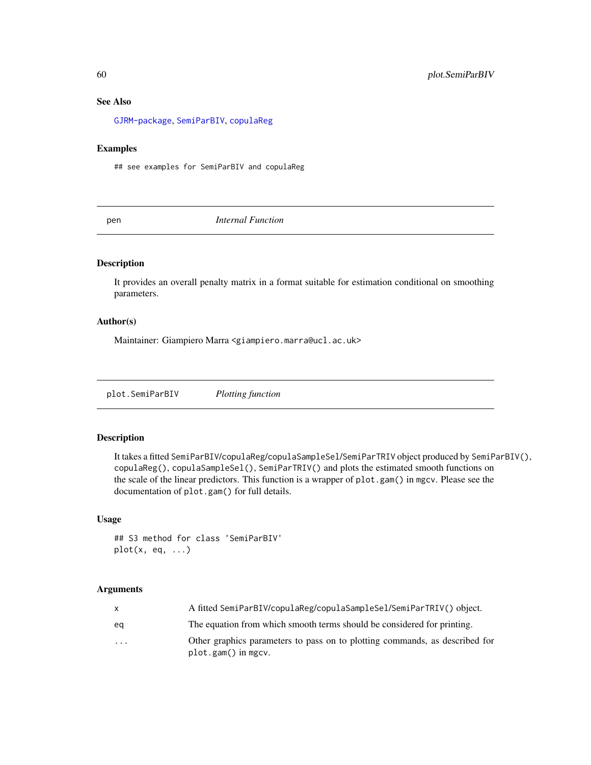## See Also

[GJRM-package](#page-2-0), [SemiParBIV](#page-79-0), [copulaReg](#page-15-0)

# Examples

## see examples for SemiParBIV and copulaReg

pen *Internal Function*

### Description

It provides an overall penalty matrix in a format suitable for estimation conditional on smoothing parameters.

### Author(s)

Maintainer: Giampiero Marra <giampiero.marra@ucl.ac.uk>

<span id="page-59-0"></span>plot.SemiParBIV *Plotting function*

### Description

It takes a fitted SemiParBIV/copulaReg/copulaSampleSel/SemiParTRIV object produced by SemiParBIV(), copulaReg(), copulaSampleSel(), SemiParTRIV() and plots the estimated smooth functions on the scale of the linear predictors. This function is a wrapper of plot.gam() in mgcv. Please see the documentation of plot.gam() for full details.

#### Usage

## S3 method for class 'SemiParBIV'  $plot(x, eq, ...)$ 

# Arguments

|                         | A fitted SemiParBIV/copulaReg/copulaSampleSel/SemiParTRIV() object.                                  |
|-------------------------|------------------------------------------------------------------------------------------------------|
| ea                      | The equation from which smooth terms should be considered for printing.                              |
| $\cdot$ $\cdot$ $\cdot$ | Other graphics parameters to pass on to plotting commands, as described for<br>$plot.gam()$ in mgcv. |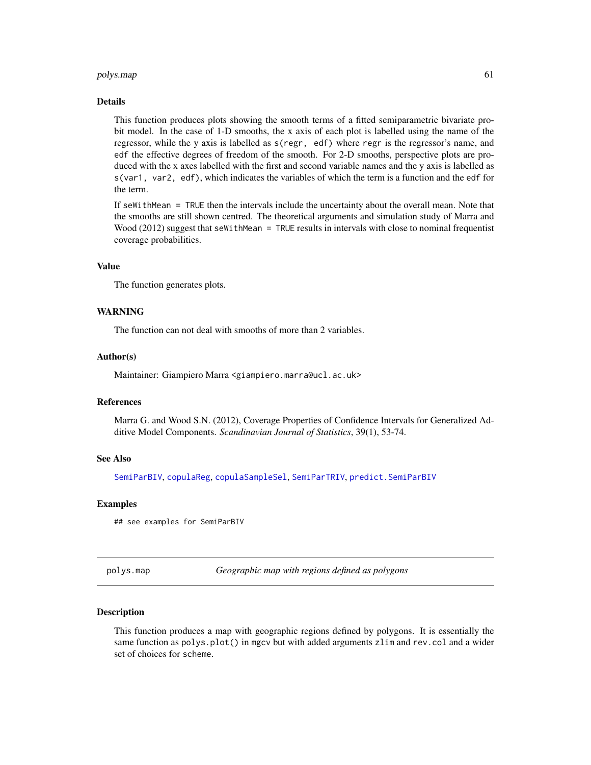#### polys.map 61

#### Details

This function produces plots showing the smooth terms of a fitted semiparametric bivariate probit model. In the case of 1-D smooths, the x axis of each plot is labelled using the name of the regressor, while the y axis is labelled as s(regr, edf) where regr is the regressor's name, and edf the effective degrees of freedom of the smooth. For 2-D smooths, perspective plots are produced with the x axes labelled with the first and second variable names and the y axis is labelled as s(var1, var2, edf), which indicates the variables of which the term is a function and the edf for the term.

If seWithMean = TRUE then the intervals include the uncertainty about the overall mean. Note that the smooths are still shown centred. The theoretical arguments and simulation study of Marra and Wood (2012) suggest that seWithMean = TRUE results in intervals with close to nominal frequentist coverage probabilities.

### Value

The function generates plots.

#### **WARNING**

The function can not deal with smooths of more than 2 variables.

#### Author(s)

Maintainer: Giampiero Marra <giampiero.marra@ucl.ac.uk>

#### References

Marra G. and Wood S.N. (2012), Coverage Properties of Confidence Intervals for Generalized Additive Model Components. *Scandinavian Journal of Statistics*, 39(1), 53-74.

#### See Also

[SemiParBIV](#page-79-0), [copulaReg](#page-15-0), [copulaSampleSel](#page-24-0), [SemiParTRIV](#page-92-0), [predict.SemiParBIV](#page-63-0)

#### Examples

## see examples for SemiParBIV

polys.map *Geographic map with regions defined as polygons*

#### Description

This function produces a map with geographic regions defined by polygons. It is essentially the same function as polys.plot() in mgcv but with added arguments zlim and rev.col and a wider set of choices for scheme.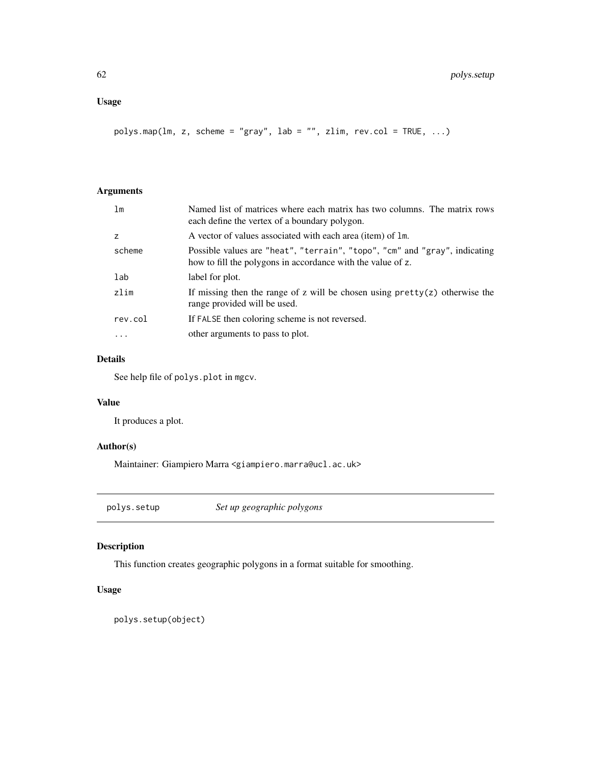# Usage

```
polys.map(lm, z, scheme = "gray", lab = "", zlim, rev.col = TRUE, ...)
```
# Arguments

| 1 <sub>m</sub> | Named list of matrices where each matrix has two columns. The matrix rows<br>each define the vertex of a boundary polygon.                |
|----------------|-------------------------------------------------------------------------------------------------------------------------------------------|
| Z              | A vector of values associated with each area (item) of 1m.                                                                                |
| scheme         | Possible values are "heat", "terrain", "topo", "cm" and "gray", indicating<br>how to fill the polygons in accordance with the value of z. |
| lab            | label for plot.                                                                                                                           |
| zlim           | If missing then the range of z will be chosen using $\text{pretry}(z)$ otherwise the<br>range provided will be used.                      |
| rev.col        | If FALSE then coloring scheme is not reversed.                                                                                            |
|                | other arguments to pass to plot.                                                                                                          |
|                |                                                                                                                                           |

# Details

See help file of polys.plot in mgcv.

# Value

It produces a plot.

# Author(s)

Maintainer: Giampiero Marra <giampiero.marra@ucl.ac.uk>

polys.setup *Set up geographic polygons*

# Description

This function creates geographic polygons in a format suitable for smoothing.

# Usage

polys.setup(object)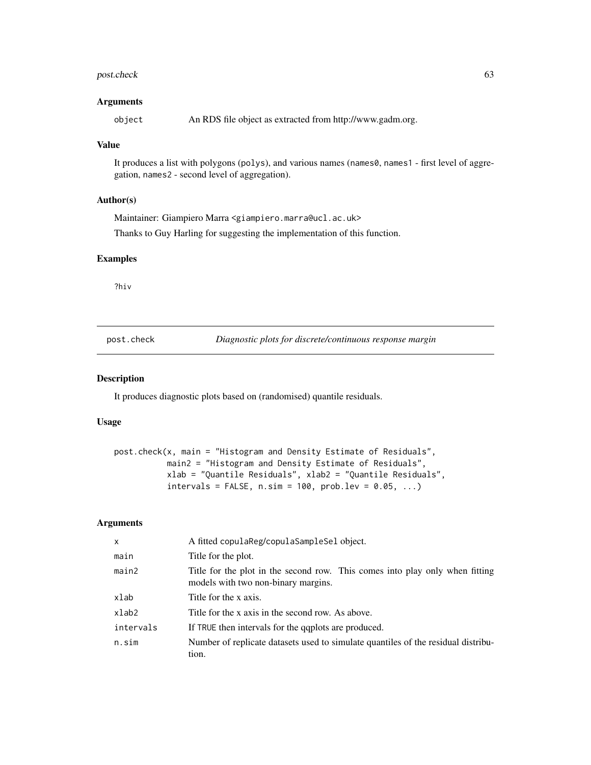# post.check 63

#### **Arguments**

object An RDS file object as extracted from http://www.gadm.org.

## Value

It produces a list with polygons (polys), and various names (names0, names1 - first level of aggregation, names2 - second level of aggregation).

# Author(s)

Maintainer: Giampiero Marra <giampiero.marra@ucl.ac.uk>

Thanks to Guy Harling for suggesting the implementation of this function.

### Examples

?hiv

post.check *Diagnostic plots for discrete/continuous response margin*

#### Description

It produces diagnostic plots based on (randomised) quantile residuals.

#### Usage

post.check(x, main = "Histogram and Density Estimate of Residuals", main2 = "Histogram and Density Estimate of Residuals", xlab = "Quantile Residuals", xlab2 = "Quantile Residuals",  $intervals = FALSE, n.sim = 100, prob. lev = 0.05, ...)$ 

## Arguments

| $\times$  | A fitted copulaReg/copulaSampleSel object.                                                                          |
|-----------|---------------------------------------------------------------------------------------------------------------------|
| main      | Title for the plot.                                                                                                 |
| main2     | Title for the plot in the second row. This comes into play only when fitting<br>models with two non-binary margins. |
| xlab      | Title for the x axis.                                                                                               |
| xlab2     | Title for the x axis in the second row. As above.                                                                   |
| intervals | If TRUE then intervals for the gaplots are produced.                                                                |
| n.sim     | Number of replicate datasets used to simulate quantiles of the residual distribu-<br>tion.                          |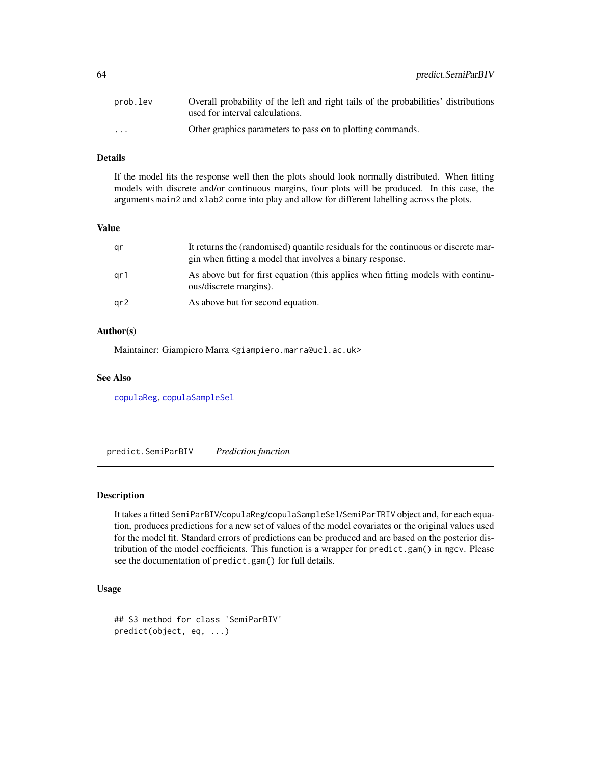| prob.lev                | Overall probability of the left and right tails of the probabilities' distributions<br>used for interval calculations. |
|-------------------------|------------------------------------------------------------------------------------------------------------------------|
| $\cdot$ $\cdot$ $\cdot$ | Other graphics parameters to pass on to plotting commands.                                                             |

### Details

If the model fits the response well then the plots should look normally distributed. When fitting models with discrete and/or continuous margins, four plots will be produced. In this case, the arguments main2 and xlab2 come into play and allow for different labelling across the plots.

## Value

| ar  | It returns the (randomised) quantile residuals for the continuous or discrete mar-<br>gin when fitting a model that involves a binary response. |
|-----|-------------------------------------------------------------------------------------------------------------------------------------------------|
| ar1 | As above but for first equation (this applies when fitting models with continu-<br>ous/discrete margins).                                       |
| ar2 | As above but for second equation.                                                                                                               |

#### Author(s)

Maintainer: Giampiero Marra <giampiero.marra@ucl.ac.uk>

### See Also

[copulaReg](#page-15-0), [copulaSampleSel](#page-24-0)

<span id="page-63-0"></span>predict.SemiParBIV *Prediction function*

### Description

It takes a fitted SemiParBIV/copulaReg/copulaSampleSel/SemiParTRIV object and, for each equation, produces predictions for a new set of values of the model covariates or the original values used for the model fit. Standard errors of predictions can be produced and are based on the posterior distribution of the model coefficients. This function is a wrapper for predict.gam() in mgcv. Please see the documentation of predict.gam() for full details.

### Usage

```
## S3 method for class 'SemiParBIV'
predict(object, eq, ...)
```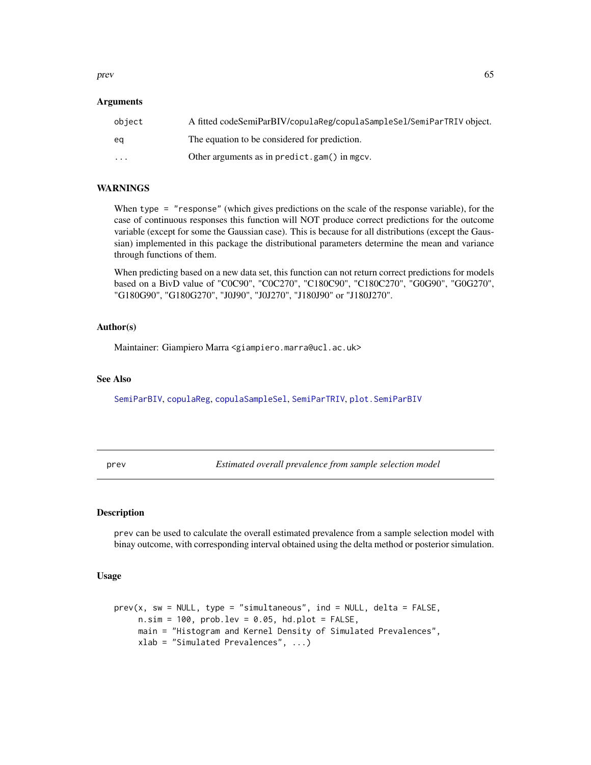prev 65

#### **Arguments**

| object  | A fitted codeSemiParBIV/copulaReg/copulaSampleSel/SemiParTRIV object. |
|---------|-----------------------------------------------------------------------|
| ea      | The equation to be considered for prediction.                         |
| $\cdot$ | Other arguments as in predict.gam() in mgcv.                          |

## **WARNINGS**

When type = "response" (which gives predictions on the scale of the response variable), for the case of continuous responses this function will NOT produce correct predictions for the outcome variable (except for some the Gaussian case). This is because for all distributions (except the Gaussian) implemented in this package the distributional parameters determine the mean and variance through functions of them.

When predicting based on a new data set, this function can not return correct predictions for models based on a BivD value of "C0C90", "C0C270", "C180C90", "C180C270", "G0G90", "G0G270", "G180G90", "G180G270", "J0J90", "J0J270", "J180J90" or "J180J270".

#### Author(s)

Maintainer: Giampiero Marra <giampiero.marra@ucl.ac.uk>

# See Also

[SemiParBIV](#page-79-0), [copulaReg](#page-15-0), [copulaSampleSel](#page-24-0), [SemiParTRIV](#page-92-0), [plot.SemiParBIV](#page-59-0)

<span id="page-64-0"></span>prev *Estimated overall prevalence from sample selection model*

#### **Description**

prev can be used to calculate the overall estimated prevalence from a sample selection model with binay outcome, with corresponding interval obtained using the delta method or posterior simulation.

### Usage

```
prev(x, sw = NULL, type = "simultaneous", ind = NULL, delta = FALSE,n.sim = 100, prob.lev = 0.05, hd.plot = FALSE,
    main = "Histogram and Kernel Density of Simulated Prevalences",
    xlab = "Simulated Prevalences", ...)
```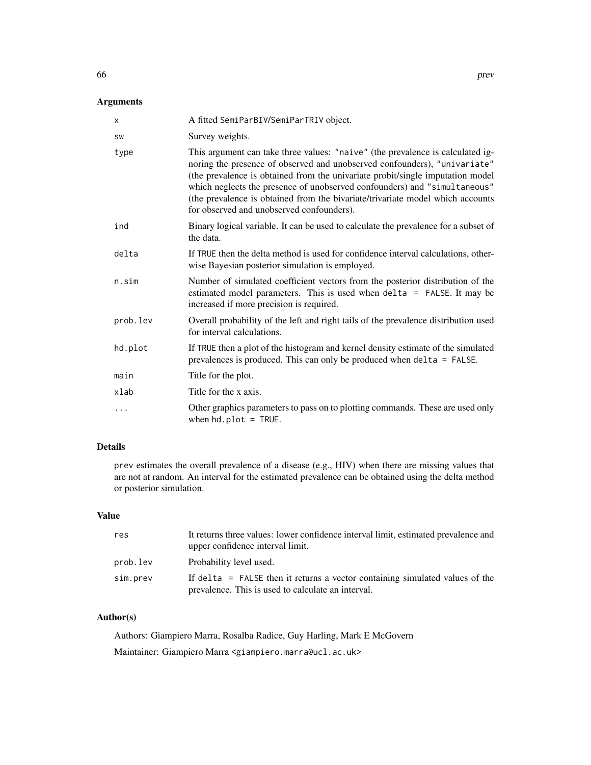| x        | A fitted SemiParBIV/SemiParTRIV object.                                                                                                                                                                                                                                                                                                                                                                                                                   |
|----------|-----------------------------------------------------------------------------------------------------------------------------------------------------------------------------------------------------------------------------------------------------------------------------------------------------------------------------------------------------------------------------------------------------------------------------------------------------------|
| SW       | Survey weights.                                                                                                                                                                                                                                                                                                                                                                                                                                           |
| type     | This argument can take three values: "naive" (the prevalence is calculated ig-<br>noring the presence of observed and unobserved confounders), "univariate"<br>(the prevalence is obtained from the univariate probit/single imputation model<br>which neglects the presence of unobserved confounders) and "simultaneous"<br>(the prevalence is obtained from the bivariate/trivariate model which accounts<br>for observed and unobserved confounders). |
| ind      | Binary logical variable. It can be used to calculate the prevalence for a subset of<br>the data.                                                                                                                                                                                                                                                                                                                                                          |
| delta    | If TRUE then the delta method is used for confidence interval calculations, other-<br>wise Bayesian posterior simulation is employed.                                                                                                                                                                                                                                                                                                                     |
| n.sim    | Number of simulated coefficient vectors from the posterior distribution of the<br>estimated model parameters. This is used when delta = $FALSE$ . It may be<br>increased if more precision is required.                                                                                                                                                                                                                                                   |
| prob.lev | Overall probability of the left and right tails of the prevalence distribution used<br>for interval calculations.                                                                                                                                                                                                                                                                                                                                         |
| hd.plot  | If TRUE then a plot of the histogram and kernel density estimate of the simulated<br>prevalences is produced. This can only be produced when delta = FALSE.                                                                                                                                                                                                                                                                                               |
| main     | Title for the plot.                                                                                                                                                                                                                                                                                                                                                                                                                                       |
| xlab     | Title for the x axis.                                                                                                                                                                                                                                                                                                                                                                                                                                     |
| $\ddots$ | Other graphics parameters to pass on to plotting commands. These are used only<br>when $hd.plot = TRUE$ .                                                                                                                                                                                                                                                                                                                                                 |

# Details

prev estimates the overall prevalence of a disease (e.g., HIV) when there are missing values that are not at random. An interval for the estimated prevalence can be obtained using the delta method or posterior simulation.

# Value

| res      | It returns three values: lower confidence interval limit, estimated prevalence and<br>upper confidence interval limit.             |
|----------|------------------------------------------------------------------------------------------------------------------------------------|
| prob.lev | Probability level used.                                                                                                            |
| sim.prev | If delta = FALSE then it returns a vector containing simulated values of the<br>prevalence. This is used to calculate an interval. |

# Author(s)

Authors: Giampiero Marra, Rosalba Radice, Guy Harling, Mark E McGovern Maintainer: Giampiero Marra <giampiero.marra@ucl.ac.uk>

66 prev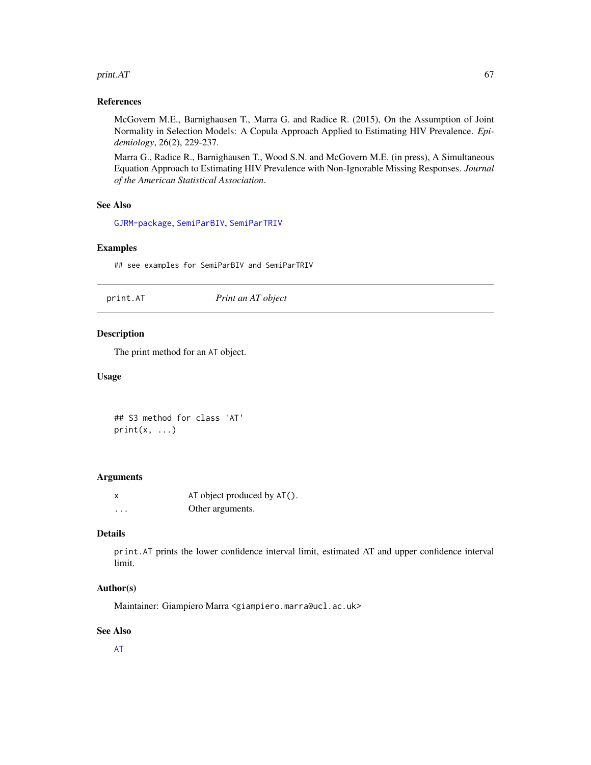#### $\mu$ print.AT 67

### References

McGovern M.E., Barnighausen T., Marra G. and Radice R. (2015), On the Assumption of Joint Normality in Selection Models: A Copula Approach Applied to Estimating HIV Prevalence. *Epidemiology*, 26(2), 229-237.

Marra G., Radice R., Barnighausen T., Wood S.N. and McGovern M.E. (in press), A Simultaneous Equation Approach to Estimating HIV Prevalence with Non-Ignorable Missing Responses. *Journal of the American Statistical Association*.

#### See Also

[GJRM-package](#page-2-0), [SemiParBIV](#page-79-0), [SemiParTRIV](#page-92-0)

#### Examples

## see examples for SemiParBIV and SemiParTRIV

# print.AT *Print an AT object*

## Description

The print method for an AT object.

# Usage

## S3 method for class 'AT'  $print(x, \ldots)$ 

## Arguments

|   | AT object produced by $AT()$ . |
|---|--------------------------------|
| . | Other arguments.               |

# Details

print.AT prints the lower confidence interval limit, estimated AT and upper confidence interval limit.

### Author(s)

Maintainer: Giampiero Marra <giampiero.marra@ucl.ac.uk>

#### See Also

[AT](#page-6-0)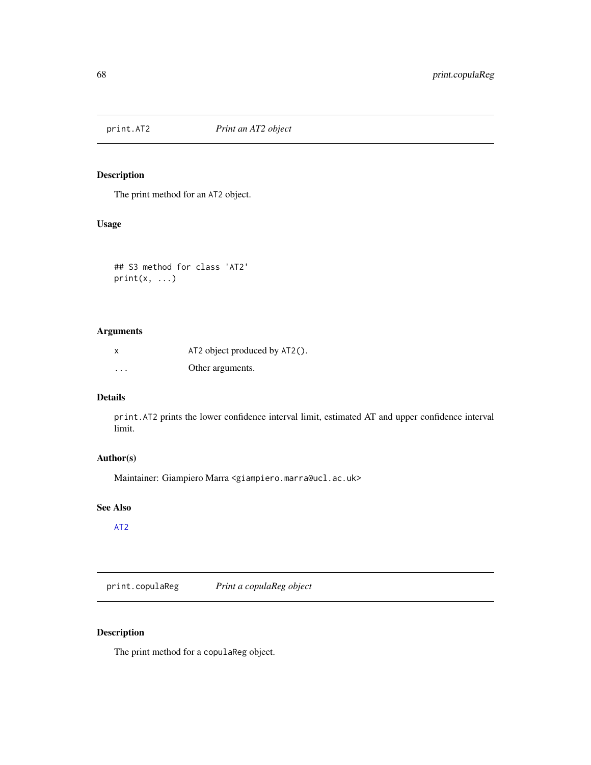# Description

The print method for an AT2 object.

# Usage

## S3 method for class 'AT2'  $print(x, \ldots)$ 

# Arguments

|          | AT2 object produced by $AT2()$ . |
|----------|----------------------------------|
| $\cdots$ | Other arguments.                 |

### Details

print.AT2 prints the lower confidence interval limit, estimated AT and upper confidence interval limit.

# Author(s)

Maintainer: Giampiero Marra <giampiero.marra@ucl.ac.uk>

# See Also

[AT2](#page-8-0)

print.copulaReg *Print a copulaReg object*

# Description

The print method for a copulaReg object.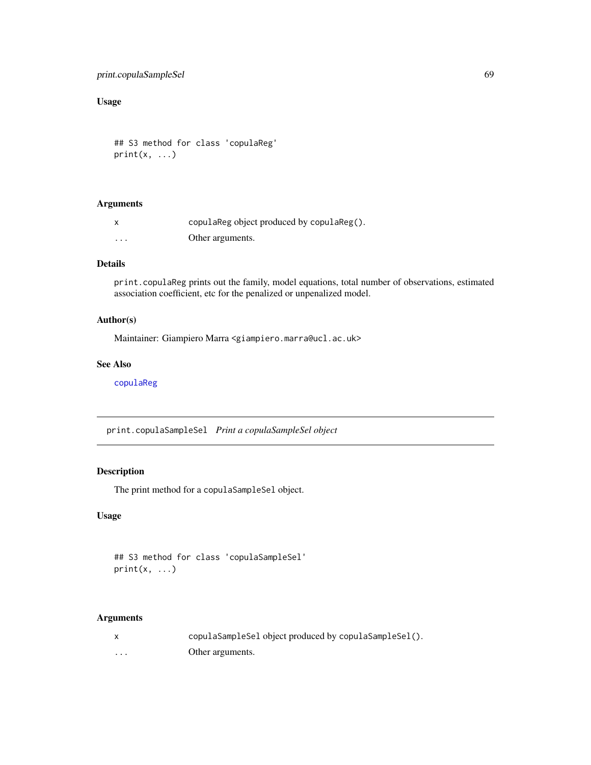# print.copulaSampleSel 69

# Usage

## S3 method for class 'copulaReg'  $print(x, \ldots)$ 

## Arguments

|   | copulaReg object produced by copulaReg(). |
|---|-------------------------------------------|
| . | Other arguments.                          |

# Details

print.copulaReg prints out the family, model equations, total number of observations, estimated association coefficient, etc for the penalized or unpenalized model.

# Author(s)

Maintainer: Giampiero Marra <giampiero.marra@ucl.ac.uk>

## See Also

[copulaReg](#page-15-0)

print.copulaSampleSel *Print a copulaSampleSel object*

### Description

The print method for a copulaSampleSel object.

# Usage

## S3 method for class 'copulaSampleSel'  $print(x, \ldots)$ 

# Arguments

|          | copulaSampleSel object produced by copulaSampleSel(). |
|----------|-------------------------------------------------------|
| $\cdots$ | Other arguments.                                      |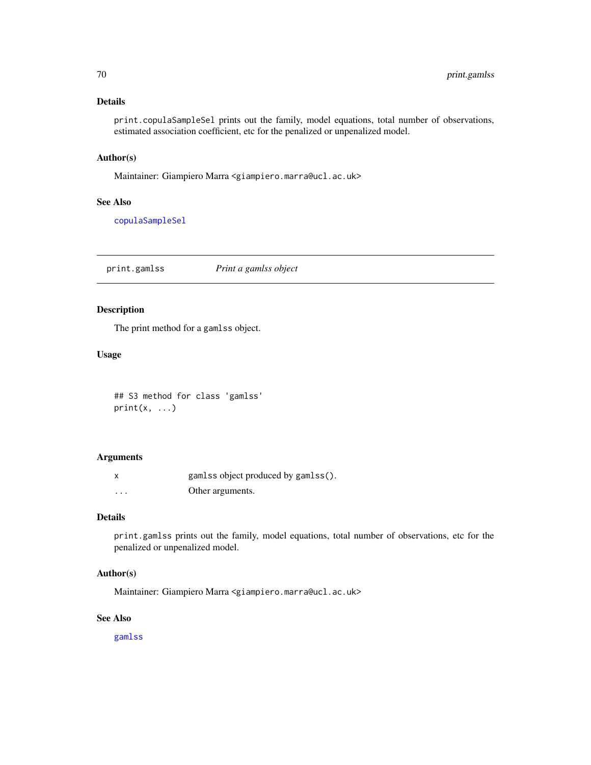### Details

print.copulaSampleSel prints out the family, model equations, total number of observations, estimated association coefficient, etc for the penalized or unpenalized model.

#### Author(s)

Maintainer: Giampiero Marra <giampiero.marra@ucl.ac.uk>

# See Also

[copulaSampleSel](#page-24-0)

print.gamlss *Print a gamlss object*

# Description

The print method for a gamlss object.

#### Usage

## S3 method for class 'gamlss'  $print(x, \ldots)$ 

# Arguments

| x | gamlss object produced by gamlss(). |
|---|-------------------------------------|
| . | Other arguments.                    |

# Details

print.gamlss prints out the family, model equations, total number of observations, etc for the penalized or unpenalized model.

# Author(s)

Maintainer: Giampiero Marra <giampiero.marra@ucl.ac.uk>

# See Also

[gamlss](#page-33-0)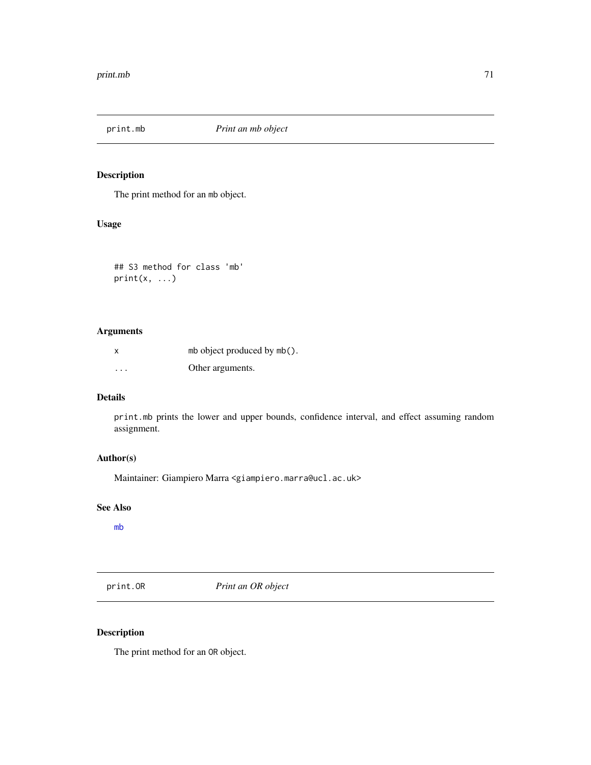# Description

The print method for an mb object.

# Usage

## S3 method for class 'mb'  $print(x, \ldots)$ 

# Arguments

|          | mb object produced by mb(). |
|----------|-----------------------------|
| $\cdots$ | Other arguments.            |

# Details

print.mb prints the lower and upper bounds, confidence interval, and effect assuming random assignment.

# Author(s)

Maintainer: Giampiero Marra <giampiero.marra@ucl.ac.uk>

# See Also

[mb](#page-53-0)

print.OR *Print an OR object*

# Description

The print method for an OR object.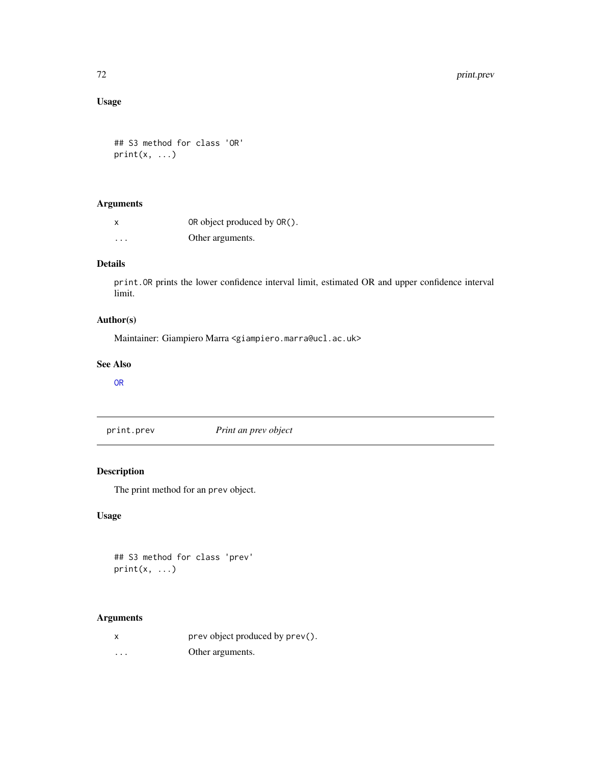# Usage

```
## S3 method for class 'OR'
print(x, \ldots)
```
# Arguments

| X        | OR object produced by OR(). |
|----------|-----------------------------|
| $\cdots$ | Other arguments.            |

# Details

print.OR prints the lower confidence interval limit, estimated OR and upper confidence interval limit.

### Author(s)

Maintainer: Giampiero Marra <giampiero.marra@ucl.ac.uk>

## See Also

[OR](#page-57-0)

print.prev *Print an prev object*

# Description

The print method for an prev object.

# Usage

## S3 method for class 'prev'  $print(x, \ldots)$ 

# Arguments

| prev object produced by prev(). |
|---------------------------------|
|                                 |

... Other arguments.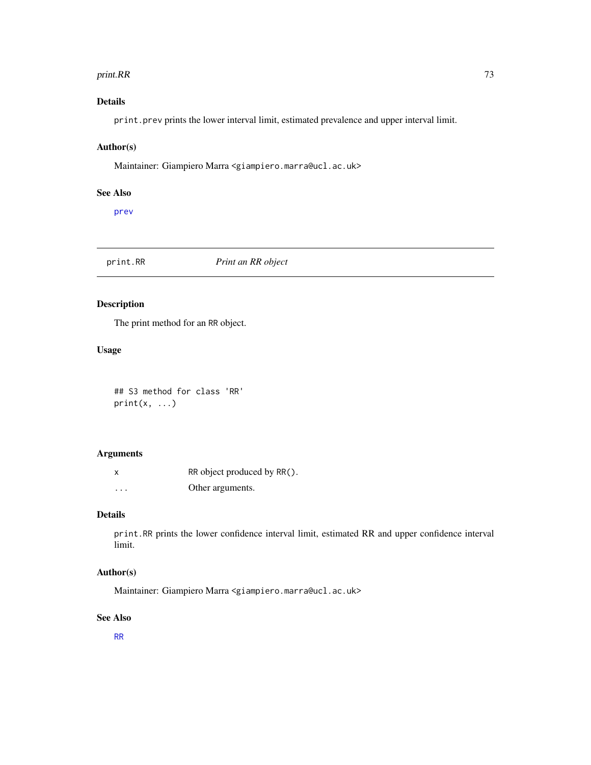#### print.RR 23

# Details

print.prev prints the lower interval limit, estimated prevalence and upper interval limit.

## Author(s)

Maintainer: Giampiero Marra <giampiero.marra@ucl.ac.uk>

## See Also

[prev](#page-64-0)

print.RR *Print an RR object*

## Description

The print method for an RR object.

## Usage

## S3 method for class 'RR'  $print(x, \ldots)$ 

## Arguments

|          | RR object produced by RR(). |
|----------|-----------------------------|
| $\cdots$ | Other arguments.            |

# Details

print.RR prints the lower confidence interval limit, estimated RR and upper confidence interval limit.

# Author(s)

Maintainer: Giampiero Marra <giampiero.marra@ucl.ac.uk>

## See Also

[RR](#page-77-0)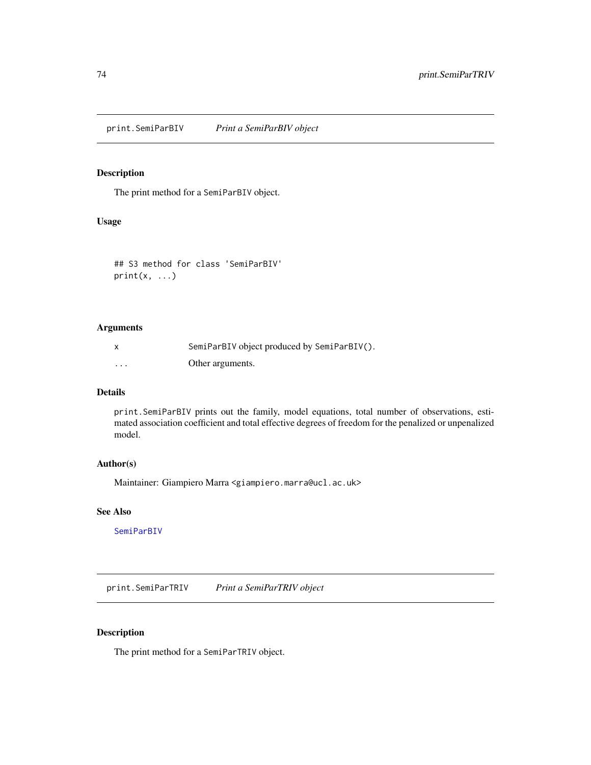print.SemiParBIV *Print a SemiParBIV object*

# Description

The print method for a SemiParBIV object.

## Usage

```
## S3 method for class 'SemiParBIV'
print(x, \ldots)
```
## Arguments

| x        | SemiParBIV object produced by SemiParBIV(). |
|----------|---------------------------------------------|
| $\cdots$ | Other arguments.                            |

## Details

print.SemiParBIV prints out the family, model equations, total number of observations, estimated association coefficient and total effective degrees of freedom for the penalized or unpenalized model.

#### Author(s)

Maintainer: Giampiero Marra <giampiero.marra@ucl.ac.uk>

## See Also

[SemiParBIV](#page-79-0)

print.SemiParTRIV *Print a SemiParTRIV object*

## Description

The print method for a SemiParTRIV object.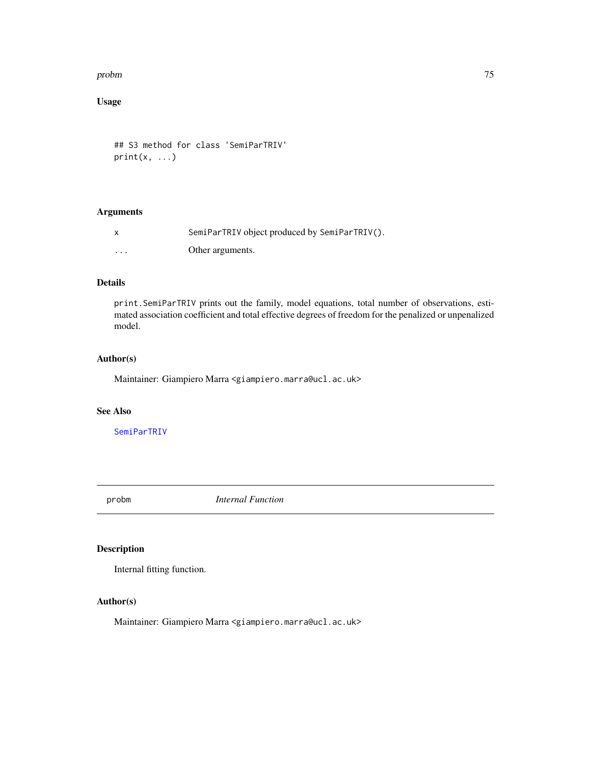#### probm and the contract of the contract of the contract of the contract of the contract of the contract of the contract of the contract of the contract of the contract of the contract of the contract of the contract of the

# Usage

```
## S3 method for class 'SemiParTRIV'
print(x, \ldots)
```
## Arguments

|                   | SemiParTRIV object produced by SemiParTRIV(). |
|-------------------|-----------------------------------------------|
| $\cdot\cdot\cdot$ | Other arguments.                              |

## Details

print.SemiParTRIV prints out the family, model equations, total number of observations, estimated association coefficient and total effective degrees of freedom for the penalized or unpenalized model.

## Author(s)

Maintainer: Giampiero Marra <giampiero.marra@ucl.ac.uk>

## See Also

**[SemiParTRIV](#page-92-0)** 

probm *Internal Function*

## Description

Internal fitting function.

## Author(s)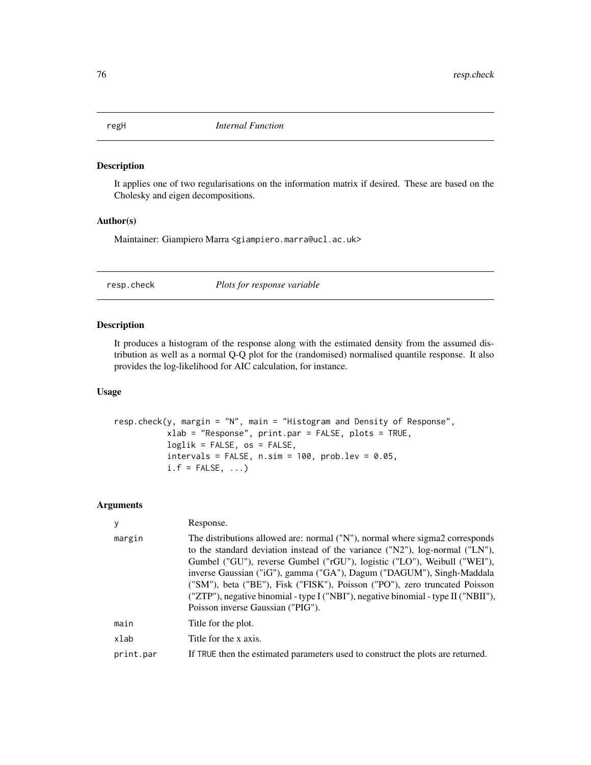regH *Internal Function*

#### Description

It applies one of two regularisations on the information matrix if desired. These are based on the Cholesky and eigen decompositions.

#### Author(s)

Maintainer: Giampiero Marra <giampiero.marra@ucl.ac.uk>

## resp.check *Plots for response variable*

#### Description

It produces a histogram of the response along with the estimated density from the assumed distribution as well as a normal Q-Q plot for the (randomised) normalised quantile response. It also provides the log-likelihood for AIC calculation, for instance.

#### Usage

```
resp.check(y, margin = "N", main = "Histogram and Density of Response",
           xlab = "Response", print.par = FALSE, plots = TRUE,
          loglik = FALSE, os = FALSE,
          intervals = FALSE, n.sim = 100, prob.lev = 0.05,i.f = FALSE, ...)
```

| у         | Response.                                                                                                                                                                                                                                                                                                                                                                                                                                                                                                                                            |
|-----------|------------------------------------------------------------------------------------------------------------------------------------------------------------------------------------------------------------------------------------------------------------------------------------------------------------------------------------------------------------------------------------------------------------------------------------------------------------------------------------------------------------------------------------------------------|
| margin    | The distributions allowed are: normal ("N"), normal where sigma2 corresponds<br>to the standard deviation instead of the variance ( $\text{``N2''}$ ), log-normal ( $\text{``LN''}$ ),<br>Gumbel ("GU"), reverse Gumbel ("rGU"), logistic ("LO"), Weibull ("WEI"),<br>inverse Gaussian ("iG"), gamma ("GA"), Dagum ("DAGUM"), Singh-Maddala<br>("SM"), beta ("BE"), Fisk ("FISK"), Poisson ("PO"), zero truncated Poisson<br>("ZTP"), negative binomial - type I ("NBI"), negative binomial - type II ("NBII"),<br>Poisson inverse Gaussian ("PIG"). |
| main      | Title for the plot.                                                                                                                                                                                                                                                                                                                                                                                                                                                                                                                                  |
| xlab      | Title for the x axis.                                                                                                                                                                                                                                                                                                                                                                                                                                                                                                                                |
| print.par | If TRUE then the estimated parameters used to construct the plots are returned.                                                                                                                                                                                                                                                                                                                                                                                                                                                                      |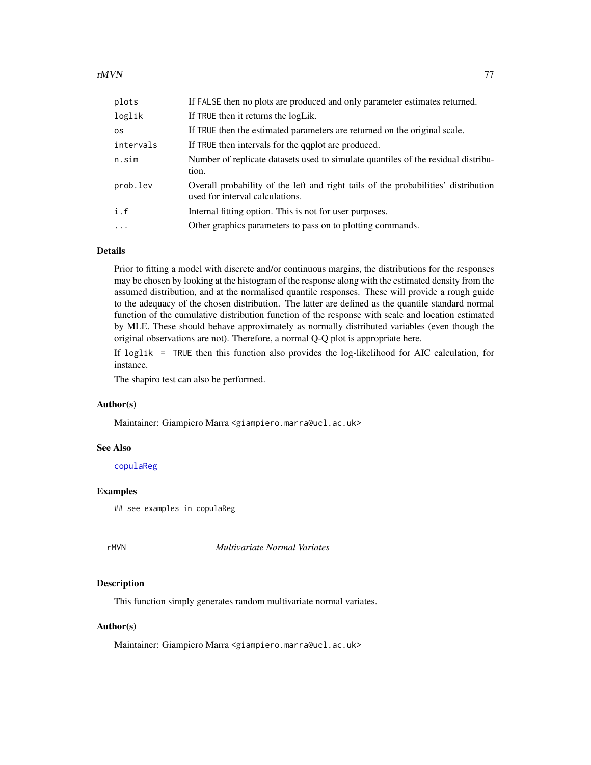#### $rMVN$  77

| plots     | If FALSE then no plots are produced and only parameter estimates returned.                                            |
|-----------|-----------------------------------------------------------------------------------------------------------------------|
| loglik    | If TRUE then it returns the logLik.                                                                                   |
| 0S        | If TRUE then the estimated parameters are returned on the original scale.                                             |
| intervals | If TRUE then intervals for the qqplot are produced.                                                                   |
| n.sim     | Number of replicate datasets used to simulate quantiles of the residual distribu-<br>tion.                            |
| prob.lev  | Overall probability of the left and right tails of the probabilities' distribution<br>used for interval calculations. |
| i.f       | Internal fitting option. This is not for user purposes.                                                               |
| $\ddotsc$ | Other graphics parameters to pass on to plotting commands.                                                            |
|           |                                                                                                                       |

## Details

Prior to fitting a model with discrete and/or continuous margins, the distributions for the responses may be chosen by looking at the histogram of the response along with the estimated density from the assumed distribution, and at the normalised quantile responses. These will provide a rough guide to the adequacy of the chosen distribution. The latter are defined as the quantile standard normal function of the cumulative distribution function of the response with scale and location estimated by MLE. These should behave approximately as normally distributed variables (even though the original observations are not). Therefore, a normal Q-Q plot is appropriate here.

If  $loglik = TRUE$  then this function also provides the log-likelihood for AIC calculation, for instance.

The shapiro test can also be performed.

#### Author(s)

Maintainer: Giampiero Marra <giampiero.marra@ucl.ac.uk>

#### See Also

[copulaReg](#page-15-0)

#### Examples

## see examples in copulaReg

rMVN *Multivariate Normal Variates*

#### Description

This function simply generates random multivariate normal variates.

#### Author(s)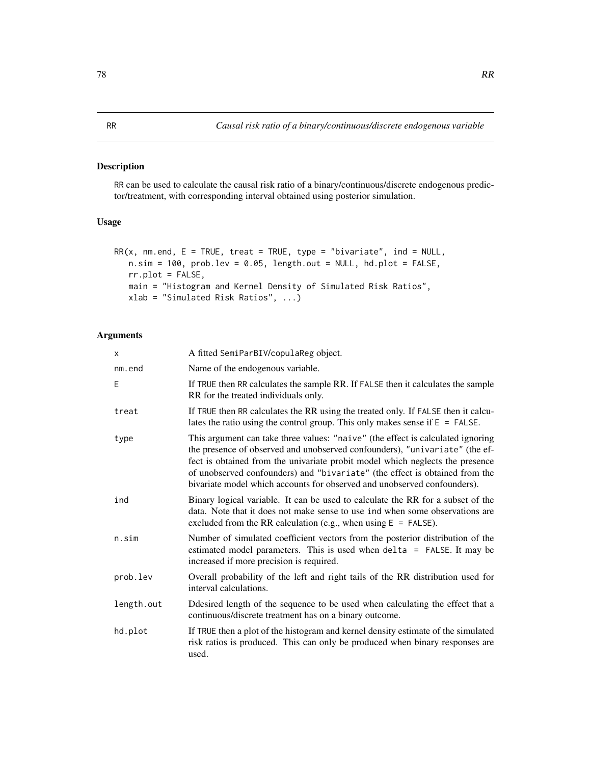## <span id="page-77-0"></span>Description

RR can be used to calculate the causal risk ratio of a binary/continuous/discrete endogenous predictor/treatment, with corresponding interval obtained using posterior simulation.

## Usage

```
RR(x, nm.end, E = TRUE, treat = TRUE, type = "bivariate", ind = NULL,n.sim = 100, prob.lev = 0.05, length.out = NULL, hd.plot = FALSE,
   rr.plot = FALSE,
   main = "Histogram and Kernel Density of Simulated Risk Ratios",
   xlab = "Simulated Risk Ratios", ...)
```

| x          | A fitted SemiParBIV/copulaReg object.                                                                                                                                                                                                                                                                                                                                                                      |
|------------|------------------------------------------------------------------------------------------------------------------------------------------------------------------------------------------------------------------------------------------------------------------------------------------------------------------------------------------------------------------------------------------------------------|
| nm.end     | Name of the endogenous variable.                                                                                                                                                                                                                                                                                                                                                                           |
| E          | If TRUE then RR calculates the sample RR. If FALSE then it calculates the sample<br>RR for the treated individuals only.                                                                                                                                                                                                                                                                                   |
| treat      | If TRUE then RR calculates the RR using the treated only. If FALSE then it calcu-<br>lates the ratio using the control group. This only makes sense if $E = FALSE$ .                                                                                                                                                                                                                                       |
| type       | This argument can take three values: "naive" (the effect is calculated ignoring<br>the presence of observed and unobserved confounders), "univariate" (the ef-<br>fect is obtained from the univariate probit model which neglects the presence<br>of unobserved confounders) and "bivariate" (the effect is obtained from the<br>bivariate model which accounts for observed and unobserved confounders). |
| ind        | Binary logical variable. It can be used to calculate the RR for a subset of the<br>data. Note that it does not make sense to use ind when some observations are<br>excluded from the RR calculation (e.g., when using $E = FALSE$ ).                                                                                                                                                                       |
| n.sim      | Number of simulated coefficient vectors from the posterior distribution of the<br>estimated model parameters. This is used when delta = FALSE. It may be<br>increased if more precision is required.                                                                                                                                                                                                       |
| prob.lev   | Overall probability of the left and right tails of the RR distribution used for<br>interval calculations.                                                                                                                                                                                                                                                                                                  |
| length.out | Ddesired length of the sequence to be used when calculating the effect that a<br>continuous/discrete treatment has on a binary outcome.                                                                                                                                                                                                                                                                    |
| hd.plot    | If TRUE then a plot of the histogram and kernel density estimate of the simulated<br>risk ratios is produced. This can only be produced when binary responses are<br>used.                                                                                                                                                                                                                                 |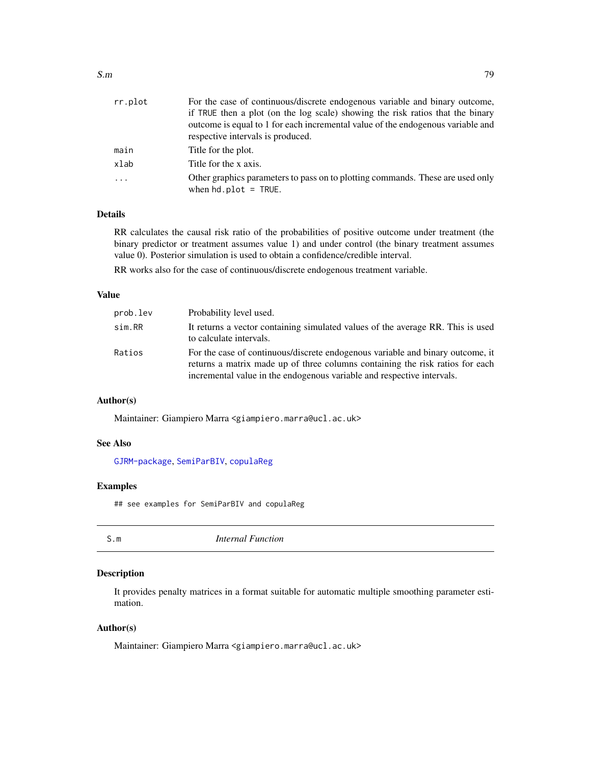| rr.plot  | For the case of continuous/discrete endogenous variable and binary outcome,                               |
|----------|-----------------------------------------------------------------------------------------------------------|
|          | if TRUE then a plot (on the log scale) showing the risk ratios that the binary                            |
|          | outcome is equal to 1 for each incremental value of the endogenous variable and                           |
|          | respective intervals is produced.                                                                         |
| main     | Title for the plot.                                                                                       |
| xlab     | Title for the x axis.                                                                                     |
| $\cdots$ | Other graphics parameters to pass on to plotting commands. These are used only<br>when $hd.plot = TRUE$ . |

## Details

RR calculates the causal risk ratio of the probabilities of positive outcome under treatment (the binary predictor or treatment assumes value 1) and under control (the binary treatment assumes value 0). Posterior simulation is used to obtain a confidence/credible interval.

RR works also for the case of continuous/discrete endogenous treatment variable.

#### Value

| prob.lev | Probability level used.                                                                                                                                                                                                                   |
|----------|-------------------------------------------------------------------------------------------------------------------------------------------------------------------------------------------------------------------------------------------|
| sim.RR   | It returns a vector containing simulated values of the average RR. This is used<br>to calculate intervals.                                                                                                                                |
| Ratios   | For the case of continuous/discrete endogenous variable and binary outcome, it<br>returns a matrix made up of three columns containing the risk ratios for each<br>incremental value in the endogenous variable and respective intervals. |

## Author(s)

Maintainer: Giampiero Marra <giampiero.marra@ucl.ac.uk>

#### See Also

[GJRM-package](#page-2-0), [SemiParBIV](#page-79-0), [copulaReg](#page-15-0)

#### Examples

## see examples for SemiParBIV and copulaReg

S.m *Internal Function*

## Description

It provides penalty matrices in a format suitable for automatic multiple smoothing parameter estimation.

# Author(s)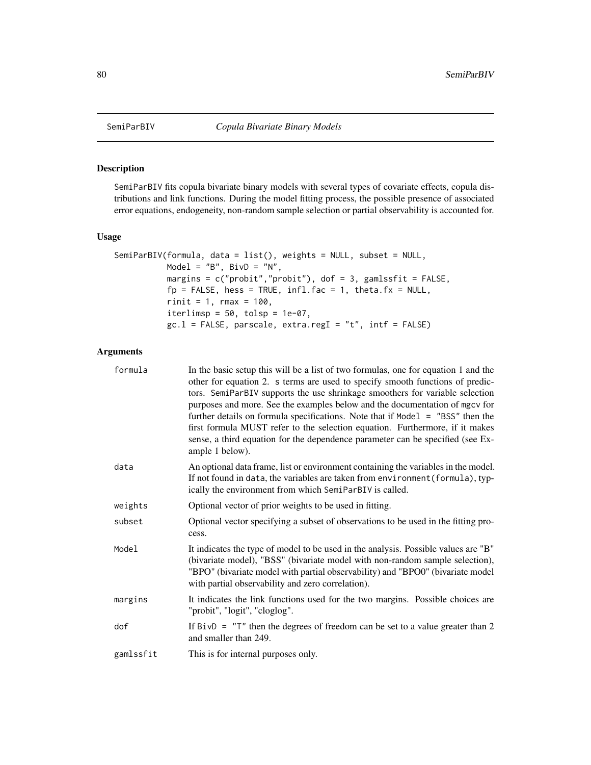<span id="page-79-0"></span>

## Description

SemiParBIV fits copula bivariate binary models with several types of covariate effects, copula distributions and link functions. During the model fitting process, the possible presence of associated error equations, endogeneity, non-random sample selection or partial observability is accounted for.

#### Usage

```
SemiParBIV(formula, data = list(), weights = NULL, subset = NULL,
           Model = "B", BivD = "N",
           margins = c("probit","probit"), dof = 3, gamlssfit = FALSE,
           fp = FALSE, hess = TRUE, infl.fac = 1, theta.fx = NULL,rint = 1, \text{ rmax} = 100,iterlimsp = 50, tolsp = 1e-07,
           gc.l = FALSE, parsecale, extra.read = "t", intf = FALSE)
```

| formula   | In the basic setup this will be a list of two formulas, one for equation 1 and the<br>other for equation 2. s terms are used to specify smooth functions of predic-<br>tors. SemiParBIV supports the use shrinkage smoothers for variable selection<br>purposes and more. See the examples below and the documentation of mgcv for<br>further details on formula specifications. Note that if Model = "BSS" then the<br>first formula MUST refer to the selection equation. Furthermore, if it makes<br>sense, a third equation for the dependence parameter can be specified (see Ex-<br>ample 1 below). |
|-----------|-----------------------------------------------------------------------------------------------------------------------------------------------------------------------------------------------------------------------------------------------------------------------------------------------------------------------------------------------------------------------------------------------------------------------------------------------------------------------------------------------------------------------------------------------------------------------------------------------------------|
| data      | An optional data frame, list or environment containing the variables in the model.<br>If not found in data, the variables are taken from environment (formula), typ-<br>ically the environment from which SemiParBIV is called.                                                                                                                                                                                                                                                                                                                                                                           |
| weights   | Optional vector of prior weights to be used in fitting.                                                                                                                                                                                                                                                                                                                                                                                                                                                                                                                                                   |
| subset    | Optional vector specifying a subset of observations to be used in the fitting pro-<br>cess.                                                                                                                                                                                                                                                                                                                                                                                                                                                                                                               |
| Model     | It indicates the type of model to be used in the analysis. Possible values are "B"<br>(bivariate model), "BSS" (bivariate model with non-random sample selection),<br>"BPO" (bivariate model with partial observability) and "BPO0" (bivariate model<br>with partial observability and zero correlation).                                                                                                                                                                                                                                                                                                 |
| margins   | It indicates the link functions used for the two margins. Possible choices are<br>"probit", "logit", "cloglog".                                                                                                                                                                                                                                                                                                                                                                                                                                                                                           |
| dof       | If $BivD = "T"$ then the degrees of freedom can be set to a value greater than 2<br>and smaller than 249.                                                                                                                                                                                                                                                                                                                                                                                                                                                                                                 |
| gamlssfit | This is for internal purposes only.                                                                                                                                                                                                                                                                                                                                                                                                                                                                                                                                                                       |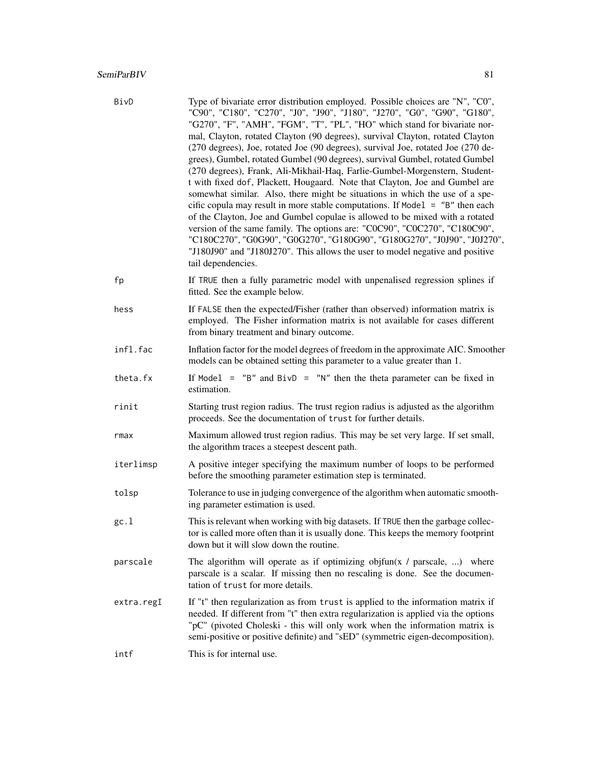| BivD       | Type of bivariate error distribution employed. Possible choices are "N", "C0",<br>"C90", "C180", "C270", "J0", "J90", "J180", "J270", "G0", "G90", "G180",<br>"G270", "F", "AMH", "FGM", "T", "PL", "HO" which stand for bivariate nor-<br>mal, Clayton, rotated Clayton (90 degrees), survival Clayton, rotated Clayton<br>(270 degrees), Joe, rotated Joe (90 degrees), survival Joe, rotated Joe (270 de-<br>grees), Gumbel, rotated Gumbel (90 degrees), survival Gumbel, rotated Gumbel<br>(270 degrees), Frank, Ali-Mikhail-Haq, Farlie-Gumbel-Morgenstern, Student-<br>t with fixed dof, Plackett, Hougaard. Note that Clayton, Joe and Gumbel are<br>somewhat similar. Also, there might be situations in which the use of a spe-<br>cific copula may result in more stable computations. If Model $=$ "B" then each<br>of the Clayton, Joe and Gumbel copulae is allowed to be mixed with a rotated<br>version of the same family. The options are: "C0C90", "C0C270", "C180C90",<br>"C180C270", "G0G90", "G0G270", "G180G90", "G180G270", "J0J90", "J0J270", |
|------------|------------------------------------------------------------------------------------------------------------------------------------------------------------------------------------------------------------------------------------------------------------------------------------------------------------------------------------------------------------------------------------------------------------------------------------------------------------------------------------------------------------------------------------------------------------------------------------------------------------------------------------------------------------------------------------------------------------------------------------------------------------------------------------------------------------------------------------------------------------------------------------------------------------------------------------------------------------------------------------------------------------------------------------------------------------------------|
|            | "J180J90" and "J180J270". This allows the user to model negative and positive<br>tail dependencies.                                                                                                                                                                                                                                                                                                                                                                                                                                                                                                                                                                                                                                                                                                                                                                                                                                                                                                                                                                    |
| fp         | If TRUE then a fully parametric model with unpenalised regression splines if<br>fitted. See the example below.                                                                                                                                                                                                                                                                                                                                                                                                                                                                                                                                                                                                                                                                                                                                                                                                                                                                                                                                                         |
| hess       | If FALSE then the expected/Fisher (rather than observed) information matrix is<br>employed. The Fisher information matrix is not available for cases different<br>from binary treatment and binary outcome.                                                                                                                                                                                                                                                                                                                                                                                                                                                                                                                                                                                                                                                                                                                                                                                                                                                            |
| infl.fac   | Inflation factor for the model degrees of freedom in the approximate AIC. Smoother<br>models can be obtained setting this parameter to a value greater than 1.                                                                                                                                                                                                                                                                                                                                                                                                                                                                                                                                                                                                                                                                                                                                                                                                                                                                                                         |
| theta.fx   | If Model = $"B"$ and BivD = $"N"$ then the theta parameter can be fixed in<br>estimation.                                                                                                                                                                                                                                                                                                                                                                                                                                                                                                                                                                                                                                                                                                                                                                                                                                                                                                                                                                              |
| rinit      | Starting trust region radius. The trust region radius is adjusted as the algorithm<br>proceeds. See the documentation of trust for further details.                                                                                                                                                                                                                                                                                                                                                                                                                                                                                                                                                                                                                                                                                                                                                                                                                                                                                                                    |
| rmax       | Maximum allowed trust region radius. This may be set very large. If set small,<br>the algorithm traces a steepest descent path.                                                                                                                                                                                                                                                                                                                                                                                                                                                                                                                                                                                                                                                                                                                                                                                                                                                                                                                                        |
| iterlimsp  | A positive integer specifying the maximum number of loops to be performed<br>before the smoothing parameter estimation step is terminated.                                                                                                                                                                                                                                                                                                                                                                                                                                                                                                                                                                                                                                                                                                                                                                                                                                                                                                                             |
| tolsp      | Tolerance to use in judging convergence of the algorithm when automatic smooth-<br>ing parameter estimation is used.                                                                                                                                                                                                                                                                                                                                                                                                                                                                                                                                                                                                                                                                                                                                                                                                                                                                                                                                                   |
| gc.1       | This is relevant when working with big datasets. If TRUE then the garbage collec-<br>tor is called more often than it is usually done. This keeps the memory footprint<br>down but it will slow down the routine.                                                                                                                                                                                                                                                                                                                                                                                                                                                                                                                                                                                                                                                                                                                                                                                                                                                      |
| parscale   | The algorithm will operate as if optimizing objfun( $x /$ parscale, ) where<br>parscale is a scalar. If missing then no rescaling is done. See the documen-<br>tation of trust for more details.                                                                                                                                                                                                                                                                                                                                                                                                                                                                                                                                                                                                                                                                                                                                                                                                                                                                       |
| extra.regI | If "t" then regularization as from trust is applied to the information matrix if<br>needed. If different from "t" then extra regularization is applied via the options<br>"pC" (pivoted Choleski - this will only work when the information matrix is<br>semi-positive or positive definite) and "sED" (symmetric eigen-decomposition).                                                                                                                                                                                                                                                                                                                                                                                                                                                                                                                                                                                                                                                                                                                                |
| intf       | This is for internal use.                                                                                                                                                                                                                                                                                                                                                                                                                                                                                                                                                                                                                                                                                                                                                                                                                                                                                                                                                                                                                                              |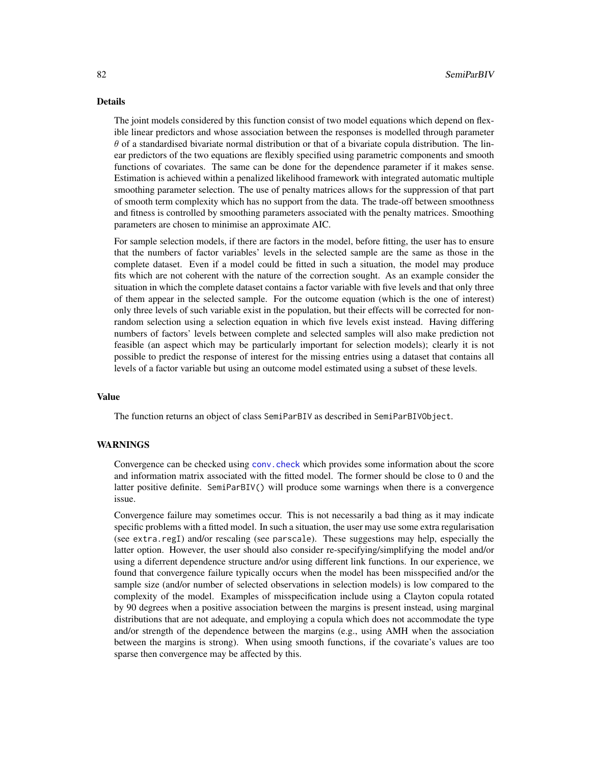#### Details

The joint models considered by this function consist of two model equations which depend on flexible linear predictors and whose association between the responses is modelled through parameter  $\theta$  of a standardised bivariate normal distribution or that of a bivariate copula distribution. The linear predictors of the two equations are flexibly specified using parametric components and smooth functions of covariates. The same can be done for the dependence parameter if it makes sense. Estimation is achieved within a penalized likelihood framework with integrated automatic multiple smoothing parameter selection. The use of penalty matrices allows for the suppression of that part of smooth term complexity which has no support from the data. The trade-off between smoothness and fitness is controlled by smoothing parameters associated with the penalty matrices. Smoothing parameters are chosen to minimise an approximate AIC.

For sample selection models, if there are factors in the model, before fitting, the user has to ensure that the numbers of factor variables' levels in the selected sample are the same as those in the complete dataset. Even if a model could be fitted in such a situation, the model may produce fits which are not coherent with the nature of the correction sought. As an example consider the situation in which the complete dataset contains a factor variable with five levels and that only three of them appear in the selected sample. For the outcome equation (which is the one of interest) only three levels of such variable exist in the population, but their effects will be corrected for nonrandom selection using a selection equation in which five levels exist instead. Having differing numbers of factors' levels between complete and selected samples will also make prediction not feasible (an aspect which may be particularly important for selection models); clearly it is not possible to predict the response of interest for the missing entries using a dataset that contains all levels of a factor variable but using an outcome model estimated using a subset of these levels.

#### Value

The function returns an object of class SemiParBIV as described in SemiParBIVObject.

## WARNINGS

Convergence can be checked using [conv.check](#page-14-0) which provides some information about the score and information matrix associated with the fitted model. The former should be close to 0 and the latter positive definite. SemiParBIV() will produce some warnings when there is a convergence issue.

Convergence failure may sometimes occur. This is not necessarily a bad thing as it may indicate specific problems with a fitted model. In such a situation, the user may use some extra regularisation (see extra.regI) and/or rescaling (see parscale). These suggestions may help, especially the latter option. However, the user should also consider re-specifying/simplifying the model and/or using a diferrent dependence structure and/or using different link functions. In our experience, we found that convergence failure typically occurs when the model has been misspecified and/or the sample size (and/or number of selected observations in selection models) is low compared to the complexity of the model. Examples of misspecification include using a Clayton copula rotated by 90 degrees when a positive association between the margins is present instead, using marginal distributions that are not adequate, and employing a copula which does not accommodate the type and/or strength of the dependence between the margins (e.g., using AMH when the association between the margins is strong). When using smooth functions, if the covariate's values are too sparse then convergence may be affected by this.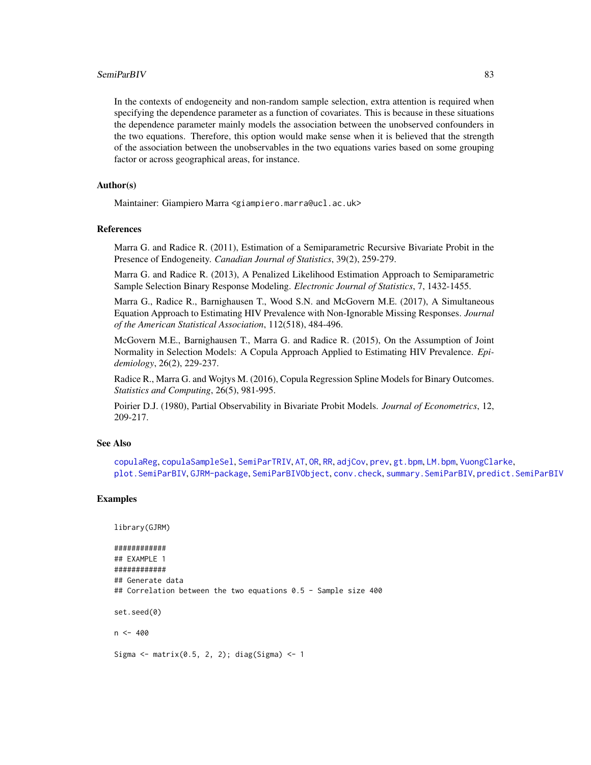#### SemiParBIV 83

In the contexts of endogeneity and non-random sample selection, extra attention is required when specifying the dependence parameter as a function of covariates. This is because in these situations the dependence parameter mainly models the association between the unobserved confounders in the two equations. Therefore, this option would make sense when it is believed that the strength of the association between the unobservables in the two equations varies based on some grouping factor or across geographical areas, for instance.

## Author(s)

Maintainer: Giampiero Marra <giampiero.marra@ucl.ac.uk>

#### References

Marra G. and Radice R. (2011), Estimation of a Semiparametric Recursive Bivariate Probit in the Presence of Endogeneity. *Canadian Journal of Statistics*, 39(2), 259-279.

Marra G. and Radice R. (2013), A Penalized Likelihood Estimation Approach to Semiparametric Sample Selection Binary Response Modeling. *Electronic Journal of Statistics*, 7, 1432-1455.

Marra G., Radice R., Barnighausen T., Wood S.N. and McGovern M.E. (2017), A Simultaneous Equation Approach to Estimating HIV Prevalence with Non-Ignorable Missing Responses. *Journal of the American Statistical Association*, 112(518), 484-496.

McGovern M.E., Barnighausen T., Marra G. and Radice R. (2015), On the Assumption of Joint Normality in Selection Models: A Copula Approach Applied to Estimating HIV Prevalence. *Epidemiology*, 26(2), 229-237.

Radice R., Marra G. and Wojtys M. (2016), Copula Regression Spline Models for Binary Outcomes. *Statistics and Computing*, 26(5), 981-995.

Poirier D.J. (1980), Partial Observability in Bivariate Probit Models. *Journal of Econometrics*, 12, 209-217.

## See Also

```
copulaReg, copulaSampleSel, SemiParTRIV, AT, OR, RR, adjCov, prev, gt.bpm, LM.bpm, VuongClarke,
plot.SemiParBIV, GJRM-package, SemiParBIVObject, conv.check, summary.SemiParBIV, predict.SemiParBIV
```
#### Examples

```
library(GJRM)
```

```
############
## EXAMPLE 1
############
## Generate data
## Correlation between the two equations 0.5 - Sample size 400
set.seed(0)
n < -400Sigma <- matrix(0.5, 2, 2); diag(Sigma) <- 1
```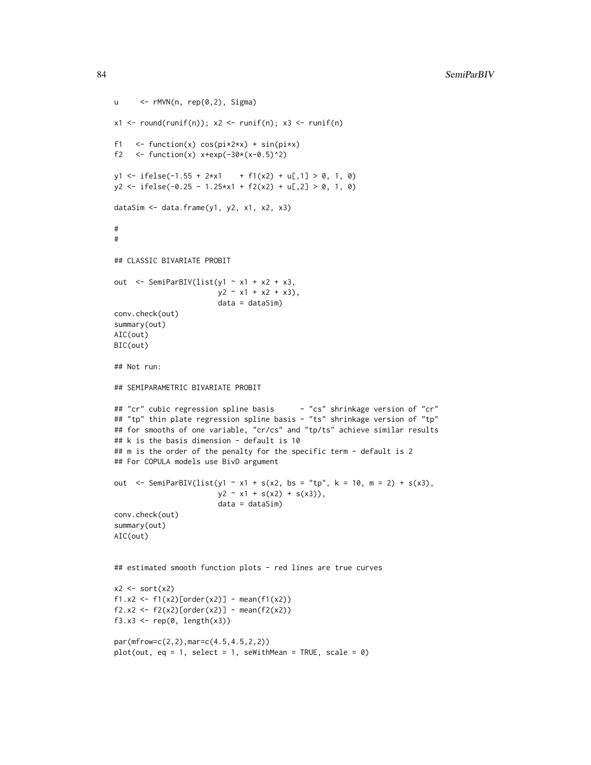```
u \leq rMVN(n, rep(0,2), Sigma)
x1 \leftarrow \text{round}(\text{runif(n)}; x2 \leftarrow \text{runif(n)}; x3 \leftarrow \text{runif(n)}f1 \le function(x) cos(pix2*x) + sin(pix)f2 <- function(x) x+exp(-30*(x-0.5)^2)y1 \leftarrow ifelse(-1.55 + 2*x1 + f1(x2) + u[,1] > 0, 1, 0)
y2 \leftarrow ifelse(-0.25 - 1.25*x1 + f2(x2) + u[,2] > 0, 1, 0)
dataSim <- data.frame(y1, y2, x1, x2, x3)
#
#
## CLASSIC BIVARIATE PROBIT
out \le SemiParBIV(list(y1 \sim x1 + x2 + x3,
                        y2 - x1 + x2 + x3,
                         data = dataSim)
conv.check(out)
summary(out)
AIC(out)
BIC(out)
## Not run:
## SEMIPARAMETRIC BIVARIATE PROBIT
## "cr" cubic regression spline basis - "cs" shrinkage version of "cr"
## "tp" thin plate regression spline basis - "ts" shrinkage version of "tp"
## for smooths of one variable, "cr/cs" and "tp/ts" achieve similar results
## k is the basis dimension - default is 10
## m is the order of the penalty for the specific term - default is 2
## For COPULA models use BivD argument
out \le SemiParBIV(list(y1 \sim x1 + s(x2, bs = "tp", k = 10, m = 2) + s(x3),
                         y2 - x1 + s(x2) + s(x3),
                         data = dataSim)
conv.check(out)
summary(out)
AIC(out)
## estimated smooth function plots - red lines are true curves
x2 \leftarrow sort(x2)f1.x2 <- f1(x2)[order(x2)] - mean(f1(x2))
f2.x2 \leftarrow f2(x2)[order(x2)] - mean(f2(x2))
f3.x3 <- rep(0, length(x3))par(mfrow=c(2,2),mar=c(4.5,4.5,2,2))
plot(out, eq = 1, select = 1, seWithMean = TRUE, scale = 0)
```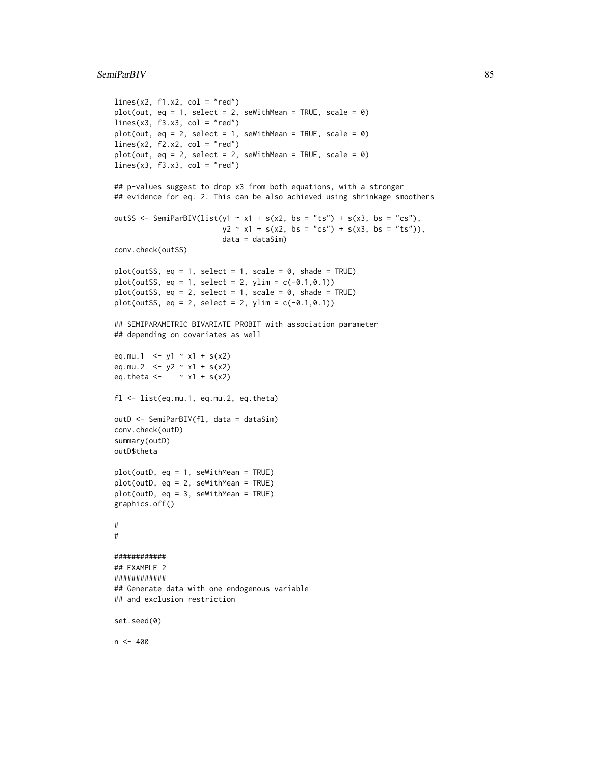#### SemiParBIV 85

```
lines(x2, f1.x2, col = "red")plot(out, eq = 1, select = 2, seWithMean = TRUE, scale = 0)lines(x3, f3.x3, col = "red")plot(out, eq = 2, select = 1, seWithMean = TRUE, scale = \theta)
lines(x2, f2.x2, col = "red")plot(out, eq = 2, select = 2, seWithMean = TRUE, scale = \emptyset)
lines(x3, f3.x3, col = "red")## p-values suggest to drop x3 from both equations, with a stronger
## evidence for eq. 2. This can be also achieved using shrinkage smoothers
outSS <- SemiParBIV(list(y1 ~ x1 + s(x2, bs = "ts") + s(x3, bs = "cs"),
                         y2 \sim x1 + s(x2, bs = "cs") + s(x3, bs = "ts")),
                         data = dataSim)
conv.check(outSS)
plot(outSS, eq = 1, select = 1, scale = 0, shade = TRUE)plot(outSS, eq = 1, select = 2, ylim = c(-0.1, 0.1))plot(outSS, eq = 2, select = 1, scale = 0, shade = TRUE)
plot(outSS, eq = 2, select = 2, ylim = c(-0.1, 0.1))## SEMIPARAMETRIC BIVARIATE PROBIT with association parameter
## depending on covariates as well
eq.mu.1 <- y1 ~ x1 + s(x2)
eq.mu.2 <- y2 \sim x1 + s(x2)
eq.theta \leftarrow \sim x1 + s(x2)
fl <- list(eq.mu.1, eq.mu.2, eq.theta)
outD <- SemiParBIV(fl, data = dataSim)
conv.check(outD)
summary(outD)
outD$theta
plot(outD, eq = 1, seWithMean = TRUE)
plot(outD, eq = 2, seWithMean = TRUE)
plot(outD, eq = 3, seWithMean = TRUE)
graphics.off()
#
#
############
## EXAMPLE 2
############
## Generate data with one endogenous variable
## and exclusion restriction
set.seed(0)
n <- 400
```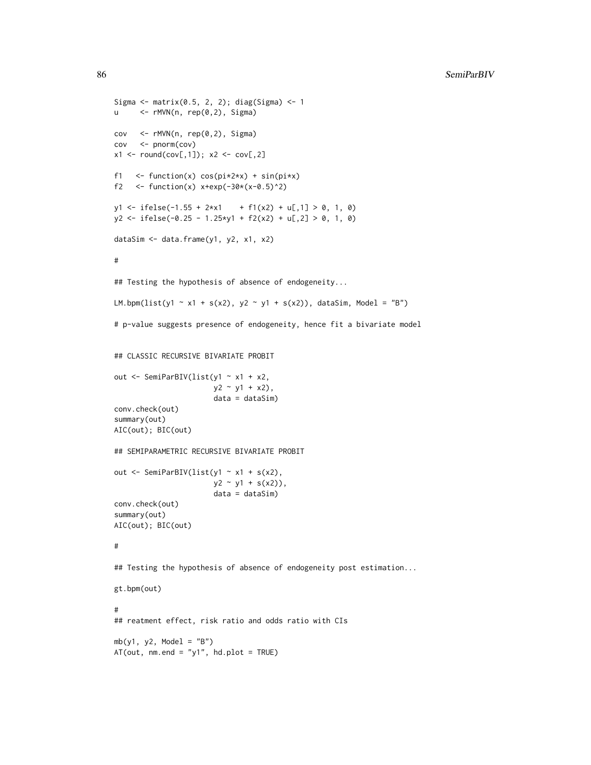```
Sigma <- matrix(0.5, 2, 2); diag(Sigma) <- 1
u <- rMVN(n, rep(0,2), Sigma)
cov <- rMVN(n, rep(0,2), Sigma)
cov <- pnorm(cov)
x1 \leftarrow \text{round}(cov[, 1]); x2 \leftarrow cov[, 2]f1 \le function(x) cos(pix2*x) + sin(pix)f2 \leftarrow function(x) x+exp(-30*(x-0.5)^2)
y1 \leftarrow ifelse(-1.55 + 2*x1 + f1(x2) + u[,1] > 0, 1, 0)
y2 \leftarrow ifelse(-0.25 - 1.25*y1 + f2(x2) + u[,2] > 0, 1, 0)
dataSim <- data.frame(y1, y2, x1, x2)
#
## Testing the hypothesis of absence of endogeneity...
LM.bpm(list(y1 ~ x1 + s(x2), y2 ~ y1 + s(x2)), dataSim, Model = "B")
# p-value suggests presence of endogeneity, hence fit a bivariate model
## CLASSIC RECURSIVE BIVARIATE PROBIT
out <- SemiParBIV(list(y1 ~ x1 + x2,
                       y2 - y1 + x2,
                       data = dataSim)
conv.check(out)
summary(out)
AIC(out); BIC(out)
## SEMIPARAMETRIC RECURSIVE BIVARIATE PROBIT
out <- SemiParBIV(list(y1 ~ x1 + s(x2),
                       y2 - y1 + s(x2),
                       data = dataSim)
conv.check(out)
summary(out)
AIC(out); BIC(out)
#
## Testing the hypothesis of absence of endogeneity post estimation...
gt.bpm(out)
#
## reatment effect, risk ratio and odds ratio with CIs
mb(y1, y2, Model = "B")AT(out, nm.end = "y1", hd.plot = TRUE)
```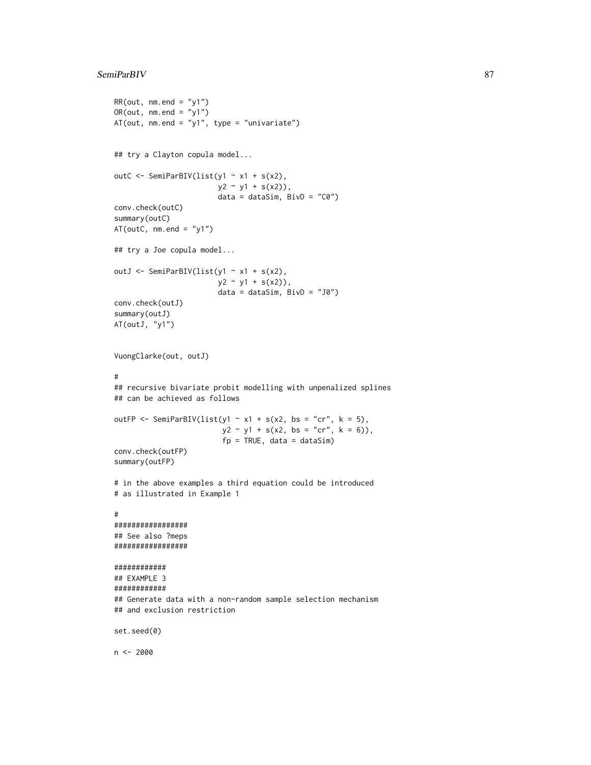#### SemiParBIV 87

```
RR(out, nm.end = "y1")OR(out, nm.end = "y1")AT(out, nm.end = "y1", type = "univariate")
## try a Clayton copula model...
outC <- SemiParBIV(list(y1 ~ x1 + s(x2),
                        y2 - y1 + s(x2),
                        data = dataSim, BivD = "C0")conv.check(outC)
summary(outC)
AT(outC, nm.end = "y1")
## try a Joe copula model...
outJ <- SemiParBIV(list(y1 ~ x1 + s(x2),
                        y2 \sim y1 + s(x2),
                        data = dataSim, BivD = "J0")
conv.check(outJ)
summary(outJ)
AT(outJ, "y1")
VuongClarke(out, outJ)
#
## recursive bivariate probit modelling with unpenalized splines
## can be achieved as follows
outFP <- SemiParBIV(list(y1 ~ x1 + s(x2, bs = "cr", k = 5),
                         y2 \sim y1 + s(x2, bs = "cr", k = 6),
                         fp = TRUE, data = dataSim)conv.check(outFP)
summary(outFP)
# in the above examples a third equation could be introduced
# as illustrated in Example 1
#
#################
## See also ?meps
#################
############
## EXAMPLE 3
############
## Generate data with a non-random sample selection mechanism
## and exclusion restriction
set.seed(0)
n <- 2000
```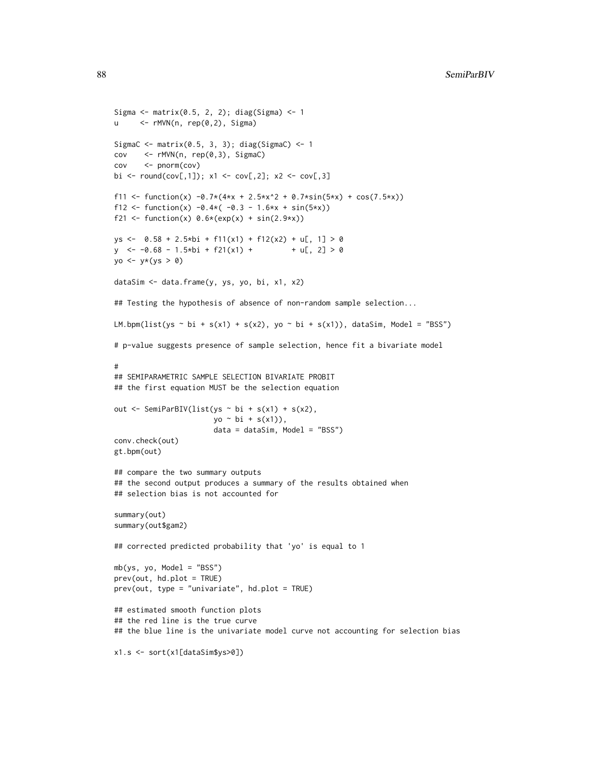```
Sigma <- matrix(0.5, 2, 2); diag(Sigma) <- 1
u \leq rMVN(n, rep(0,2), Sigma)
SigmaC <- matrix(0.5, 3, 3); diag(SigmaC) <- 1
cov <- rMVN(n, rep(0,3), SigmaC)
cov <- pnorm(cov)
bi <- round(cov[,1]); x1 <- cov[,2]; x2 <- cov[,3]
f11 <- function(x) -0.7*(4*x + 2.5*x^2 + 0.7*sin(5*x) + cos(7.5*x))f12 <- function(x) -0.4*(-0.3 - 1.6*x + sin(5*x))f21 <- function(x) 0.6*(exp(x) + sin(2.9*x))ys <- 0.58 + 2.5*bi + f11(x1) + f12(x2) + u[, 1] > 0y \le -0.68 - 1.5 * bi + f21(x1) + 4u[, 2] > 0yo \leftarrow y * (ys > 0)dataSim <- data.frame(y, ys, yo, bi, x1, x2)
## Testing the hypothesis of absence of non-random sample selection...
LM.bpm(list(ys \sim bi + s(x1) + s(x2), yo \sim bi + s(x1)), dataSim, Model = "BSS")
# p-value suggests presence of sample selection, hence fit a bivariate model
#
## SEMIPARAMETRIC SAMPLE SELECTION BIVARIATE PROBIT
## the first equation MUST be the selection equation
out <- SemiParBIV(list(ys ~ bi + s(x1) + s(x2),
                      yo \sim bi + s(x1)),
                       data = dataSim, Model = "BSS")conv.check(out)
gt.bpm(out)
## compare the two summary outputs
## the second output produces a summary of the results obtained when
## selection bias is not accounted for
summary(out)
summary(out$gam2)
## corrected predicted probability that 'yo' is equal to 1
mb(ys, yo, Model = "BSS")
prev(out, hd.plot = TRUE)
prev(out, type = "univariate", hd.plot = TRUE)
## estimated smooth function plots
## the red line is the true curve
## the blue line is the univariate model curve not accounting for selection bias
x1.s <- sort(x1[dataSim$ys>0])
```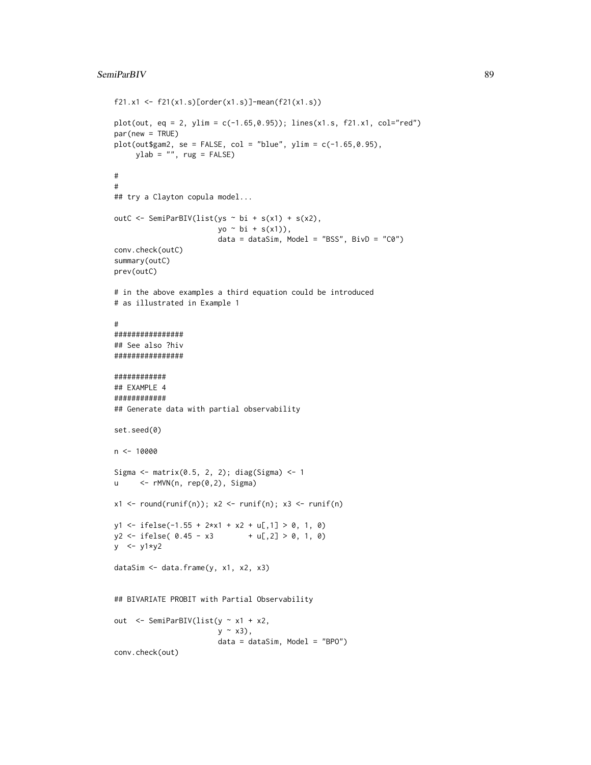```
f21.x1 <- f21(x1.s)[order(x1.s)]-mean(f21(x1.s))
plot(out, eq = 2, ylim = c(-1.65,0.95)); lines(x1.s, f21.x1, col="red")
par(new = TRUE)
plot(outspam2, se = FALSE, col = "blue", ylim = c(-1.65, 0.95),ylab = "", rug = FALSE)#
#
## try a Clayton copula model...
outC <- SemiParBIV(list(ys ~ bi + s(x1) + s(x2),
                         yo \sim bi + s(x1)),
                         data = dataSim, Model = "BSS", BivD = "C0")
conv.check(outC)
summary(outC)
prev(outC)
# in the above examples a third equation could be introduced
# as illustrated in Example 1
#
################
## See also ?hiv
################
############
## EXAMPLE 4
############
## Generate data with partial observability
set.seed(0)
n <- 10000
Sigma <- matrix(0.5, 2, 2); diag(Sigma) <- 1
u <- rMVN(n, rep(0,2), Sigma)
x1 \leftarrow \text{round}(\text{runif(n)}); x2 \leftarrow \text{runif(n)}; x3 \leftarrow \text{runif(n)}y1 \leftarrow ifelse(-1.55 + 2*x1 + x2 + u[,1] > 0, 1, 0)
y2 \leftarrow ifelse( 0.45 - x3 + u[,2] > 0, 1, 0)
y <- y1*y2
dataSim <- data.frame(y, x1, x2, x3)
## BIVARIATE PROBIT with Partial Observability
out <- SemiParBIV(list(y ~ x1 + x2,
                         y \sim x3),
                         data = dataSim, Model = "BPO")
conv.check(out)
```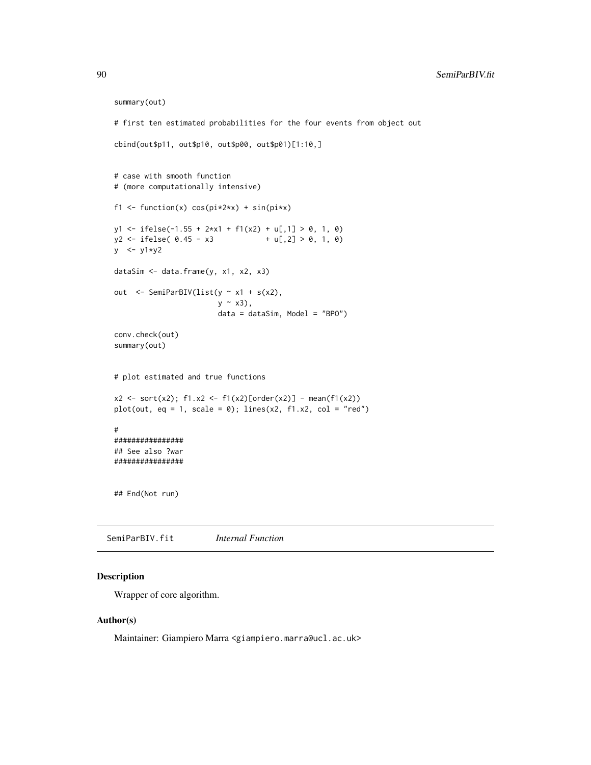```
summary(out)
```

```
# first ten estimated probabilities for the four events from object out
cbind(out$p11, out$p10, out$p00, out$p01)[1:10,]
# case with smooth function
# (more computationally intensive)
f1 <- function(x) cos(pix2*x) + sin(pixx)y1 \leftarrow ifelse(-1.55 + 2*x1 + f1(x2) + u[,1] > 0, 1, 0)
y2 \leftarrow ifelse( 0.45 - x3 + u[,2] > 0, 1, 0)
y <- y1*y2
dataSim <- data.frame(y, x1, x2, x3)
out \leq SemiParBIV(list(y \sim x1 + s(x2),
                        y \sim x3,
                        data = dataSim, Model = "BPO")
conv.check(out)
summary(out)
# plot estimated and true functions
x2 \le sort(x2); f1.x2 <- f1(x2)[order(x2)] - mean(f1(x2))
plot(out, eq = 1, scale = 0); lines(x2, f1.x2, col = "red")
#
################
## See also ?war
################
## End(Not run)
```
SemiParBIV.fit *Internal Function*

## Description

Wrapper of core algorithm.

## Author(s)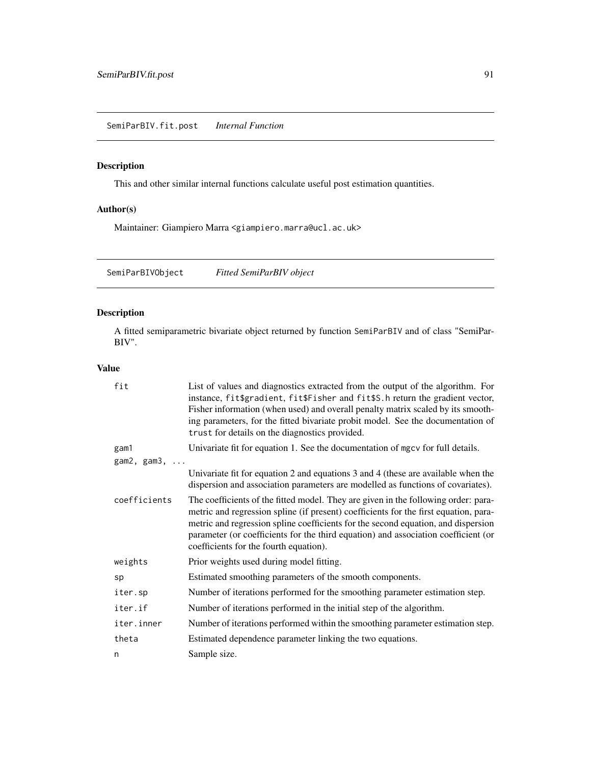## Description

This and other similar internal functions calculate useful post estimation quantities.

## Author(s)

Maintainer: Giampiero Marra <giampiero.marra@ucl.ac.uk>

<span id="page-90-0"></span>SemiParBIVObject *Fitted SemiParBIV object*

## Description

A fitted semiparametric bivariate object returned by function SemiParBIV and of class "SemiPar-BIV".

## Value

| fit                 | List of values and diagnostics extracted from the output of the algorithm. For<br>instance, fit\$gradient, fit\$Fisher and fit\$S.h return the gradient vector,<br>Fisher information (when used) and overall penalty matrix scaled by its smooth-<br>ing parameters, for the fitted bivariate probit model. See the documentation of<br>trust for details on the diagnostics provided.         |
|---------------------|-------------------------------------------------------------------------------------------------------------------------------------------------------------------------------------------------------------------------------------------------------------------------------------------------------------------------------------------------------------------------------------------------|
| gam1<br>gam2, gam3, | Univariate fit for equation 1. See the documentation of mgcv for full details.                                                                                                                                                                                                                                                                                                                  |
|                     | Univariate fit for equation 2 and equations 3 and 4 (these are available when the<br>dispersion and association parameters are modelled as functions of covariates).                                                                                                                                                                                                                            |
| coefficients        | The coefficients of the fitted model. They are given in the following order: para-<br>metric and regression spline (if present) coefficients for the first equation, para-<br>metric and regression spline coefficients for the second equation, and dispersion<br>parameter (or coefficients for the third equation) and association coefficient (or<br>coefficients for the fourth equation). |
| weights             | Prior weights used during model fitting.                                                                                                                                                                                                                                                                                                                                                        |
| sp                  | Estimated smoothing parameters of the smooth components.                                                                                                                                                                                                                                                                                                                                        |
| iter.sp             | Number of iterations performed for the smoothing parameter estimation step.                                                                                                                                                                                                                                                                                                                     |
| iter.if             | Number of iterations performed in the initial step of the algorithm.                                                                                                                                                                                                                                                                                                                            |
| iter.inner          | Number of iterations performed within the smoothing parameter estimation step.                                                                                                                                                                                                                                                                                                                  |
| theta               | Estimated dependence parameter linking the two equations.                                                                                                                                                                                                                                                                                                                                       |
| n                   | Sample size.                                                                                                                                                                                                                                                                                                                                                                                    |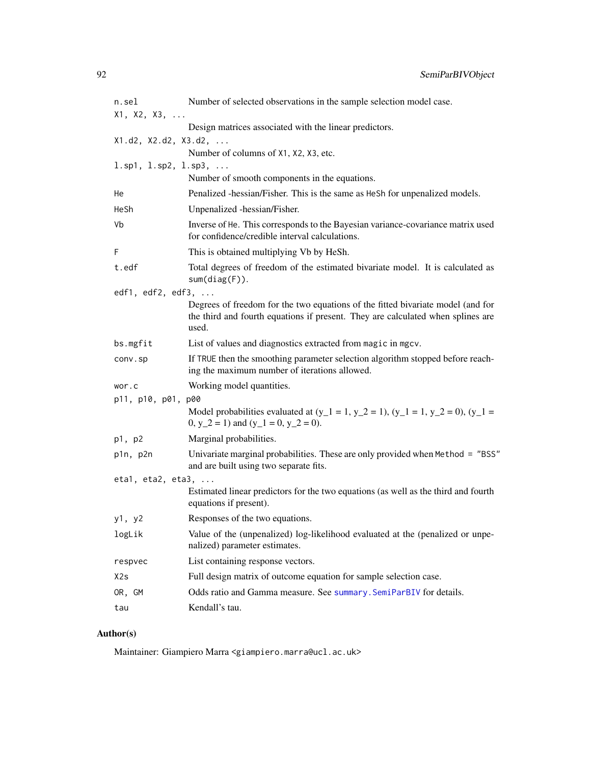| n.sel<br>X1, X2, X3,                         | Number of selected observations in the sample selection model case.                                                                                                         |
|----------------------------------------------|-----------------------------------------------------------------------------------------------------------------------------------------------------------------------------|
|                                              | Design matrices associated with the linear predictors.                                                                                                                      |
| X1.d2, X2.d2, X3.d2,                         |                                                                                                                                                                             |
|                                              | Number of columns of X1, X2, X3, etc.                                                                                                                                       |
| $1.\text{sp1}, 1.\text{sp2}, 1.\text{sp3}, $ |                                                                                                                                                                             |
|                                              | Number of smooth components in the equations.                                                                                                                               |
| He                                           | Penalized -hessian/Fisher. This is the same as HeSh for unpenalized models.                                                                                                 |
| HeSh                                         | Unpenalized -hessian/Fisher.                                                                                                                                                |
| Vb                                           | Inverse of He. This corresponds to the Bayesian variance-covariance matrix used<br>for confidence/credible interval calculations.                                           |
| F                                            | This is obtained multiplying Vb by HeSh.                                                                                                                                    |
| t.edf                                        | Total degrees of freedom of the estimated bivariate model. It is calculated as<br>sum(diag(F)).                                                                             |
| edf1, edf2, edf3, $\ldots$                   |                                                                                                                                                                             |
|                                              | Degrees of freedom for the two equations of the fitted bivariate model (and for<br>the third and fourth equations if present. They are calculated when splines are<br>used. |
| bs.mgfit                                     | List of values and diagnostics extracted from magic in mgcv.                                                                                                                |
| conv.sp                                      | If TRUE then the smoothing parameter selection algorithm stopped before reach-<br>ing the maximum number of iterations allowed.                                             |
| wor.c                                        | Working model quantities.                                                                                                                                                   |
| p11, p10, p01, p00                           |                                                                                                                                                                             |
|                                              | Model probabilities evaluated at $(y_1 = 1, y_2 = 1), (y_1 = 1, y_2 = 0), (y_1 = 1, y_2 = 0)$<br>0, $y_2 = 1$ and $(y_1 = 0, y_2 = 0)$ .                                    |
| p1, p2                                       | Marginal probabilities.                                                                                                                                                     |
| p1n, p2n                                     | Univariate marginal probabilities. These are only provided when Method = "BSS"<br>and are built using two separate fits.                                                    |
| etal, $eta2$ , $eta3$ ,                      |                                                                                                                                                                             |
|                                              | Estimated linear predictors for the two equations (as well as the third and fourth<br>equations if present).                                                                |
| y1, y2                                       | Responses of the two equations.                                                                                                                                             |
| logLik                                       | Value of the (unpenalized) log-likelihood evaluated at the (penalized or unpe-<br>nalized) parameter estimates.                                                             |
| respvec                                      | List containing response vectors.                                                                                                                                           |
| X2s                                          | Full design matrix of outcome equation for sample selection case.                                                                                                           |
| OR, GM                                       | Odds ratio and Gamma measure. See summary. SemiParBIV for details.                                                                                                          |
| tau                                          | Kendall's tau.                                                                                                                                                              |

# Author(s)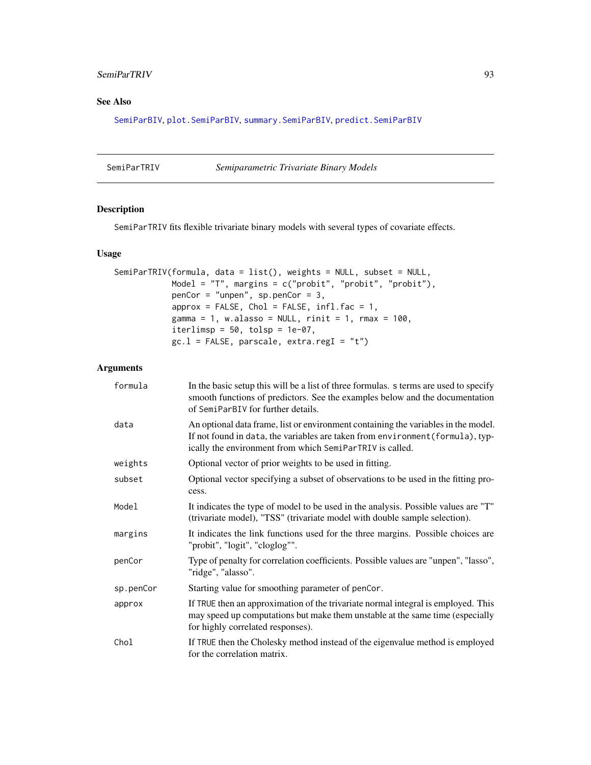## SemiParTRIV 93

# See Also

[SemiParBIV](#page-79-0), [plot.SemiParBIV](#page-59-0), [summary.SemiParBIV](#page-103-0), [predict.SemiParBIV](#page-63-0)

<span id="page-92-0"></span>SemiParTRIV *Semiparametric Trivariate Binary Models*

## Description

SemiParTRIV fits flexible trivariate binary models with several types of covariate effects.

## Usage

```
SemiParTRIV(formula, data = list(), weights = NULL, subset = NULL,
           Model = "T", margins = c("probit", "probit", "probit"),
           penCor = "unpen", sp.penCor = 3,
           approx = FALSE, Chol = FALSE, infl.fac = 1,gamma = 1, w.alasso = NULL, rinit = 1, rmax = 100,
           iterlimsp = 50, tolsp = 1e-07,
           gc.l = FALSE, parsecale, extra.read = "t")
```

| formula   | In the basic setup this will be a list of three formulas. s terms are used to specify<br>smooth functions of predictors. See the examples below and the documentation<br>of SemiParBIV for further details.                      |
|-----------|----------------------------------------------------------------------------------------------------------------------------------------------------------------------------------------------------------------------------------|
| data      | An optional data frame, list or environment containing the variables in the model.<br>If not found in data, the variables are taken from environment (formula), typ-<br>ically the environment from which SemiParTRIV is called. |
| weights   | Optional vector of prior weights to be used in fitting.                                                                                                                                                                          |
| subset    | Optional vector specifying a subset of observations to be used in the fitting pro-<br>cess.                                                                                                                                      |
| Model     | It indicates the type of model to be used in the analysis. Possible values are "T"<br>(trivariate model), "TSS" (trivariate model with double sample selection).                                                                 |
| margins   | It indicates the link functions used for the three margins. Possible choices are<br>"probit", "logit", "cloglog"".                                                                                                               |
| penCor    | Type of penalty for correlation coefficients. Possible values are "unpen", "lasso",<br>"ridge", "alasso".                                                                                                                        |
| sp.penCor | Starting value for smoothing parameter of penCor.                                                                                                                                                                                |
| approx    | If TRUE then an approximation of the trivariate normal integral is employed. This<br>may speed up computations but make them unstable at the same time (especially<br>for highly correlated responses).                          |
| Chol      | If TRUE then the Cholesky method instead of the eigenvalue method is employed<br>for the correlation matrix.                                                                                                                     |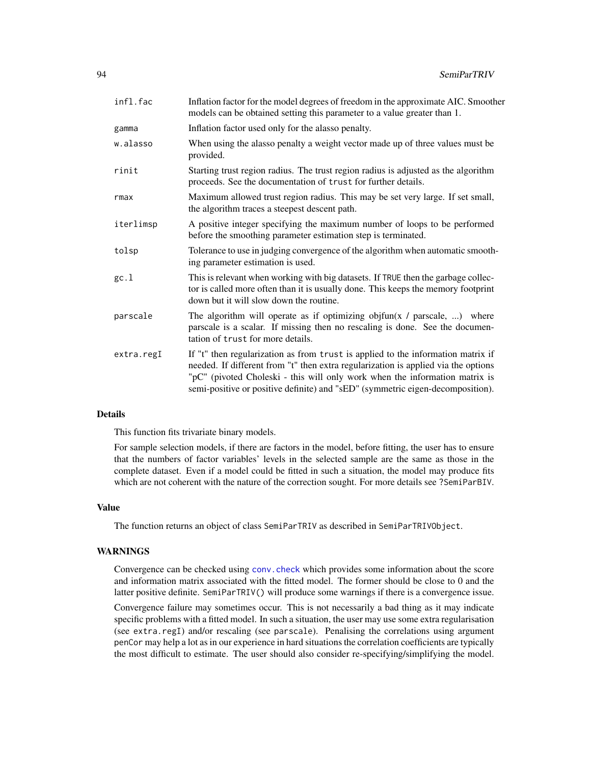| infl.fac   | Inflation factor for the model degrees of freedom in the approximate AIC. Smoother<br>models can be obtained setting this parameter to a value greater than 1.                                                                                                                                                                          |
|------------|-----------------------------------------------------------------------------------------------------------------------------------------------------------------------------------------------------------------------------------------------------------------------------------------------------------------------------------------|
| gamma      | Inflation factor used only for the alasso penalty.                                                                                                                                                                                                                                                                                      |
| w.alasso   | When using the alasso penalty a weight vector made up of three values must be<br>provided.                                                                                                                                                                                                                                              |
| rinit      | Starting trust region radius. The trust region radius is adjusted as the algorithm<br>proceeds. See the documentation of trust for further details.                                                                                                                                                                                     |
| rmax       | Maximum allowed trust region radius. This may be set very large. If set small,<br>the algorithm traces a steepest descent path.                                                                                                                                                                                                         |
| iterlimsp  | A positive integer specifying the maximum number of loops to be performed<br>before the smoothing parameter estimation step is terminated.                                                                                                                                                                                              |
| tolsp      | Tolerance to use in judging convergence of the algorithm when automatic smooth-<br>ing parameter estimation is used.                                                                                                                                                                                                                    |
| gc.l       | This is relevant when working with big datasets. If TRUE then the garbage collec-<br>tor is called more often than it is usually done. This keeps the memory footprint<br>down but it will slow down the routine.                                                                                                                       |
| parscale   | The algorithm will operate as if optimizing objfun( $x /$ parscale, ) where<br>parscale is a scalar. If missing then no rescaling is done. See the documen-<br>tation of trust for more details.                                                                                                                                        |
| extra.regI | If "t" then regularization as from trust is applied to the information matrix if<br>needed. If different from "t" then extra regularization is applied via the options<br>"pC" (pivoted Choleski - this will only work when the information matrix is<br>semi-positive or positive definite) and "sED" (symmetric eigen-decomposition). |

## Details

This function fits trivariate binary models.

For sample selection models, if there are factors in the model, before fitting, the user has to ensure that the numbers of factor variables' levels in the selected sample are the same as those in the complete dataset. Even if a model could be fitted in such a situation, the model may produce fits which are not coherent with the nature of the correction sought. For more details see ?SemiParBIV.

#### Value

The function returns an object of class SemiParTRIV as described in SemiParTRIVObject.

#### **WARNINGS**

Convergence can be checked using [conv.check](#page-14-0) which provides some information about the score and information matrix associated with the fitted model. The former should be close to 0 and the latter positive definite. SemiParTRIV() will produce some warnings if there is a convergence issue.

Convergence failure may sometimes occur. This is not necessarily a bad thing as it may indicate specific problems with a fitted model. In such a situation, the user may use some extra regularisation (see extra.regI) and/or rescaling (see parscale). Penalising the correlations using argument penCor may help a lot as in our experience in hard situations the correlation coefficients are typically the most difficult to estimate. The user should also consider re-specifying/simplifying the model.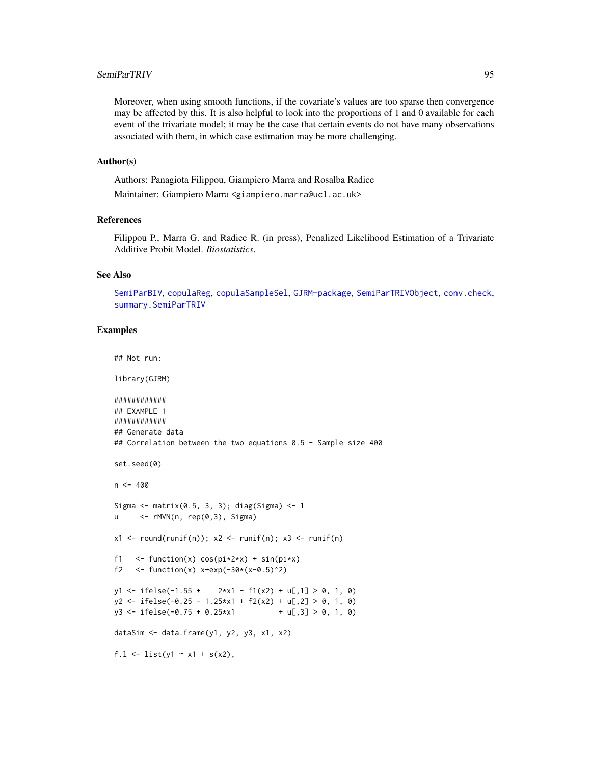## SemiParTRIV 95

Moreover, when using smooth functions, if the covariate's values are too sparse then convergence may be affected by this. It is also helpful to look into the proportions of 1 and 0 available for each event of the trivariate model; it may be the case that certain events do not have many observations associated with them, in which case estimation may be more challenging.

#### Author(s)

Authors: Panagiota Filippou, Giampiero Marra and Rosalba Radice

Maintainer: Giampiero Marra <giampiero.marra@ucl.ac.uk>

#### References

Filippou P., Marra G. and Radice R. (in press), Penalized Likelihood Estimation of a Trivariate Additive Probit Model. *Biostatistics*.

#### See Also

[SemiParBIV](#page-79-0), [copulaReg](#page-15-0), [copulaSampleSel](#page-24-0), [GJRM-package](#page-2-0), [SemiParTRIVObject](#page-97-0), [conv.check](#page-14-0), [summary.SemiParTRIV](#page-105-0)

#### Examples

## Not run:

library(GJRM)

```
############
## EXAMPLE 1
############
## Generate data
## Correlation between the two equations 0.5 - Sample size 400
set.seed(0)
n < -400Sigma <- matrix(0.5, 3, 3); diag(Sigma) <- 1
u <- rMVN(n, rep(0,3), Sigma)
x1 \leftarrow \text{round}(\text{runif(n)}); x2 \leftarrow \text{runif(n)}; x3 \leftarrow \text{runif(n)}f1 \le function(x) cos(pix2*x) + sin(pix)f2 \le function(x) x+exp(-30*(x-0.5)^2)y1 \leftarrow ifelse(-1.55 + 2*x1 - f1(x2) + u[,1] > 0, 1, 0)
y2 \le ifelse(-0.25 - 1.25*x1 + f2(x2) + u[,2] > 0, 1, 0)
y3 \le ifelse(-0.75 + 0.25*x1 + u[,3] > 0, 1, 0)
dataSim <- data.frame(y1, y2, y3, x1, x2)
f.l <- list(y1 \sim x1 + s(x2),
```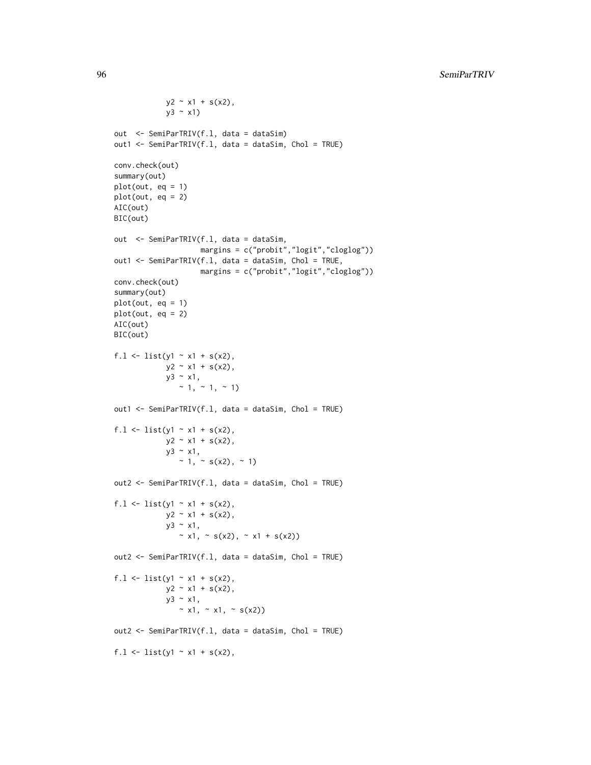```
y2 \sim x1 + s(x2),
            y3 \sim x1out <- SemiParTRIV(f.l, data = dataSim)
out1 <- SemiParTRIV(f.l, data = dataSim, Chol = TRUE)
conv.check(out)
summary(out)
plot(out, eq = 1)plot(out, eq = 2)AIC(out)
BIC(out)
out <- SemiParTRIV(f.l, data = dataSim,
                    margins = c("probit","logit","cloglog"))
out1 <- SemiParTRIV(f.l, data = dataSim, Chol = TRUE,
                    margins = c("probit","logit","cloglog"))
conv.check(out)
summary(out)
plot(out, eq = 1)plot(out, eq = 2)
AIC(out)
BIC(out)
f.l <- list(y1 \sim x1 + s(x2),
             y2 - x1 + s(x2),
             y3 \sim x1,
               ~1, ~ 1, ~ 1, ~ 1)out1 <- SemiParTRIV(f.l, data = dataSim, Chol = TRUE)
f.l <- list(y1 \sim x1 + s(x2),
            y2 - x1 + s(x2),
            y3 ~ x1,
               \sim 1, \sim s(x2), \sim 1out2 <- SemiParTRIV(f.l, data = dataSim, Chol = TRUE)
f.l <- list(y1 \sim x1 + s(x2),
            y2 - x1 + s(x2),
            y3 ~ x1,
               ~ x1, -s(x2), -x1 + s(x2)out2 <- SemiParTRIV(f.l, data = dataSim, Chol = TRUE)
f.l <- list(y1 \sim x1 + s(x2),
            y2 - x1 + s(x2),
            y3 ~ x1,
               \sim x1, \sim x1, \sim s(x2))
out2 <- SemiParTRIV(f.l, data = dataSim, Chol = TRUE)
f.l <- list(y1 \sim x1 + s(x2),
```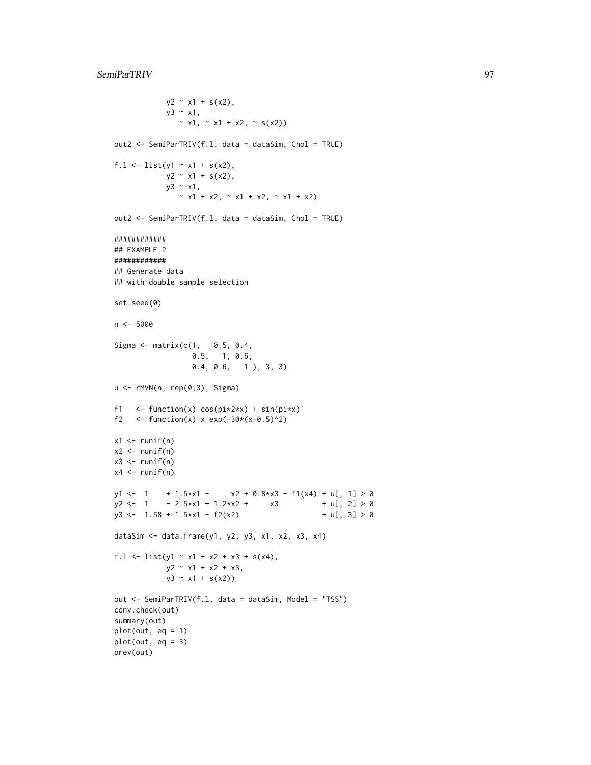```
y2 \sim x1 + s(x2),
            y3 ~ x1,
               ~ x1, ~ x1 + x2, ~ s(x2))
out2 <- SemiParTRIV(f.l, data = dataSim, Chol = TRUE)
f.l <- list(y1 \sim x1 + s(x2),
            y2 \sim x1 + s(x2),
            y3 \sim x1,
               ~ x1 + x2, ~ x1 + x2, ~ x1 + x2)
out2 <- SemiParTRIV(f.l, data = dataSim, Chol = TRUE)
############
## EXAMPLE 2
############
## Generate data
## with double sample selection
set.seed(0)
n < -5000Sigma \leq matrix(c(1, 0.5, 0.4,
                  0.5, 1, 0.6,
                  0.4, 0.6, 1 ), 3, 3)
u \leftarrow rMVN(n, rep(0,3), Signa)f1 \leftarrow function(x) cos(pix2*x) + sin(pix)f2 <- function(x) x+exp(-30*(x-0.5)^2)x1 \leftarrow runif(n)x2 \le- runif(n)
x3 \leftarrow runif(n)x4 \leftarrow runif(n)y1 \leftarrow 1 + 1.5*x1 - x2 + 0.8*x3 - f1(x4) + u[, 1] > 0
y2 \le -1 - 2.5*x1 + 1.2*x2 + x3 + u[, 2] > 0
y3 \leftarrow 1.58 + 1.5*x1 - f2(x2) + u[, 3] > 0dataSim <- data.frame(y1, y2, y3, x1, x2, x3, x4)
f.l <- list(y1 ~ x1 + x2 + x3 + s(x4),
            y2 - x1 + x2 + x3,
            y3 \sim x1 + s(x2)out <- SemiParTRIV(f.l, data = dataSim, Model = "TSS")
conv.check(out)
summary(out)
plot(out, eq = 1)
plot(out, eq = 3)
prev(out)
```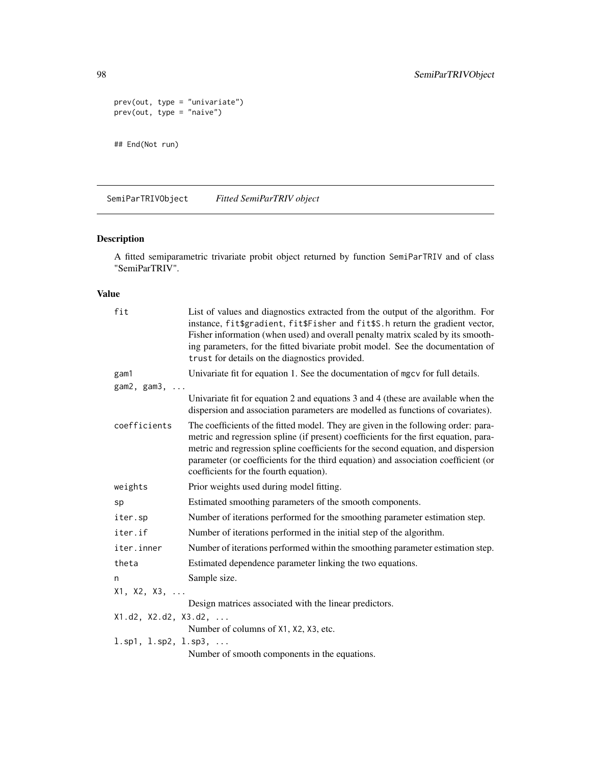```
prev(out, type = "univariate")
prev(out, type = "naive")
## End(Not run)
```
<span id="page-97-0"></span>SemiParTRIVObject *Fitted SemiParTRIV object*

# Description

A fitted semiparametric trivariate probit object returned by function SemiParTRIV and of class "SemiParTRIV".

## Value

| fit                                          | List of values and diagnostics extracted from the output of the algorithm. For<br>instance, fit\$gradient, fit\$Fisher and fit\$S.h return the gradient vector,<br>Fisher information (when used) and overall penalty matrix scaled by its smooth-<br>ing parameters, for the fitted bivariate probit model. See the documentation of<br>trust for details on the diagnostics provided.         |
|----------------------------------------------|-------------------------------------------------------------------------------------------------------------------------------------------------------------------------------------------------------------------------------------------------------------------------------------------------------------------------------------------------------------------------------------------------|
| gam1                                         | Univariate fit for equation 1. See the documentation of mgcv for full details.                                                                                                                                                                                                                                                                                                                  |
| gam2, gam3,                                  |                                                                                                                                                                                                                                                                                                                                                                                                 |
|                                              | Univariate fit for equation 2 and equations 3 and 4 (these are available when the<br>dispersion and association parameters are modelled as functions of covariates).                                                                                                                                                                                                                            |
| coefficients                                 | The coefficients of the fitted model. They are given in the following order: para-<br>metric and regression spline (if present) coefficients for the first equation, para-<br>metric and regression spline coefficients for the second equation, and dispersion<br>parameter (or coefficients for the third equation) and association coefficient (or<br>coefficients for the fourth equation). |
| weights                                      | Prior weights used during model fitting.                                                                                                                                                                                                                                                                                                                                                        |
| sp                                           | Estimated smoothing parameters of the smooth components.                                                                                                                                                                                                                                                                                                                                        |
| iter.sp                                      | Number of iterations performed for the smoothing parameter estimation step.                                                                                                                                                                                                                                                                                                                     |
| iter.if                                      | Number of iterations performed in the initial step of the algorithm.                                                                                                                                                                                                                                                                                                                            |
| iter.inner                                   | Number of iterations performed within the smoothing parameter estimation step.                                                                                                                                                                                                                                                                                                                  |
| theta                                        | Estimated dependence parameter linking the two equations.                                                                                                                                                                                                                                                                                                                                       |
| n                                            | Sample size.                                                                                                                                                                                                                                                                                                                                                                                    |
| X1, X2, X3,                                  |                                                                                                                                                                                                                                                                                                                                                                                                 |
|                                              | Design matrices associated with the linear predictors.                                                                                                                                                                                                                                                                                                                                          |
| X1.d2, X2.d2, X3.d2,                         |                                                                                                                                                                                                                                                                                                                                                                                                 |
|                                              | Number of columns of X1, X2, X3, etc.                                                                                                                                                                                                                                                                                                                                                           |
| $1.\text{sp1}, 1.\text{sp2}, 1.\text{sp3}, $ |                                                                                                                                                                                                                                                                                                                                                                                                 |
|                                              | Number of smooth components in the equations.                                                                                                                                                                                                                                                                                                                                                   |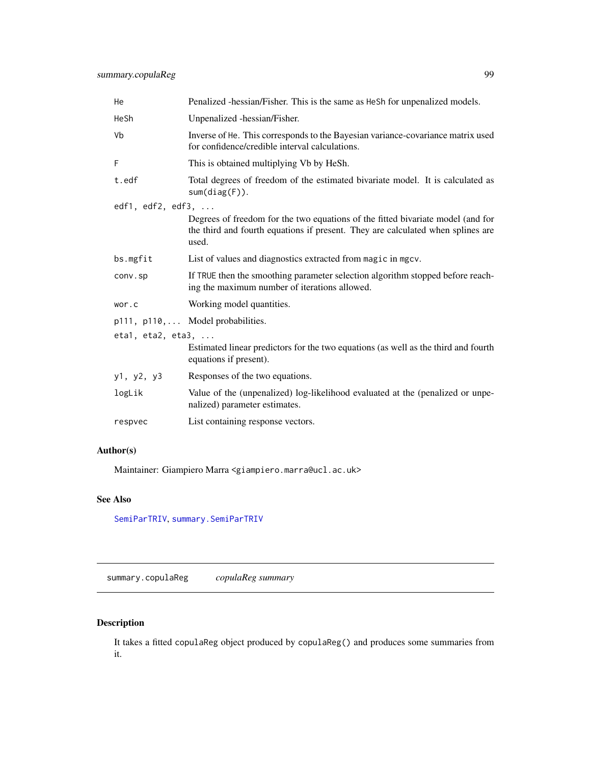| He                               | Penalized -hessian/Fisher. This is the same as HeSh for unpenalized models.                                                                                                 |  |
|----------------------------------|-----------------------------------------------------------------------------------------------------------------------------------------------------------------------------|--|
| HeSh                             | Unpenalized -hessian/Fisher.                                                                                                                                                |  |
| Vb                               | Inverse of He. This corresponds to the Bayesian variance-covariance matrix used<br>for confidence/credible interval calculations.                                           |  |
| F                                | This is obtained multiplying Vb by HeSh.                                                                                                                                    |  |
| t.edf                            | Total degrees of freedom of the estimated bivariate model. It is calculated as<br>sum(diag(F)).                                                                             |  |
| edf1, $edf2$ , $edf3$ , $\ldots$ |                                                                                                                                                                             |  |
|                                  | Degrees of freedom for the two equations of the fitted bivariate model (and for<br>the third and fourth equations if present. They are calculated when splines are<br>used. |  |
| bs.mgfit                         | List of values and diagnostics extracted from magic in mgcv.                                                                                                                |  |
| conv.sp                          | If TRUE then the smoothing parameter selection algorithm stopped before reach-<br>ing the maximum number of iterations allowed.                                             |  |
| wor.c                            | Working model quantities.                                                                                                                                                   |  |
|                                  | p111, p110,  Model probabilities.                                                                                                                                           |  |
| etal, $eta2$ , $eta3$ , $\ldots$ |                                                                                                                                                                             |  |
|                                  | Estimated linear predictors for the two equations (as well as the third and fourth<br>equations if present).                                                                |  |
| y1, y2, y3                       | Responses of the two equations.                                                                                                                                             |  |
| logLik                           | Value of the (unpenalized) log-likelihood evaluated at the (penalized or unpe-<br>nalized) parameter estimates.                                                             |  |
| respvec                          | List containing response vectors.                                                                                                                                           |  |

## Author(s)

Maintainer: Giampiero Marra <giampiero.marra@ucl.ac.uk>

# See Also

[SemiParTRIV](#page-92-0), [summary.SemiParTRIV](#page-105-0)

summary.copulaReg *copulaReg summary*

# Description

It takes a fitted copulaReg object produced by copulaReg() and produces some summaries from it.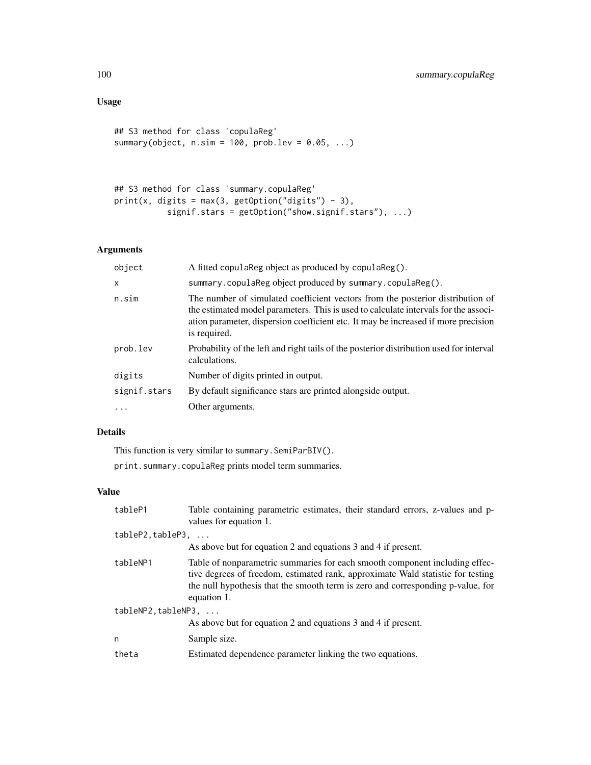# Usage

```
## S3 method for class 'copulaReg'
summary(object, n.\sin = 100, prob.\lev = 0.05, ...)
```

```
## S3 method for class 'summary.copulaReg'
print(x, digits = max(3, getOption("digits") - 3),signif.stars = getOption("show.signif.stars"), ...)
```
## Arguments

| object       | A fitted copularing object as produced by copularing ().                                                                                                                                                                                                                     |
|--------------|------------------------------------------------------------------------------------------------------------------------------------------------------------------------------------------------------------------------------------------------------------------------------|
| $\mathsf{x}$ | summary.copulaReg object produced by summary.copulaReg().                                                                                                                                                                                                                    |
| n.sim        | The number of simulated coefficient vectors from the posterior distribution of<br>the estimated model parameters. This is used to calculate intervals for the associ--<br>ation parameter, dispersion coefficient etc. It may be increased if more precision<br>is required. |
| prob.lev     | Probability of the left and right tails of the posterior distribution used for interval<br>calculations.                                                                                                                                                                     |
| digits       | Number of digits printed in output.                                                                                                                                                                                                                                          |
| signif.stars | By default significance stars are printed alongside output.                                                                                                                                                                                                                  |
| $\cdots$     | Other arguments.                                                                                                                                                                                                                                                             |

# Details

This function is very similar to summary.SemiParBIV().

print.summary.copulaReg prints model term summaries.

## Value

| tableP1             | Table containing parametric estimates, their standard errors, z-values and p-<br>values for equation 1.                                                                                                                                                          |  |
|---------------------|------------------------------------------------------------------------------------------------------------------------------------------------------------------------------------------------------------------------------------------------------------------|--|
| tableP2, tableP3,   |                                                                                                                                                                                                                                                                  |  |
|                     | As above but for equation 2 and equations 3 and 4 if present.                                                                                                                                                                                                    |  |
| tableNP1            | Table of nonparametric summaries for each smooth component including effec-<br>tive degrees of freedom, estimated rank, approximate Wald statistic for testing<br>the null hypothesis that the smooth term is zero and corresponding p-value, for<br>equation 1. |  |
| tableNP2, tableNP3, |                                                                                                                                                                                                                                                                  |  |
|                     | As above but for equation 2 and equations 3 and 4 if present.                                                                                                                                                                                                    |  |
| n                   | Sample size.                                                                                                                                                                                                                                                     |  |
| theta               | Estimated dependence parameter linking the two equations.                                                                                                                                                                                                        |  |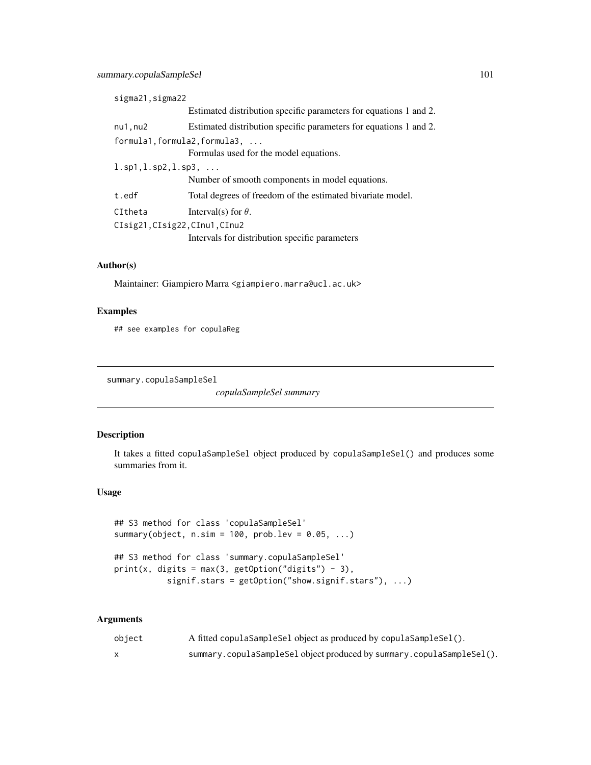| sigma21, sigma22                                   |                                                                   |
|----------------------------------------------------|-------------------------------------------------------------------|
|                                                    | Estimated distribution specific parameters for equations 1 and 2. |
| $nu1$ , $nu2$                                      | Estimated distribution specific parameters for equations 1 and 2. |
|                                                    | formula1, formula2, formula3,                                     |
|                                                    | Formulas used for the model equations.                            |
| $1.\text{sp1}, 1.\text{sp2}, 1.\text{sp3}, \ldots$ |                                                                   |
|                                                    | Number of smooth components in model equations.                   |
| t.edf                                              | Total degrees of freedom of the estimated bivariate model.        |
| CItheta                                            | Interval(s) for $\theta$ .                                        |
| CIsig21, CIsig22, CInu1, CInu2                     |                                                                   |
|                                                    | Intervals for distribution specific parameters                    |

## Author(s)

Maintainer: Giampiero Marra <giampiero.marra@ucl.ac.uk>

#### Examples

## see examples for copulaReg

summary.copulaSampleSel

*copulaSampleSel summary*

## Description

It takes a fitted copulaSampleSel object produced by copulaSampleSel() and produces some summaries from it.

## Usage

```
## S3 method for class 'copulaSampleSel'
summary(object, n.sim = 100, prob.lev = 0.05, ...)
## S3 method for class 'summary.copulaSampleSel'
print(x, digits = max(3, getOption("digits") - 3),signif.stars = getOption("show.signif.stars"), ...)
```

| object | A fitted copulaSampleSel object as produced by copulaSampleSel().    |
|--------|----------------------------------------------------------------------|
|        | summary.copulaSampleSelobject produced by summary.copulaSampleSel(). |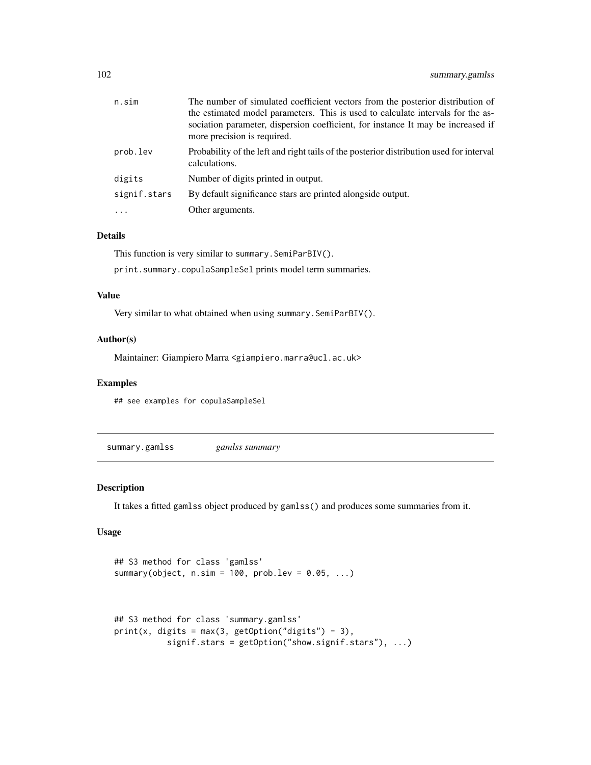| n.sim        | The number of simulated coefficient vectors from the posterior distribution of<br>the estimated model parameters. This is used to calculate intervals for the as-<br>sociation parameter, dispersion coefficient, for instance It may be increased if<br>more precision is required. |
|--------------|--------------------------------------------------------------------------------------------------------------------------------------------------------------------------------------------------------------------------------------------------------------------------------------|
| prob.lev     | Probability of the left and right tails of the posterior distribution used for interval<br>calculations.                                                                                                                                                                             |
| digits       | Number of digits printed in output.                                                                                                                                                                                                                                                  |
| signif.stars | By default significance stars are printed alongside output.                                                                                                                                                                                                                          |
| $\cdots$     | Other arguments.                                                                                                                                                                                                                                                                     |

### Details

This function is very similar to summary.SemiParBIV(). print.summary.copulaSampleSel prints model term summaries.

#### Value

Very similar to what obtained when using summary.SemiParBIV().

## Author(s)

Maintainer: Giampiero Marra <giampiero.marra@ucl.ac.uk>

## Examples

## see examples for copulaSampleSel

summary.gamlss *gamlss summary*

## Description

It takes a fitted gamlss object produced by gamlss() and produces some summaries from it.

## Usage

```
## S3 method for class 'gamlss'
summary(object, n.sim = 100, prob.lev = 0.05, ...)
```

```
## S3 method for class 'summary.gamlss'
print(x, digits = max(3, getOption("digits") - 3),signif.stars = getOption("show.signif.stars"), ...)
```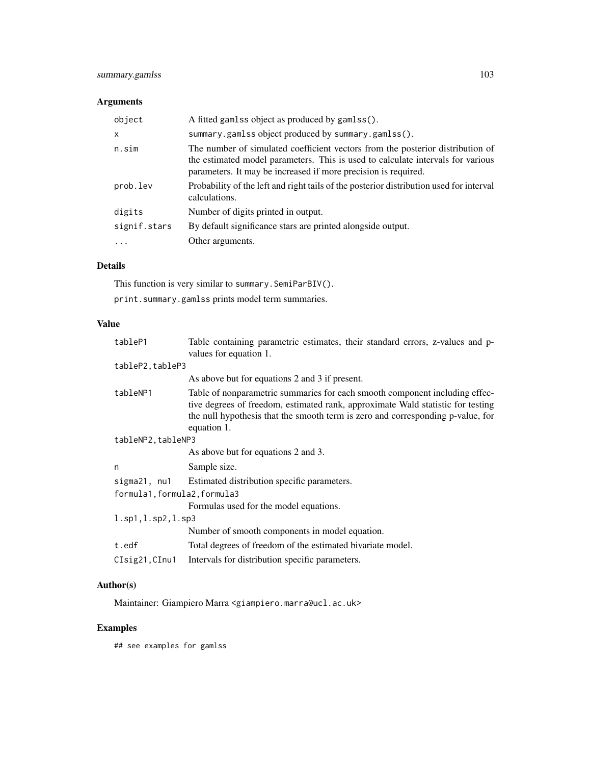# summary.gamlss 103

# Arguments

| summary.gamlss object produced by summary.gamlss().<br>X<br>The number of simulated coefficient vectors from the posterior distribution of<br>n.sim<br>the estimated model parameters. This is used to calculate intervals for various<br>parameters. It may be increased if more precision is required.<br>Probability of the left and right tails of the posterior distribution used for interval<br>prob.lev<br>calculations.<br>digits<br>Number of digits printed in output.<br>By default significance stars are printed alongside output.<br>signif.stars<br>Other arguments.<br>. | object | A fitted gamlss object as produced by gamlss(). |
|-------------------------------------------------------------------------------------------------------------------------------------------------------------------------------------------------------------------------------------------------------------------------------------------------------------------------------------------------------------------------------------------------------------------------------------------------------------------------------------------------------------------------------------------------------------------------------------------|--------|-------------------------------------------------|
|                                                                                                                                                                                                                                                                                                                                                                                                                                                                                                                                                                                           |        |                                                 |
|                                                                                                                                                                                                                                                                                                                                                                                                                                                                                                                                                                                           |        |                                                 |
|                                                                                                                                                                                                                                                                                                                                                                                                                                                                                                                                                                                           |        |                                                 |
|                                                                                                                                                                                                                                                                                                                                                                                                                                                                                                                                                                                           |        |                                                 |
|                                                                                                                                                                                                                                                                                                                                                                                                                                                                                                                                                                                           |        |                                                 |
|                                                                                                                                                                                                                                                                                                                                                                                                                                                                                                                                                                                           |        |                                                 |

# Details

This function is very similar to summary.SemiParBIV(). print.summary.gamlss prints model term summaries.

# Value

| tableP1                                    | Table containing parametric estimates, their standard errors, z-values and p-<br>values for equation 1.                                                                                                                                                          |  |
|--------------------------------------------|------------------------------------------------------------------------------------------------------------------------------------------------------------------------------------------------------------------------------------------------------------------|--|
| tableP2, tableP3                           |                                                                                                                                                                                                                                                                  |  |
|                                            | As above but for equations 2 and 3 if present.                                                                                                                                                                                                                   |  |
| tableNP1                                   | Table of nonparametric summaries for each smooth component including effec-<br>tive degrees of freedom, estimated rank, approximate Wald statistic for testing<br>the null hypothesis that the smooth term is zero and corresponding p-value, for<br>equation 1. |  |
| tableNP2, tableNP3                         |                                                                                                                                                                                                                                                                  |  |
|                                            | As above but for equations 2 and 3.                                                                                                                                                                                                                              |  |
| n                                          | Sample size.                                                                                                                                                                                                                                                     |  |
|                                            | sigma21, nu1 Estimated distribution specific parameters.                                                                                                                                                                                                         |  |
| formula1, formula2, formula3               |                                                                                                                                                                                                                                                                  |  |
|                                            | Formulas used for the model equations.                                                                                                                                                                                                                           |  |
| $l.\text{sp1}, l.\text{sp2}, l.\text{sp3}$ |                                                                                                                                                                                                                                                                  |  |
|                                            | Number of smooth components in model equation.                                                                                                                                                                                                                   |  |
| t.edf                                      | Total degrees of freedom of the estimated bivariate model.                                                                                                                                                                                                       |  |
| CIsig21, CInu1                             | Intervals for distribution specific parameters.                                                                                                                                                                                                                  |  |
|                                            |                                                                                                                                                                                                                                                                  |  |

# Author(s)

Maintainer: Giampiero Marra <giampiero.marra@ucl.ac.uk>

# Examples

## see examples for gamlss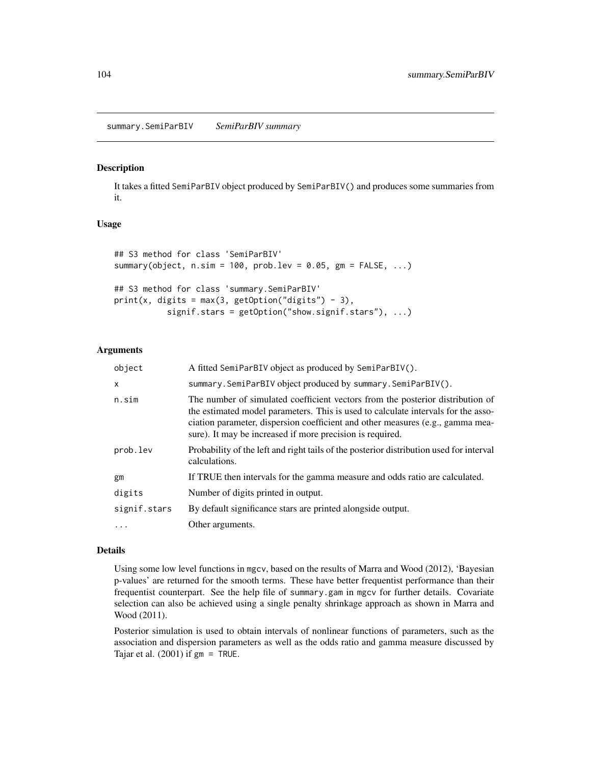#### <span id="page-103-0"></span>Description

It takes a fitted SemiParBIV object produced by SemiParBIV() and produces some summaries from it.

## Usage

```
## S3 method for class 'SemiParBIV'
summary(object, n.\sin = 100, prob.\lev = 0.05, gm = FALSE, ...)
## S3 method for class 'summary.SemiParBIV'
print(x, digits = max(3, getOption("digits") - 3),signif.stars = getOption("show.signif.stars"), ...)
```
## Arguments

| object       | A fitted SemiParBIV object as produced by SemiParBIV().                                                                                                                                                                                                                                                            |
|--------------|--------------------------------------------------------------------------------------------------------------------------------------------------------------------------------------------------------------------------------------------------------------------------------------------------------------------|
| X            | summary. SemiParBIV object produced by summary. SemiParBIV().                                                                                                                                                                                                                                                      |
| n.sim        | The number of simulated coefficient vectors from the posterior distribution of<br>the estimated model parameters. This is used to calculate intervals for the asso-<br>ciation parameter, dispersion coefficient and other measures (e.g., gamma mea-<br>sure). It may be increased if more precision is required. |
| prob.lev     | Probability of the left and right tails of the posterior distribution used for interval<br>calculations.                                                                                                                                                                                                           |
| gm           | If TRUE then intervals for the gamma measure and odds ratio are calculated.                                                                                                                                                                                                                                        |
| digits       | Number of digits printed in output.                                                                                                                                                                                                                                                                                |
| signif.stars | By default significance stars are printed alongside output.                                                                                                                                                                                                                                                        |
| .            | Other arguments.                                                                                                                                                                                                                                                                                                   |
|              |                                                                                                                                                                                                                                                                                                                    |

#### Details

Using some low level functions in mgcv, based on the results of Marra and Wood (2012), 'Bayesian p-values' are returned for the smooth terms. These have better frequentist performance than their frequentist counterpart. See the help file of summary.gam in mgcv for further details. Covariate selection can also be achieved using a single penalty shrinkage approach as shown in Marra and Wood (2011).

Posterior simulation is used to obtain intervals of nonlinear functions of parameters, such as the association and dispersion parameters as well as the odds ratio and gamma measure discussed by Tajar et al.  $(2001)$  if gm = TRUE.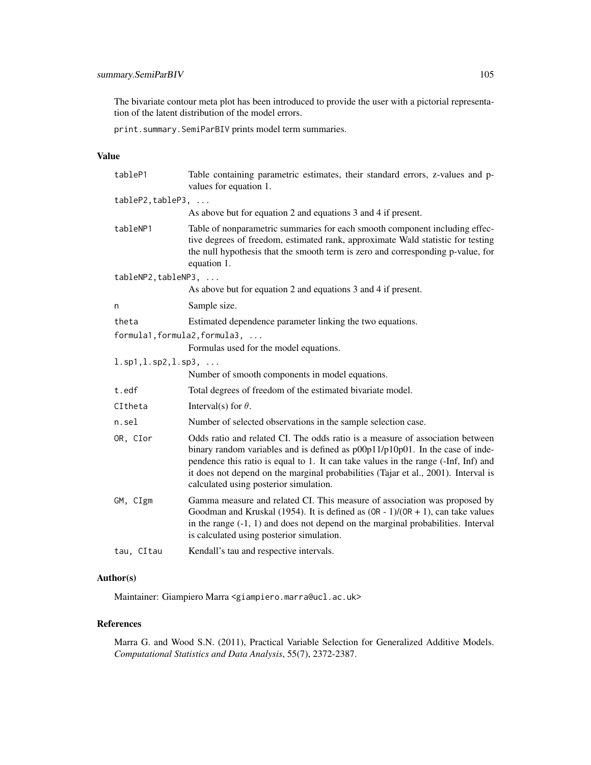The bivariate contour meta plot has been introduced to provide the user with a pictorial representation of the latent distribution of the model errors.

print.summary.SemiParBIV prints model term summaries.

## Value

| tableP1                                            | Table containing parametric estimates, their standard errors, z-values and p-<br>values for equation 1.                                                                                                                                                                                                                                                                              |
|----------------------------------------------------|--------------------------------------------------------------------------------------------------------------------------------------------------------------------------------------------------------------------------------------------------------------------------------------------------------------------------------------------------------------------------------------|
| tableP2, tableP3,                                  |                                                                                                                                                                                                                                                                                                                                                                                      |
|                                                    | As above but for equation 2 and equations 3 and 4 if present.                                                                                                                                                                                                                                                                                                                        |
| tableNP1                                           | Table of nonparametric summaries for each smooth component including effec-<br>tive degrees of freedom, estimated rank, approximate Wald statistic for testing<br>the null hypothesis that the smooth term is zero and corresponding p-value, for<br>equation 1.                                                                                                                     |
| tableNP2, tableNP3,                                |                                                                                                                                                                                                                                                                                                                                                                                      |
|                                                    | As above but for equation 2 and equations 3 and 4 if present.                                                                                                                                                                                                                                                                                                                        |
| n                                                  | Sample size.                                                                                                                                                                                                                                                                                                                                                                         |
| theta                                              | Estimated dependence parameter linking the two equations.                                                                                                                                                                                                                                                                                                                            |
|                                                    | formula1, formula2, formula3,<br>Formulas used for the model equations.                                                                                                                                                                                                                                                                                                              |
| $1.\text{sp1}, 1.\text{sp2}, 1.\text{sp3}, \ldots$ |                                                                                                                                                                                                                                                                                                                                                                                      |
|                                                    | Number of smooth components in model equations.                                                                                                                                                                                                                                                                                                                                      |
| t.edf                                              | Total degrees of freedom of the estimated bivariate model.                                                                                                                                                                                                                                                                                                                           |
| CItheta                                            | Interval(s) for $\theta$ .                                                                                                                                                                                                                                                                                                                                                           |
| n.sel                                              | Number of selected observations in the sample selection case.                                                                                                                                                                                                                                                                                                                        |
| OR, CIor                                           | Odds ratio and related CI. The odds ratio is a measure of association between<br>binary random variables and is defined as p00p11/p10p01. In the case of inde-<br>pendence this ratio is equal to 1. It can take values in the range (-Inf, Inf) and<br>it does not depend on the marginal probabilities (Tajar et al., 2001). Interval is<br>calculated using posterior simulation. |
| GM, CIgm                                           | Gamma measure and related CI. This measure of association was proposed by<br>Goodman and Kruskal (1954). It is defined as $(OR - 1)/(OR + 1)$ , can take values<br>in the range $(-1, 1)$ and does not depend on the marginal probabilities. Interval<br>is calculated using posterior simulation.                                                                                   |
| tau, CItau                                         | Kendall's tau and respective intervals.                                                                                                                                                                                                                                                                                                                                              |

# Author(s)

Maintainer: Giampiero Marra <giampiero.marra@ucl.ac.uk>

#### References

Marra G. and Wood S.N. (2011), Practical Variable Selection for Generalized Additive Models. *Computational Statistics and Data Analysis*, 55(7), 2372-2387.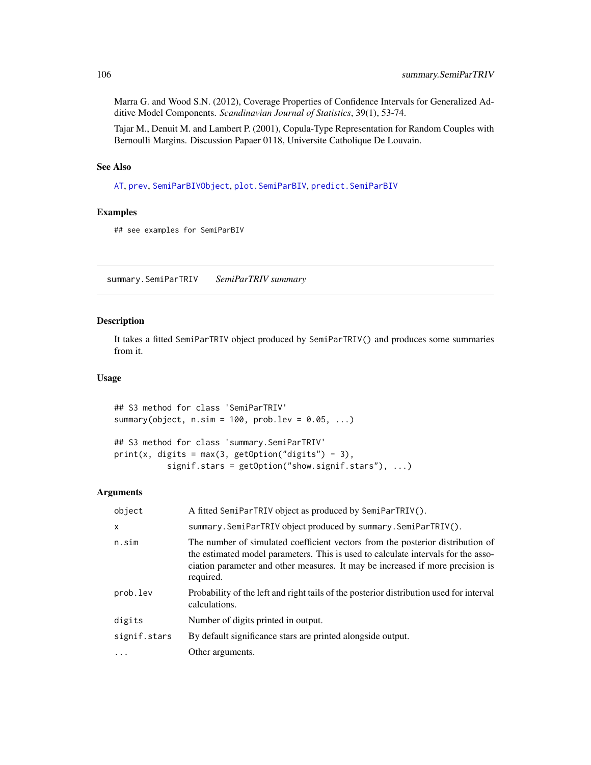Marra G. and Wood S.N. (2012), Coverage Properties of Confidence Intervals for Generalized Additive Model Components. *Scandinavian Journal of Statistics*, 39(1), 53-74.

Tajar M., Denuit M. and Lambert P. (2001), Copula-Type Representation for Random Couples with Bernoulli Margins. Discussion Papaer 0118, Universite Catholique De Louvain.

## See Also

[AT](#page-6-0), [prev](#page-64-0), [SemiParBIVObject](#page-90-0), [plot.SemiParBIV](#page-59-0), [predict.SemiParBIV](#page-63-0)

## Examples

## see examples for SemiParBIV

<span id="page-105-0"></span>summary.SemiParTRIV *SemiParTRIV summary*

#### Description

It takes a fitted SemiParTRIV object produced by SemiParTRIV() and produces some summaries from it.

## Usage

## S3 method for class 'SemiParTRIV' summary(object,  $n.sim = 100$ ,  $prob.lev = 0.05, ...$ )

```
## S3 method for class 'summary.SemiParTRIV'
print(x, digits = max(3, getOption("digits") - 3),signif.stars = getOption("show.signif.stars"), ...)
```

| A fitted SemiParTRIV object as produced by SemiParTRIV().                                                                                                                                                                                                          |
|--------------------------------------------------------------------------------------------------------------------------------------------------------------------------------------------------------------------------------------------------------------------|
| summary. SemiParTRIV object produced by summary. SemiParTRIV().                                                                                                                                                                                                    |
| The number of simulated coefficient vectors from the posterior distribution of<br>the estimated model parameters. This is used to calculate intervals for the asso-<br>ciation parameter and other measures. It may be increased if more precision is<br>required. |
| Probability of the left and right tails of the posterior distribution used for interval<br>calculations.                                                                                                                                                           |
| Number of digits printed in output.                                                                                                                                                                                                                                |
| By default significance stars are printed alongside output.                                                                                                                                                                                                        |
| Other arguments.                                                                                                                                                                                                                                                   |
|                                                                                                                                                                                                                                                                    |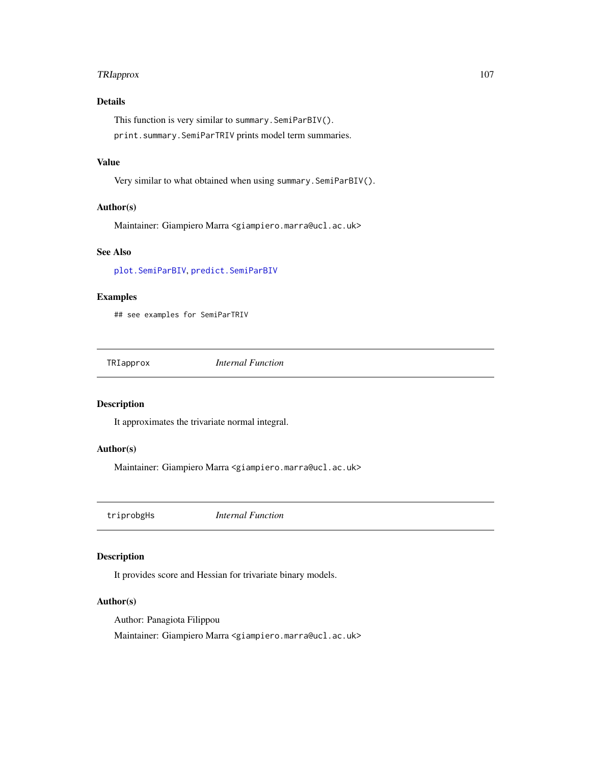## TRIapprox 107

# Details

This function is very similar to summary.SemiParBIV(). print.summary.SemiParTRIV prints model term summaries.

## Value

Very similar to what obtained when using summary.SemiParBIV().

## Author(s)

Maintainer: Giampiero Marra <giampiero.marra@ucl.ac.uk>

# See Also

[plot.SemiParBIV](#page-59-0), [predict.SemiParBIV](#page-63-0)

## Examples

## see examples for SemiParTRIV

TRIapprox *Internal Function*

## Description

It approximates the trivariate normal integral.

#### Author(s)

Maintainer: Giampiero Marra <giampiero.marra@ucl.ac.uk>

triprobgHs *Internal Function*

## Description

It provides score and Hessian for trivariate binary models.

## Author(s)

Author: Panagiota Filippou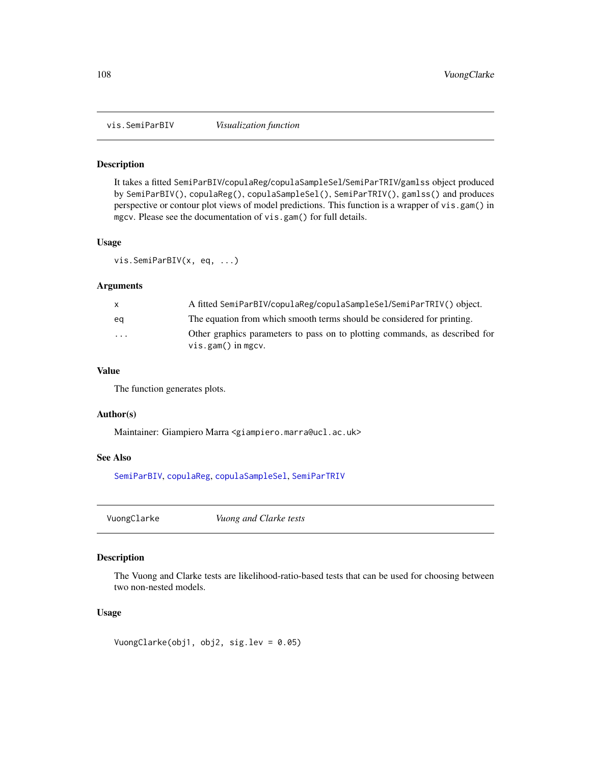## Description

It takes a fitted SemiParBIV/copulaReg/copulaSampleSel/SemiParTRIV/gamlss object produced by SemiParBIV(), copulaReg(), copulaSampleSel(), SemiParTRIV(), gamlss() and produces perspective or contour plot views of model predictions. This function is a wrapper of vis.gam() in mgcv. Please see the documentation of vis.gam() for full details.

#### Usage

vis.SemiParBIV(x, eq, ...)

#### Arguments

| $\mathsf{x}$ | A fitted SemiParBIV/copulaReg/copulaSampleSel/SemiParTRIV() object.                                 |
|--------------|-----------------------------------------------------------------------------------------------------|
| ea           | The equation from which smooth terms should be considered for printing.                             |
| $\cdots$     | Other graphics parameters to pass on to plotting commands, as described for<br>$vis.gam()$ in mgcv. |

## Value

The function generates plots.

#### Author(s)

Maintainer: Giampiero Marra <giampiero.marra@ucl.ac.uk>

# See Also

[SemiParBIV](#page-79-0), [copulaReg](#page-15-0), [copulaSampleSel](#page-24-0), [SemiParTRIV](#page-92-0)

<span id="page-107-0"></span>VuongClarke *Vuong and Clarke tests*

## Description

The Vuong and Clarke tests are likelihood-ratio-based tests that can be used for choosing between two non-nested models.

## Usage

VuongClarke(obj1, obj2, sig.lev = 0.05)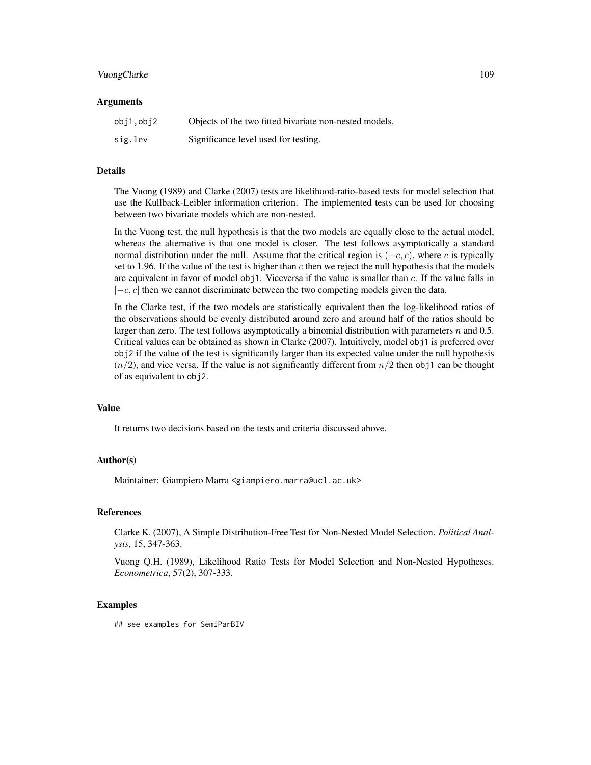#### VuongClarke 109

#### Arguments

| obj1,obj2 | Objects of the two fitted bivariate non-nested models. |
|-----------|--------------------------------------------------------|
| sig.lev   | Significance level used for testing.                   |

# Details

The Vuong (1989) and Clarke (2007) tests are likelihood-ratio-based tests for model selection that use the Kullback-Leibler information criterion. The implemented tests can be used for choosing between two bivariate models which are non-nested.

In the Vuong test, the null hypothesis is that the two models are equally close to the actual model, whereas the alternative is that one model is closer. The test follows asymptotically a standard normal distribution under the null. Assume that the critical region is  $(-c, c)$ , where c is typically set to 1.96. If the value of the test is higher than  $c$  then we reject the null hypothesis that the models are equivalent in favor of model obj1. Viceversa if the value is smaller than  $c$ . If the value falls in  $[-c, c]$  then we cannot discriminate between the two competing models given the data.

In the Clarke test, if the two models are statistically equivalent then the log-likelihood ratios of the observations should be evenly distributed around zero and around half of the ratios should be larger than zero. The test follows asymptotically a binomial distribution with parameters  $n$  and 0.5. Critical values can be obtained as shown in Clarke (2007). Intuitively, model obj1 is preferred over obj2 if the value of the test is significantly larger than its expected value under the null hypothesis  $(n/2)$ , and vice versa. If the value is not significantly different from  $n/2$  then obj1 can be thought of as equivalent to obj2.

# Value

It returns two decisions based on the tests and criteria discussed above.

## Author(s)

Maintainer: Giampiero Marra <giampiero.marra@ucl.ac.uk>

#### **References**

Clarke K. (2007), A Simple Distribution-Free Test for Non-Nested Model Selection. *Political Analysis*, 15, 347-363.

Vuong Q.H. (1989), Likelihood Ratio Tests for Model Selection and Non-Nested Hypotheses. *Econometrica*, 57(2), 307-333.

#### Examples

## see examples for SemiParBIV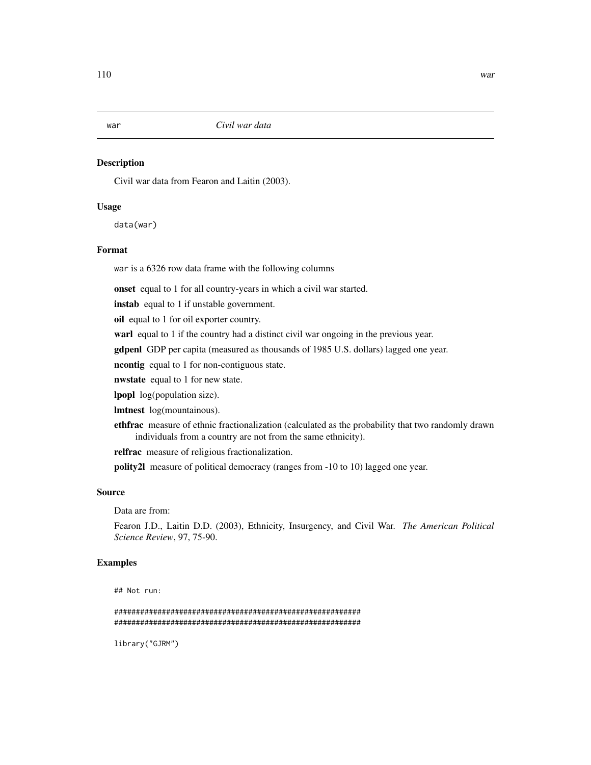<span id="page-109-0"></span>war *Civil war data*

## Description

Civil war data from Fearon and Laitin (2003).

# Usage

data(war)

# Format

war is a 6326 row data frame with the following columns

onset equal to 1 for all country-years in which a civil war started.

instab equal to 1 if unstable government.

oil equal to 1 for oil exporter country.

warl equal to 1 if the country had a distinct civil war ongoing in the previous year.

gdpenl GDP per capita (measured as thousands of 1985 U.S. dollars) lagged one year.

ncontig equal to 1 for non-contiguous state.

nwstate equal to 1 for new state.

lpopl log(population size).

lmtnest log(mountainous).

ethfrac measure of ethnic fractionalization (calculated as the probability that two randomly drawn individuals from a country are not from the same ethnicity).

relfrac measure of religious fractionalization.

polity2l measure of political democracy (ranges from -10 to 10) lagged one year.

## Source

Data are from:

Fearon J.D., Laitin D.D. (2003), Ethnicity, Insurgency, and Civil War. *The American Political Science Review*, 97, 75-90.

# Examples

## Not run:

######################################################### #########################################################

library("GJRM")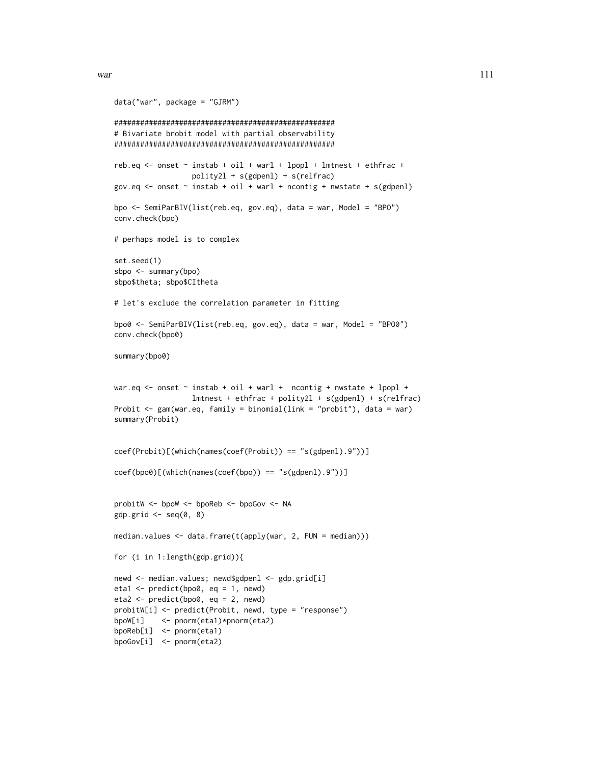```
data("war", package = "GJRM")
###################################################
# Bivariate brobit model with partial observability
###################################################
reb.eq \le onset \sim instab + oil + warl + lpopl + lmtnest + ethfrac +
                  polity2l + s(gdpenl) + s(relfrac)
gov.eq \leq onset \sim instab + oil + warl + ncontig + nwstate + s(gdpenl)
bpo <- SemiParBIV(list(reb.eq, gov.eq), data = war, Model = "BPO")
conv.check(bpo)
# perhaps model is to complex
set.seed(1)
sbpo <- summary(bpo)
sbpo$theta; sbpo$CItheta
# let's exclude the correlation parameter in fitting
bpo0 <- SemiParBIV(list(reb.eq, gov.eq), data = war, Model = "BPO0")
conv.check(bpo0)
summary(bpo0)
war.eq \le onset \sim instab + oil + warl + ncontig + nwstate + lpopl +
                 lmtnest + ethfrac + polity2l + s(gdpenl) + s(relfrac)
Probit <- gam(war.eq, family = binomial(link = "probit"), data = war)
summary(Probit)
coef(Probit)[(which(names(coef(Probit)) == "s(gdpenl).9"))]
coef(bpo0)[(which(names(coef(bpo)) == "s(gdpenl).9"))]
probitW <- bpoW <- bpoReb <- bpoGov <- NA
gdp.grid \le -seq(0, 8)median.values <- data.frame(t(apply(war, 2, FUN = median)))
for (i in 1:length(gdp.grid)){
newd <- median.values; newd$gdpenl <- gdp.grid[i]
eta1 \leq predict(bpo0, eq = 1, newd)
eta2 <- predict(bpo0, eq = 2, newd)
probitW[i] <- predict(Probit, newd, type = "response")
bpoW[i] <- pnorm(eta1)*pnorm(eta2)
bpoReb[i] <- pnorm(eta1)
```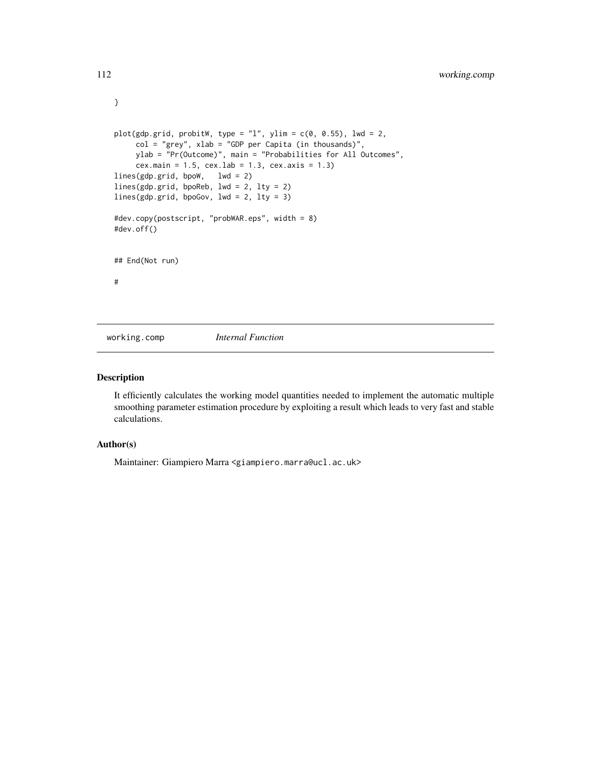```
plot(gdp.grid, probitW, type = "l", ylim = c(\theta, \theta.55), lwd = 2,
     col = "grey", xlab = "GDP per Capita (in thousands)",ylab = "Pr(Outcome)", main = "Probabilities for All Outcomes",
     cex.main = 1.5, cex.lab = 1.3, cex.axis = 1.3)
lines(gdp.grid, bpoW, lwd = 2)
lines(gdp.grid, bpoReb, lwd = 2, lty = 2)
lines(gdp.grid, bpoGov, lwd = 2, lty = 3)
#dev.copy(postscript, "probWAR.eps", width = 8)
#dev.off()
## End(Not run)
#
```
working.comp *Internal Function*

## Description

It efficiently calculates the working model quantities needed to implement the automatic multiple smoothing parameter estimation procedure by exploiting a result which leads to very fast and stable calculations.

# Author(s)

Maintainer: Giampiero Marra <giampiero.marra@ucl.ac.uk>

<span id="page-111-0"></span>}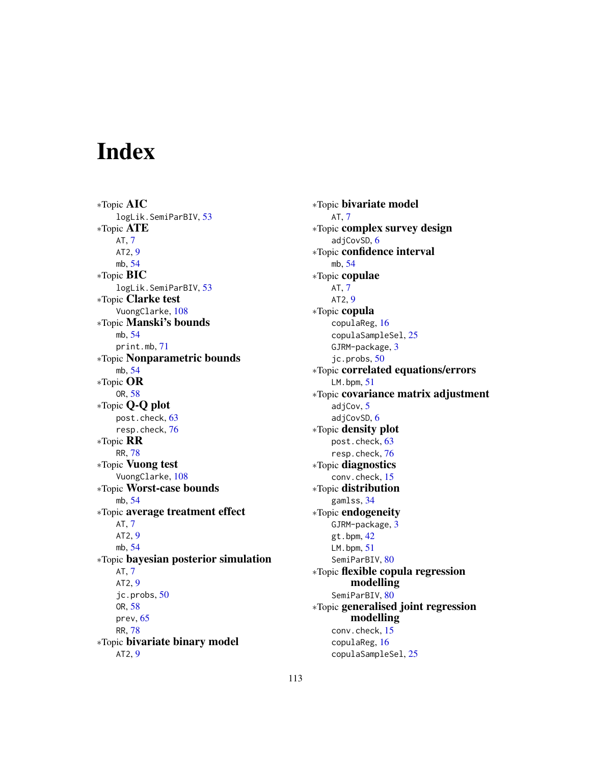# Index

∗Topic AIC logLik.SemiParBIV, [53](#page-52-0) ∗Topic ATE AT, [7](#page-6-0) AT2, [9](#page-8-0) mb, [54](#page-53-0) ∗Topic BIC logLik.SemiParBIV, [53](#page-52-0) ∗Topic Clarke test VuongClarke, [108](#page-107-0) ∗Topic Manski's bounds mb, [54](#page-53-0) print.mb, [71](#page-70-0) ∗Topic Nonparametric bounds mb, [54](#page-53-0) ∗Topic OR OR, [58](#page-57-0) ∗Topic Q-Q plot post.check, [63](#page-62-0) resp.check, [76](#page-75-0) ∗Topic RR RR, [78](#page-77-0) ∗Topic Vuong test VuongClarke, [108](#page-107-0) ∗Topic Worst-case bounds mb, [54](#page-53-0) ∗Topic average treatment effect AT, [7](#page-6-0) AT2, [9](#page-8-0) mb, [54](#page-53-0) ∗Topic bayesian posterior simulation AT, [7](#page-6-0) AT2, [9](#page-8-0) jc.probs, [50](#page-49-0) OR, [58](#page-57-0) prev, [65](#page-64-0) RR, [78](#page-77-0) ∗Topic bivariate binary model AT2, [9](#page-8-0)

∗Topic bivariate model AT, [7](#page-6-0) ∗Topic complex survey design adjCovSD, [6](#page-5-0) ∗Topic confidence interval mb, [54](#page-53-0) ∗Topic copulae AT, [7](#page-6-0) AT2, [9](#page-8-0) ∗Topic copula copulaReg, [16](#page-15-0) copulaSampleSel, [25](#page-24-0) GJRM-package, [3](#page-2-0) jc.probs, [50](#page-49-0) ∗Topic correlated equations/errors LM.bpm, [51](#page-50-0) ∗Topic covariance matrix adjustment adjCov, [5](#page-4-0) adjCovSD, [6](#page-5-0) ∗Topic density plot post.check, [63](#page-62-0) resp.check, [76](#page-75-0) ∗Topic diagnostics conv.check, [15](#page-14-0) ∗Topic distribution gamlss, [34](#page-33-0) ∗Topic endogeneity GJRM-package, [3](#page-2-0) gt.bpm, [42](#page-41-0) LM.bpm, [51](#page-50-0) SemiParBIV, [80](#page-79-0) ∗Topic flexible copula regression modelling SemiParBIV, [80](#page-79-0) ∗Topic generalised joint regression modelling conv.check, [15](#page-14-0) copulaReg, [16](#page-15-0) copulaSampleSel, [25](#page-24-0)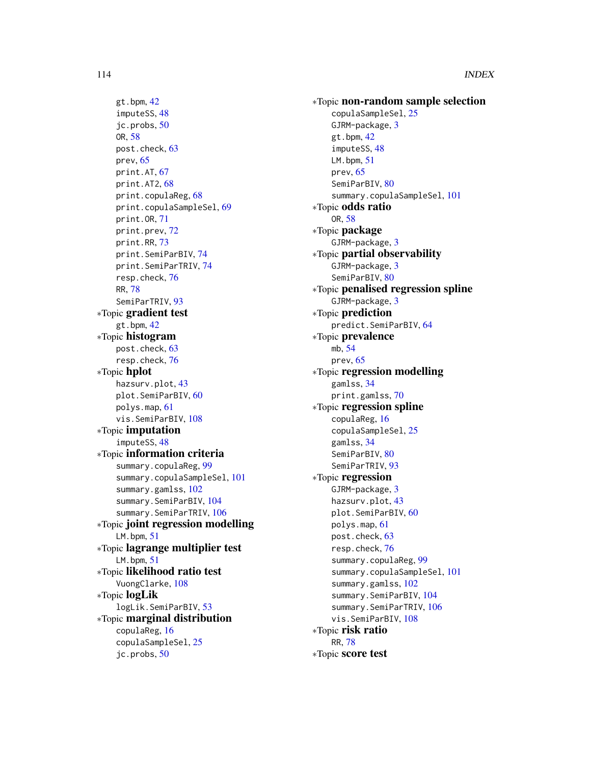gt.bpm, [42](#page-41-0) imputeSS, [48](#page-47-0) jc.probs, [50](#page-49-0) OR, [58](#page-57-0) post.check, [63](#page-62-0) prev, [65](#page-64-0) print.AT, [67](#page-66-0) print.AT2, [68](#page-67-0) print.copulaReg, [68](#page-67-0) print.copulaSampleSel, [69](#page-68-0) print.OR, [71](#page-70-0) print.prev, [72](#page-71-0) print.RR, [73](#page-72-0) print.SemiParBIV, [74](#page-73-0) print.SemiParTRIV, [74](#page-73-0) resp.check, [76](#page-75-0) RR, [78](#page-77-0) SemiParTRIV, [93](#page-92-0) ∗Topic gradient test gt.bpm, [42](#page-41-0) ∗Topic histogram post.check, [63](#page-62-0) resp.check, [76](#page-75-0) ∗Topic hplot hazsurv.plot, [43](#page-42-0) plot.SemiParBIV, [60](#page-59-0) polys.map, [61](#page-60-0) vis.SemiParBIV, [108](#page-107-0) ∗Topic imputation imputeSS, [48](#page-47-0) ∗Topic information criteria summary.copulaReg, [99](#page-98-0) summary.copulaSampleSel, [101](#page-100-0) summary.gamlss, [102](#page-101-0) summary.SemiParBIV, [104](#page-103-0) summary.SemiParTRIV, [106](#page-105-0) ∗Topic joint regression modelling LM.bpm, [51](#page-50-0) ∗Topic lagrange multiplier test  $LM.$ bpm,  $51$ ∗Topic likelihood ratio test VuongClarke, [108](#page-107-0) ∗Topic logLik logLik.SemiParBIV, [53](#page-52-0) ∗Topic marginal distribution copulaReg, [16](#page-15-0) copulaSampleSel, [25](#page-24-0) jc.probs, [50](#page-49-0)

∗Topic non-random sample selection copulaSampleSel, [25](#page-24-0) GJRM-package, [3](#page-2-0) gt.bpm, [42](#page-41-0) imputeSS, [48](#page-47-0) LM.bpm, [51](#page-50-0) prev, [65](#page-64-0) SemiParBIV, [80](#page-79-0) summary.copulaSampleSel, [101](#page-100-0) ∗Topic odds ratio OR, [58](#page-57-0) ∗Topic package GJRM-package, [3](#page-2-0) ∗Topic partial observability GJRM-package, [3](#page-2-0) SemiParBIV, [80](#page-79-0) ∗Topic penalised regression spline GJRM-package, [3](#page-2-0) ∗Topic prediction predict.SemiParBIV, [64](#page-63-0) ∗Topic prevalence mb, [54](#page-53-0) prev, [65](#page-64-0) ∗Topic regression modelling gamlss, [34](#page-33-0) print.gamlss, [70](#page-69-0) ∗Topic regression spline copulaReg, [16](#page-15-0) copulaSampleSel, [25](#page-24-0) gamlss, [34](#page-33-0) SemiParBIV, [80](#page-79-0) SemiParTRIV, [93](#page-92-0) ∗Topic regression GJRM-package, [3](#page-2-0) hazsurv.plot, [43](#page-42-0) plot.SemiParBIV, [60](#page-59-0) polys.map, [61](#page-60-0) post.check, [63](#page-62-0) resp.check, [76](#page-75-0) summary.copulaReg, [99](#page-98-0) summary.copulaSampleSel, [101](#page-100-0) summary.gamlss, [102](#page-101-0) summary.SemiParBIV, [104](#page-103-0) summary.SemiParTRIV, [106](#page-105-0) vis.SemiParBIV, [108](#page-107-0) ∗Topic risk ratio RR, [78](#page-77-0) ∗Topic score test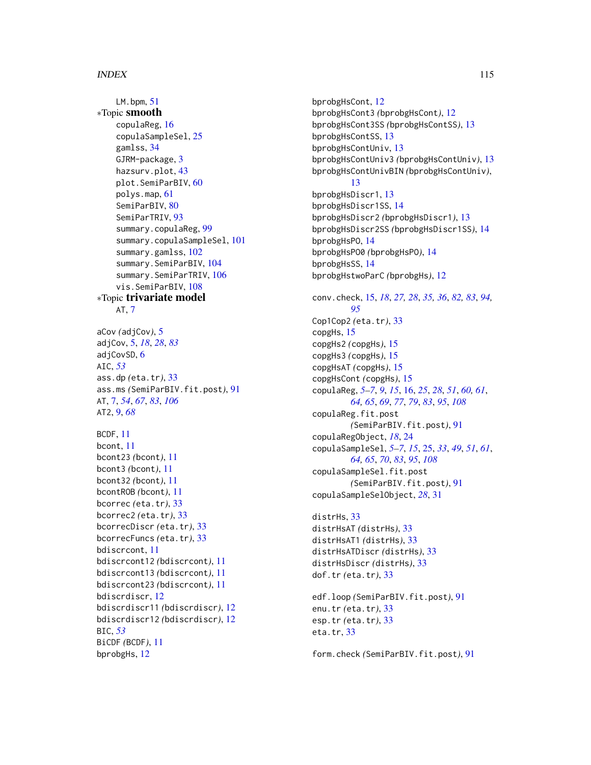## INDEX 115

 $LM.$ bpm,  $51$ ∗Topic smooth copulaReg, [16](#page-15-0) copulaSampleSel, [25](#page-24-0) gamlss, [34](#page-33-0) GJRM-package, [3](#page-2-0) hazsurv.plot, [43](#page-42-0) plot.SemiParBIV, [60](#page-59-0) polys.map, [61](#page-60-0) SemiParBIV, [80](#page-79-0) SemiParTRIV, [93](#page-92-0) summary.copulaReg, [99](#page-98-0) summary.copulaSampleSel, [101](#page-100-0) summary.gamlss, [102](#page-101-0) summary.SemiParBIV, [104](#page-103-0) summary.SemiParTRIV, [106](#page-105-0) vis.SemiParBIV, [108](#page-107-0) ∗Topic trivariate model AT, [7](#page-6-0) aCov *(*adjCov*)*, [5](#page-4-0) adjCov, [5,](#page-4-0) *[18](#page-17-0)*, *[28](#page-27-0)*, *[83](#page-82-0)* adjCovSD, [6](#page-5-0) AIC, *[53](#page-52-0)* ass.dp *(*eta.tr*)*, [33](#page-32-0) ass.ms *(*SemiParBIV.fit.post*)*, [91](#page-90-0) AT, [7,](#page-6-0) *[54](#page-53-0)*, *[67](#page-66-0)*, *[83](#page-82-0)*, *[106](#page-105-0)* AT2, [9,](#page-8-0) *[68](#page-67-0)* BCDF, [11](#page-10-0) bcont, [11](#page-10-0) bcont23 *(*bcont*)*, [11](#page-10-0) bcont3 *(*bcont*)*, [11](#page-10-0) bcont32 *(*bcont*)*, [11](#page-10-0) bcontROB *(*bcont*)*, [11](#page-10-0) bcorrec *(*eta.tr*)*, [33](#page-32-0) bcorrec2 *(*eta.tr*)*, [33](#page-32-0) bcorrecDiscr *(*eta.tr*)*, [33](#page-32-0) bcorrecFuncs *(*eta.tr*)*, [33](#page-32-0) bdiscrcont, [11](#page-10-0) bdiscrcont12 *(*bdiscrcont*)*, [11](#page-10-0) bdiscrcont13 *(*bdiscrcont*)*, [11](#page-10-0) bdiscrcont23 *(*bdiscrcont*)*, [11](#page-10-0) bdiscrdiscr, [12](#page-11-0) bdiscrdiscr11 *(*bdiscrdiscr*)*, [12](#page-11-0) bdiscrdiscr12 *(*bdiscrdiscr*)*, [12](#page-11-0) BIC, *[53](#page-52-0)* BiCDF *(*BCDF*)*, [11](#page-10-0) bprobgHs, [12](#page-11-0)

bprobgHsCont, [12](#page-11-0) bprobgHsCont3 *(*bprobgHsCont*)*, [12](#page-11-0) bprobgHsCont3SS *(*bprobgHsContSS*)*, [13](#page-12-0) bprobgHsContSS, [13](#page-12-0) bprobgHsContUniv, [13](#page-12-0) bprobgHsContUniv3 *(*bprobgHsContUniv*)*, [13](#page-12-0) bprobgHsContUnivBIN *(*bprobgHsContUniv*)*, [13](#page-12-0) bprobgHsDiscr1, [13](#page-12-0) bprobgHsDiscr1SS, [14](#page-13-0) bprobgHsDiscr2 *(*bprobgHsDiscr1*)*, [13](#page-12-0) bprobgHsDiscr2SS *(*bprobgHsDiscr1SS*)*, [14](#page-13-0) bprobgHsPO, [14](#page-13-0) bprobgHsPO0 *(*bprobgHsPO*)*, [14](#page-13-0) bprobgHsSS, [14](#page-13-0) bprobgHstwoParC *(*bprobgHs*)*, [12](#page-11-0) conv.check, [15,](#page-14-0) *[18](#page-17-0)*, *[27,](#page-26-0) [28](#page-27-0)*, *[35,](#page-34-0) [36](#page-35-0)*, *[82,](#page-81-0) [83](#page-82-0)*, *[94,](#page-93-0) [95](#page-94-0)* Cop1Cop2 *(*eta.tr*)*, [33](#page-32-0) copgHs, [15](#page-14-0) copgHs2 *(*copgHs*)*, [15](#page-14-0) copgHs3 *(*copgHs*)*, [15](#page-14-0) copgHsAT *(*copgHs*)*, [15](#page-14-0) copgHsCont *(*copgHs*)*, [15](#page-14-0) copulaReg, *[5](#page-4-0)[–7](#page-6-0)*, *[9](#page-8-0)*, *[15](#page-14-0)*, [16,](#page-15-0) *[25](#page-24-0)*, *[28](#page-27-0)*, *[51](#page-50-0)*, *[60,](#page-59-0) [61](#page-60-0)*, *[64,](#page-63-0) [65](#page-64-0)*, *[69](#page-68-0)*, *[77](#page-76-0)*, *[79](#page-78-0)*, *[83](#page-82-0)*, *[95](#page-94-0)*, *[108](#page-107-0)* copulaReg.fit.post *(*SemiParBIV.fit.post*)*, [91](#page-90-0) copulaRegObject, *[18](#page-17-0)*, [24](#page-23-0) copulaSampleSel, *[5](#page-4-0)[–7](#page-6-0)*, *[15](#page-14-0)*, [25,](#page-24-0) *[33](#page-32-0)*, *[49](#page-48-0)*, *[51](#page-50-0)*, *[61](#page-60-0)*, *[64,](#page-63-0) [65](#page-64-0)*, *[70](#page-69-0)*, *[83](#page-82-0)*, *[95](#page-94-0)*, *[108](#page-107-0)* copulaSampleSel.fit.post *(*SemiParBIV.fit.post*)*, [91](#page-90-0) copulaSampleSelObject, *[28](#page-27-0)*, [31](#page-30-0) distrHs, [33](#page-32-0)

distrHsAT *(*distrHs*)*, [33](#page-32-0) distrHsAT1 *(*distrHs*)*, [33](#page-32-0) distrHsATDiscr *(*distrHs*)*, [33](#page-32-0) distrHsDiscr *(*distrHs*)*, [33](#page-32-0) dof.tr *(*eta.tr*)*, [33](#page-32-0)

edf.loop *(*SemiParBIV.fit.post*)*, [91](#page-90-0) enu.tr *(*eta.tr*)*, [33](#page-32-0) esp.tr *(*eta.tr*)*, [33](#page-32-0) eta.tr, [33](#page-32-0)

form.check *(*SemiParBIV.fit.post*)*, [91](#page-90-0)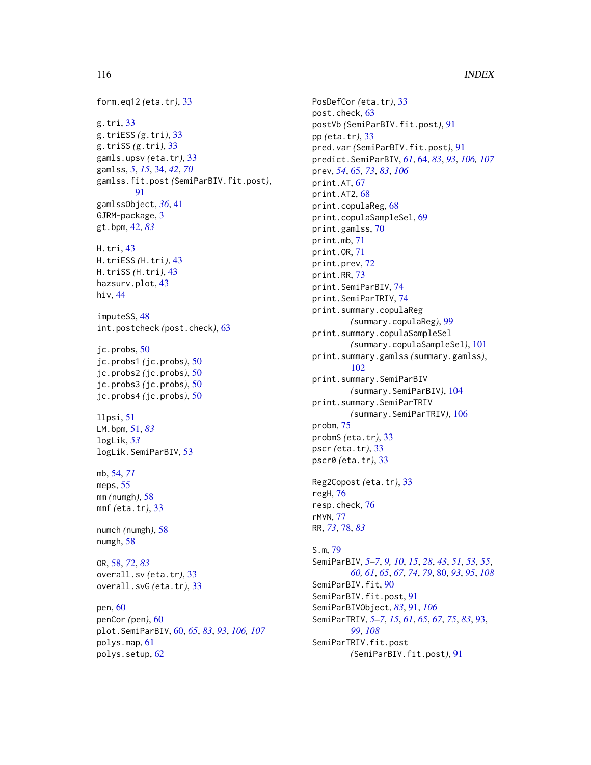116 INDEX

```
form.eq12 (eta.tr), 33
g.tri, 33
g.triESS (g.tri), 33
g.triSS (g.tri), 33
gamls.upsv (eta.tr), 33
gamlss, 5, 15, 34, 42, 70
gamlss.fit.post (SemiParBIV.fit.post),
         91
gamlssObject, 36, 41
GJRM-package, 3
gt.bpm, 42, 83
H.tri, 43
H.triESS (H.tri), 43
H.triSS (H.tri), 43
hazsurv.plot, 43
hiv, 44
imputeSS, 48
int.postcheck (post.check), 63
jc.probs, 50
jc.probs1 (jc.probs), 50
jc.probs2 (jc.probs), 50
jc.probs3 (jc.probs), 50
jc.probs4 (jc.probs), 50
llpsi, 51
LM.bpm, 51, 83
logLik, 53
logLik.SemiParBIV, 53
mb, 54, 71
55
mm (numgh), 58
mmf (eta.tr), 33
numch (numgh), 58
numgh, 58
OR, 58, 72, 83
overall.sv (eta.tr), 33
overall.svG (eta.tr), 33
pen, 60
penCor (pen), 60
plot.SemiParBIV, 60, 65, 83, 93, 106, 107
polys.map, 61
polys.setup, 62
```

```
PosDefCor (eta.tr), 33
post.check, 63
postVb (SemiParBIV.fit.post), 91
pp (eta.tr), 33
pred.var (SemiParBIV.fit.post), 91
predict.SemiParBIV, 61, 64, 83, 93, 106, 107
prev, 54, 65, 73, 83, 106
print.AT, 67
print.AT2, 68
print.copulaReg, 68
print.copulaSampleSel, 69
print.gamlss, 70
print.mb, 71
print.OR, 71
print.prev, 72
print.RR, 73
print.SemiParBIV, 74
print.SemiParTRIV, 74
print.summary.copulaReg
        (summary.copulaReg), 99
print.summary.copulaSampleSel
        (summary.copulaSampleSel), 101
print.summary.gamlss (summary.gamlss),
         102
print.summary.SemiParBIV
        (summary.SemiParBIV), 104
print.summary.SemiParTRIV
        (summary.SemiParTRIV), 106
probm, 75
probmS (eta.tr), 33
pscr (eta.tr), 33
pscr0 (eta.tr), 33
Reg2Copost (eta.tr), 33
regH, 76
resp.check, 76
rMVN, 77
RR, 73, 78, 83
S.m, 79
SemiParBIV, 5–7, 9, 10, 15, 28, 43, 51, 53, 55,
         60, 61, 65, 67, 74, 79, 80, 93, 95, 108
SemiParBIV.fit, 90
SemiParBIV.fit.post, 91
SemiParBIVObject, 83, 91, 106
SemiParTRIV, 5–7, 15, 61, 65, 67, 75, 83, 93,
         99, 108
SemiParTRIV.fit.post
```
*(*SemiParBIV.fit.post*)*, [91](#page-90-0)